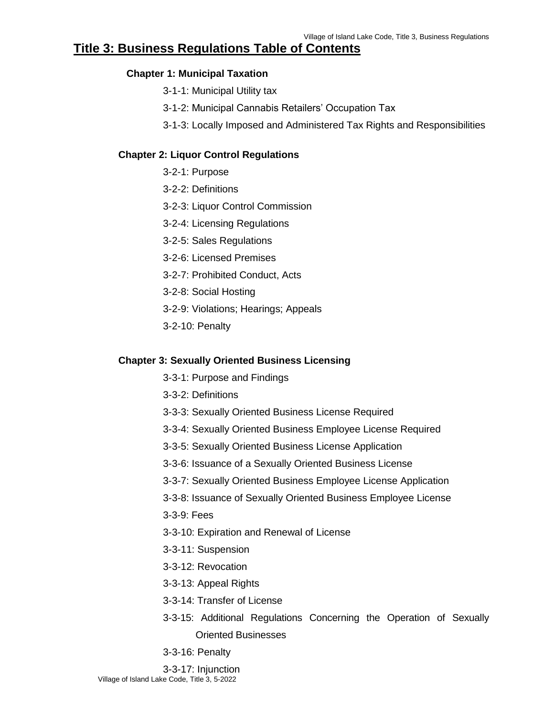# **Title 3: Business Regulations Table of Contents**

### **Chapter 1: Municipal Taxation**

- 3-1-1: Municipal Utility tax
- 3-1-2: Municipal Cannabis Retailers' Occupation Tax
- 3-1-3: Locally Imposed and Administered Tax Rights and Responsibilities

### **Chapter 2: Liquor Control Regulations**

- 3-2-1: Purpose
- 3-2-2: Definitions
- 3-2-3: Liquor Control Commission
- 3-2-4: Licensing Regulations
- 3-2-5: Sales Regulations
- 3-2-6: Licensed Premises
- 3-2-7: Prohibited Conduct, Acts
- 3-2-8: Social Hosting
- 3-2-9: Violations; Hearings; Appeals
- 3-2-10: Penalty

### **Chapter 3: Sexually Oriented Business Licensing**

- 3-3-1: Purpose and Findings
- 3-3-2: Definitions
- 3-3-3: Sexually Oriented Business License Required
- 3-3-4: Sexually Oriented Business Employee License Required
- 3-3-5: Sexually Oriented Business License Application
- 3-3-6: Issuance of a Sexually Oriented Business License
- 3-3-7: Sexually Oriented Business Employee License Application
- 3-3-8: Issuance of Sexually Oriented Business Employee License
- 3-3-9: Fees
- 3-3-10: Expiration and Renewal of License
- 3-3-11: Suspension
- 3-3-12: Revocation
- 3-3-13: Appeal Rights
- 3-3-14: Transfer of License
- 3-3-15: Additional Regulations Concerning the Operation of Sexually Oriented Businesses
- 3-3-16: Penalty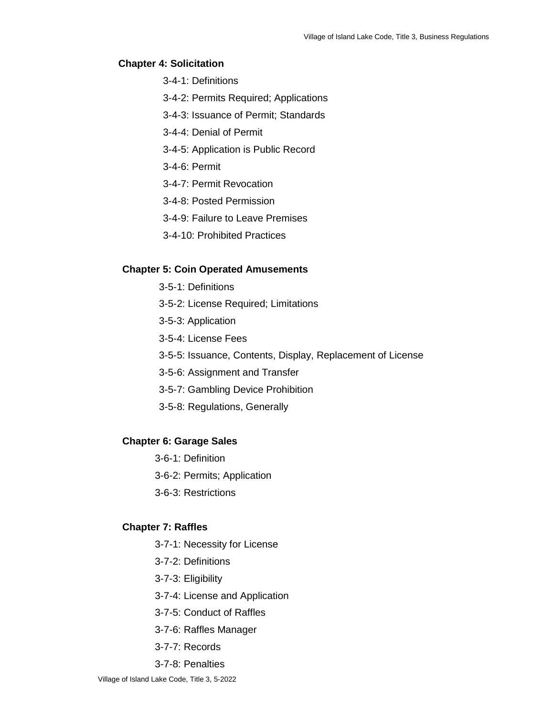#### **Chapter 4: Solicitation**

- 3-4-1: Definitions
- 3-4-2: Permits Required; Applications
- 3-4-3: Issuance of Permit; Standards
- 3-4-4: Denial of Permit
- 3-4-5: Application is Public Record
- 3-4-6: Permit
- 3-4-7: Permit Revocation
- 3-4-8: Posted Permission
- 3-4-9: Failure to Leave Premises
- 3-4-10: Prohibited Practices

#### **Chapter 5: Coin Operated Amusements**

- 3-5-1: Definitions
- 3-5-2: License Required; Limitations
- 3-5-3: Application
- 3-5-4: License Fees
- 3-5-5: Issuance, Contents, Display, Replacement of License
- 3-5-6: Assignment and Transfer
- 3-5-7: Gambling Device Prohibition
- 3-5-8: Regulations, Generally

#### **Chapter 6: Garage Sales**

- 3-6-1: Definition
- 3-6-2: Permits; Application
- 3-6-3: Restrictions

#### **Chapter 7: Raffles**

- 3-7-1: Necessity for License
- 3-7-2: Definitions
- 3-7-3: Eligibility
- 3-7-4: License and Application
- 3-7-5: Conduct of Raffles
- 3-7-6: Raffles Manager
- 3-7-7: Records
- 3-7-8: Penalties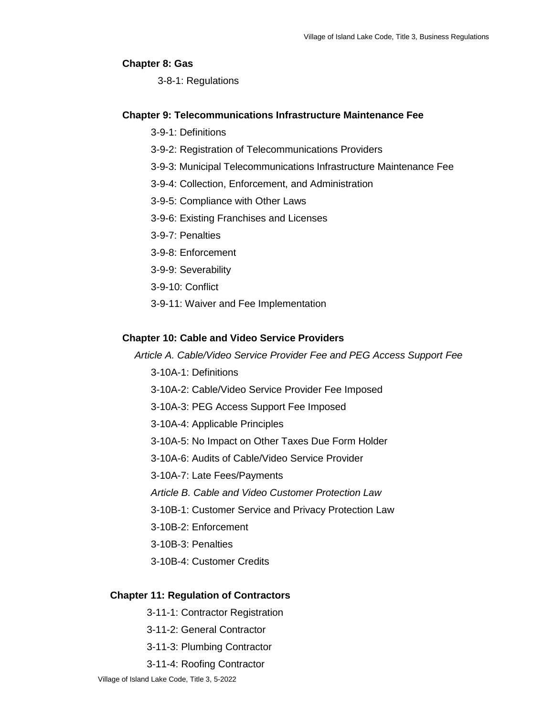#### **Chapter 8: Gas**

3-8-1: Regulations

### **Chapter 9: Telecommunications Infrastructure Maintenance Fee**

- 3-9-1: Definitions
- 3-9-2: Registration of Telecommunications Providers
- 3-9-3: Municipal Telecommunications Infrastructure Maintenance Fee
- 3-9-4: Collection, Enforcement, and Administration
- 3-9-5: Compliance with Other Laws
- 3-9-6: Existing Franchises and Licenses
- 3-9-7: Penalties
- 3-9-8: Enforcement
- 3-9-9: Severability
- 3-9-10: Conflict
- 3-9-11: Waiver and Fee Implementation

### **Chapter 10: Cable and Video Service Providers**

*Article A. Cable/Video Service Provider Fee and PEG Access Support Fee*

- 3-10A-1: Definitions
- 3-10A-2: Cable/Video Service Provider Fee Imposed
- 3-10A-3: PEG Access Support Fee Imposed
- 3-10A-4: Applicable Principles
- 3-10A-5: No Impact on Other Taxes Due Form Holder
- 3-10A-6: Audits of Cable/Video Service Provider
- 3-10A-7: Late Fees/Payments
- *Article B. Cable and Video Customer Protection Law*
- 3-10B-1: Customer Service and Privacy Protection Law
- 3-10B-2: Enforcement
- 3-10B-3: Penalties
- 3-10B-4: Customer Credits

#### **Chapter 11: Regulation of Contractors**

- 3-11-1: Contractor Registration
- 3-11-2: General Contractor
- 3-11-3: Plumbing Contractor
- 3-11-4: Roofing Contractor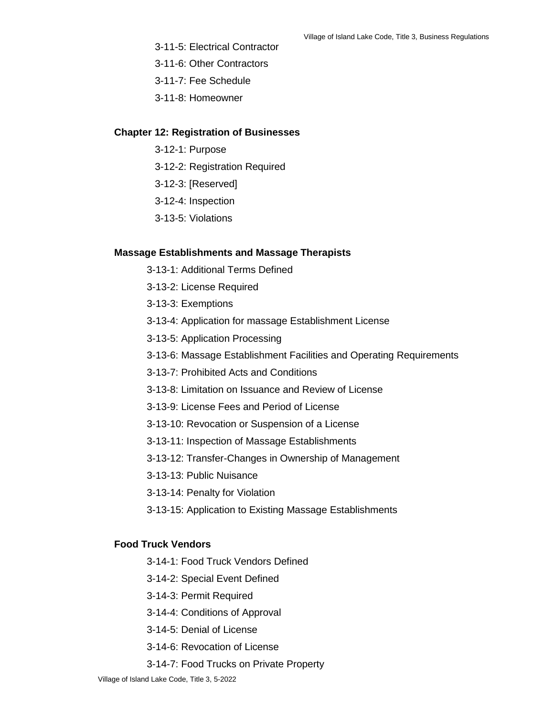- 3-11-5: Electrical Contractor
- 3-11-6: Other Contractors
- 3-11-7: Fee Schedule
- 3-11-8: Homeowner

#### **Chapter 12: Registration of Businesses**

- 3-12-1: Purpose
- 3-12-2: Registration Required
- 3-12-3: [Reserved]
- 3-12-4: Inspection
- 3-13-5: Violations

#### **Massage Establishments and Massage Therapists**

- 3-13-1: Additional Terms Defined
- 3-13-2: License Required
- 3-13-3: Exemptions
- 3-13-4: Application for massage Establishment License
- 3-13-5: Application Processing
- 3-13-6: Massage Establishment Facilities and Operating Requirements
- 3-13-7: Prohibited Acts and Conditions
- 3-13-8: Limitation on Issuance and Review of License
- 3-13-9: License Fees and Period of License
- 3-13-10: Revocation or Suspension of a License
- 3-13-11: Inspection of Massage Establishments
- 3-13-12: Transfer-Changes in Ownership of Management
- 3-13-13: Public Nuisance
- 3-13-14: Penalty for Violation
- 3-13-15: Application to Existing Massage Establishments

### **Food Truck Vendors**

- 3-14-1: Food Truck Vendors Defined
- 3-14-2: Special Event Defined
- 3-14-3: Permit Required
- 3-14-4: Conditions of Approval
- 3-14-5: Denial of License
- 3-14-6: Revocation of License
- 3-14-7: Food Trucks on Private Property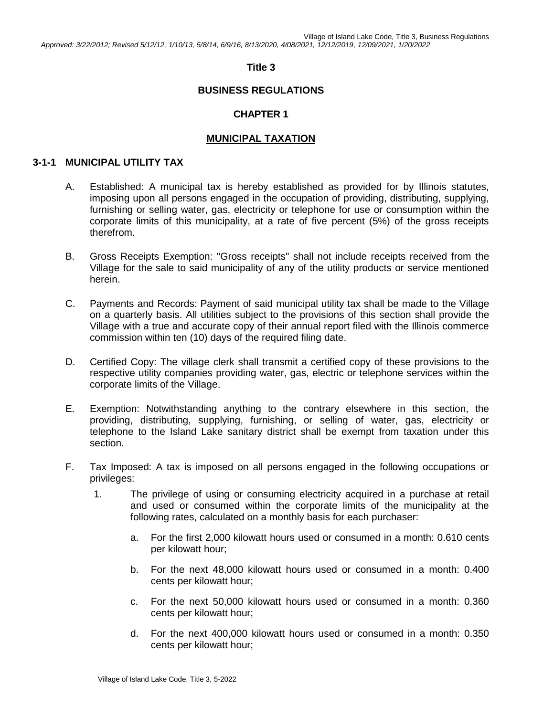Village of Island Lake Code, Title 3, Business Regulations *Approved: 3/22/2012; Revised 5/12/12, 1/10/13, 5/8/14, 6/9/16, 8/13/2020, 4/08/2021, 12/12/2019, 12/09/2021, 1/20/2022*

### **Title 3**

### **BUSINESS REGULATIONS**

### **CHAPTER 1**

### **MUNICIPAL TAXATION**

#### **3-1-1 MUNICIPAL UTILITY TAX**

- A. Established: A municipal tax is hereby established as provided for by Illinois statutes, imposing upon all persons engaged in the occupation of providing, distributing, supplying, furnishing or selling water, gas, electricity or telephone for use or consumption within the corporate limits of this municipality, at a rate of five percent (5%) of the gross receipts therefrom.
- B. Gross Receipts Exemption: "Gross receipts" shall not include receipts received from the Village for the sale to said municipality of any of the utility products or service mentioned herein.
- C. Payments and Records: Payment of said municipal utility tax shall be made to the Village on a quarterly basis. All utilities subject to the provisions of this section shall provide the Village with a true and accurate copy of their annual report filed with the Illinois commerce commission within ten (10) days of the required filing date.
- D. Certified Copy: The village clerk shall transmit a certified copy of these provisions to the respective utility companies providing water, gas, electric or telephone services within the corporate limits of the Village.
- E. Exemption: Notwithstanding anything to the contrary elsewhere in this section, the providing, distributing, supplying, furnishing, or selling of water, gas, electricity or telephone to the Island Lake sanitary district shall be exempt from taxation under this section.
- F. Tax Imposed: A tax is imposed on all persons engaged in the following occupations or privileges:
	- 1. The privilege of using or consuming electricity acquired in a purchase at retail and used or consumed within the corporate limits of the municipality at the following rates, calculated on a monthly basis for each purchaser:
		- a. For the first 2,000 kilowatt hours used or consumed in a month: 0.610 cents per kilowatt hour;
		- b. For the next 48,000 kilowatt hours used or consumed in a month: 0.400 cents per kilowatt hour;
		- c. For the next 50,000 kilowatt hours used or consumed in a month: 0.360 cents per kilowatt hour;
		- d. For the next 400,000 kilowatt hours used or consumed in a month: 0.350 cents per kilowatt hour;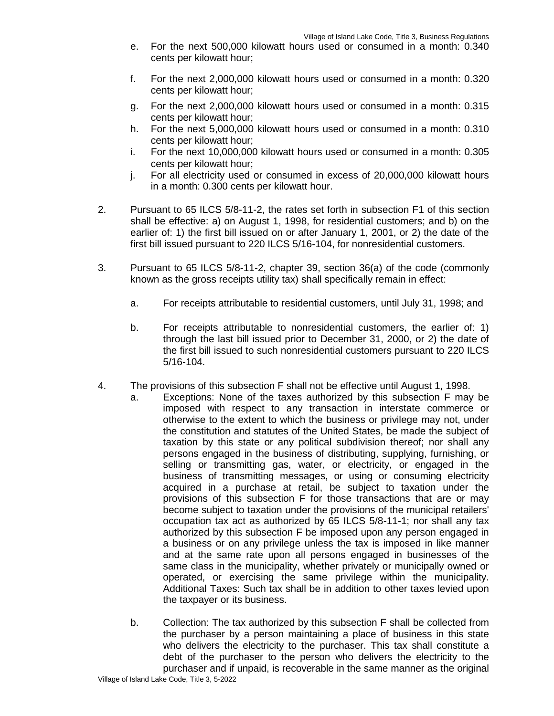- e. For the next 500,000 kilowatt hours used or consumed in a month: 0.340 cents per kilowatt hour;
- f. For the next 2,000,000 kilowatt hours used or consumed in a month: 0.320 cents per kilowatt hour;
- g. For the next 2,000,000 kilowatt hours used or consumed in a month: 0.315 cents per kilowatt hour;
- h. For the next 5,000,000 kilowatt hours used or consumed in a month: 0.310 cents per kilowatt hour;
- i. For the next 10,000,000 kilowatt hours used or consumed in a month: 0.305 cents per kilowatt hour;
- j. For all electricity used or consumed in excess of 20,000,000 kilowatt hours in a month: 0.300 cents per kilowatt hour.
- 2. Pursuant to 65 ILCS 5/8-11-2, the rates set forth in subsection F1 of this section shall be effective: a) on August 1, 1998, for residential customers; and b) on the earlier of: 1) the first bill issued on or after January 1, 2001, or 2) the date of the first bill issued pursuant to 220 ILCS 5/16-104, for nonresidential customers.
- 3. Pursuant to 65 ILCS 5/8-11-2, chapter 39, section 36(a) of the code (commonly known as the gross receipts utility tax) shall specifically remain in effect:
	- a. For receipts attributable to residential customers, until July 31, 1998; and
	- b. For receipts attributable to nonresidential customers, the earlier of: 1) through the last bill issued prior to December 31, 2000, or 2) the date of the first bill issued to such nonresidential customers pursuant to 220 ILCS 5/16-104.
- 4. The provisions of this subsection F shall not be effective until August 1, 1998.
	- a. Exceptions: None of the taxes authorized by this subsection F may be imposed with respect to any transaction in interstate commerce or otherwise to the extent to which the business or privilege may not, under the constitution and statutes of the United States, be made the subject of taxation by this state or any political subdivision thereof; nor shall any persons engaged in the business of distributing, supplying, furnishing, or selling or transmitting gas, water, or electricity, or engaged in the business of transmitting messages, or using or consuming electricity acquired in a purchase at retail, be subject to taxation under the provisions of this subsection F for those transactions that are or may become subject to taxation under the provisions of the municipal retailers' occupation tax act as authorized by 65 ILCS 5/8-11-1; nor shall any tax authorized by this subsection F be imposed upon any person engaged in a business or on any privilege unless the tax is imposed in like manner and at the same rate upon all persons engaged in businesses of the same class in the municipality, whether privately or municipally owned or operated, or exercising the same privilege within the municipality. Additional Taxes: Such tax shall be in addition to other taxes levied upon the taxpayer or its business.
		- b. Collection: The tax authorized by this subsection F shall be collected from the purchaser by a person maintaining a place of business in this state who delivers the electricity to the purchaser. This tax shall constitute a debt of the purchaser to the person who delivers the electricity to the purchaser and if unpaid, is recoverable in the same manner as the original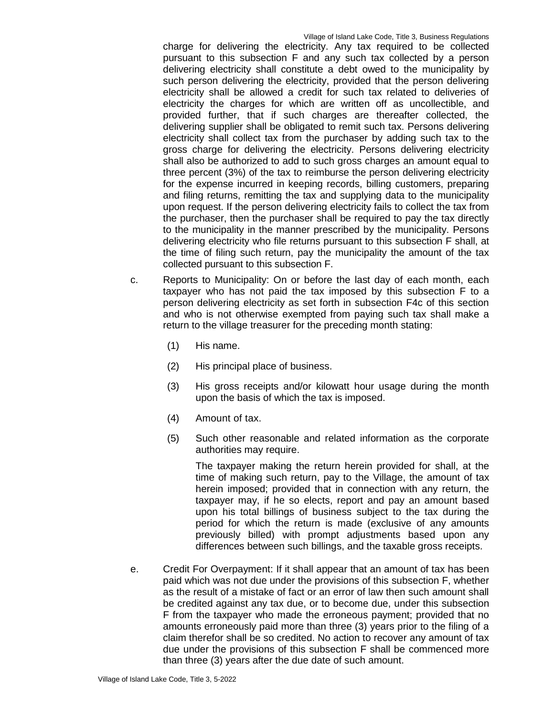charge for delivering the electricity. Any tax required to be collected pursuant to this subsection F and any such tax collected by a person delivering electricity shall constitute a debt owed to the municipality by such person delivering the electricity, provided that the person delivering electricity shall be allowed a credit for such tax related to deliveries of electricity the charges for which are written off as uncollectible, and provided further, that if such charges are thereafter collected, the delivering supplier shall be obligated to remit such tax. Persons delivering electricity shall collect tax from the purchaser by adding such tax to the gross charge for delivering the electricity. Persons delivering electricity shall also be authorized to add to such gross charges an amount equal to three percent (3%) of the tax to reimburse the person delivering electricity for the expense incurred in keeping records, billing customers, preparing and filing returns, remitting the tax and supplying data to the municipality upon request. If the person delivering electricity fails to collect the tax from the purchaser, then the purchaser shall be required to pay the tax directly to the municipality in the manner prescribed by the municipality. Persons delivering electricity who file returns pursuant to this subsection F shall, at the time of filing such return, pay the municipality the amount of the tax collected pursuant to this subsection F.

- c. Reports to Municipality: On or before the last day of each month, each taxpayer who has not paid the tax imposed by this subsection F to a person delivering electricity as set forth in subsection F4c of this section and who is not otherwise exempted from paying such tax shall make a return to the village treasurer for the preceding month stating:
	- (1) His name.
	- (2) His principal place of business.
	- (3) His gross receipts and/or kilowatt hour usage during the month upon the basis of which the tax is imposed.
	- (4) Amount of tax.
	- (5) Such other reasonable and related information as the corporate authorities may require.

The taxpayer making the return herein provided for shall, at the time of making such return, pay to the Village, the amount of tax herein imposed; provided that in connection with any return, the taxpayer may, if he so elects, report and pay an amount based upon his total billings of business subject to the tax during the period for which the return is made (exclusive of any amounts previously billed) with prompt adjustments based upon any differences between such billings, and the taxable gross receipts.

e. Credit For Overpayment: If it shall appear that an amount of tax has been paid which was not due under the provisions of this subsection F, whether as the result of a mistake of fact or an error of law then such amount shall be credited against any tax due, or to become due, under this subsection F from the taxpayer who made the erroneous payment; provided that no amounts erroneously paid more than three (3) years prior to the filing of a claim therefor shall be so credited. No action to recover any amount of tax due under the provisions of this subsection F shall be commenced more than three (3) years after the due date of such amount.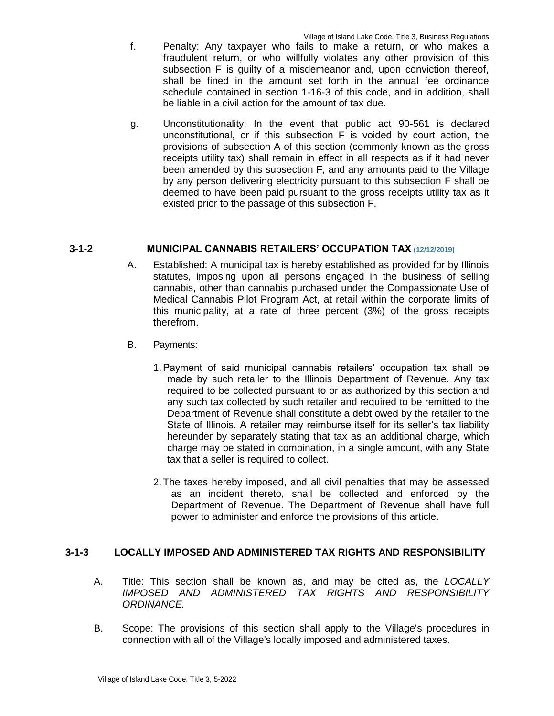- f. Penalty: Any taxpayer who fails to make a return, or who makes a fraudulent return, or who willfully violates any other provision of this subsection F is guilty of a misdemeanor and, upon conviction thereof, shall be fined in the amount set forth in the annual fee ordinance schedule contained in section 1-16-3 of this code, and in addition, shall be liable in a civil action for the amount of tax due.
- g. Unconstitutionality: In the event that public act 90-561 is declared unconstitutional, or if this subsection F is voided by court action, the provisions of subsection A of this section (commonly known as the gross receipts utility tax) shall remain in effect in all respects as if it had never been amended by this subsection F, and any amounts paid to the Village by any person delivering electricity pursuant to this subsection F shall be deemed to have been paid pursuant to the gross receipts utility tax as it existed prior to the passage of this subsection F.

# **3-1-2 MUNICIPAL CANNABIS RETAILERS' OCCUPATION TAX (12/12/2019)**

- A. Established: A municipal tax is hereby established as provided for by Illinois statutes, imposing upon all persons engaged in the business of selling cannabis, other than cannabis purchased under the Compassionate Use of Medical Cannabis Pilot Program Act, at retail within the corporate limits of this municipality, at a rate of three percent (3%) of the gross receipts therefrom.
- B. Payments:
	- 1.Payment of said municipal cannabis retailers' occupation tax shall be made by such retailer to the Illinois Department of Revenue. Any tax required to be collected pursuant to or as authorized by this section and any such tax collected by such retailer and required to be remitted to the Department of Revenue shall constitute a debt owed by the retailer to the State of Illinois. A retailer may reimburse itself for its seller's tax liability hereunder by separately stating that tax as an additional charge, which charge may be stated in combination, in a single amount, with any State tax that a seller is required to collect.
	- 2.The taxes hereby imposed, and all civil penalties that may be assessed as an incident thereto, shall be collected and enforced by the Department of Revenue. The Department of Revenue shall have full power to administer and enforce the provisions of this article.

# **3-1-3 LOCALLY IMPOSED AND ADMINISTERED TAX RIGHTS AND RESPONSIBILITY**

- A. Title: This section shall be known as, and may be cited as, the *LOCALLY IMPOSED AND ADMINISTERED TAX RIGHTS AND RESPONSIBILITY ORDINANCE.*
- B. Scope: The provisions of this section shall apply to the Village's procedures in connection with all of the Village's locally imposed and administered taxes.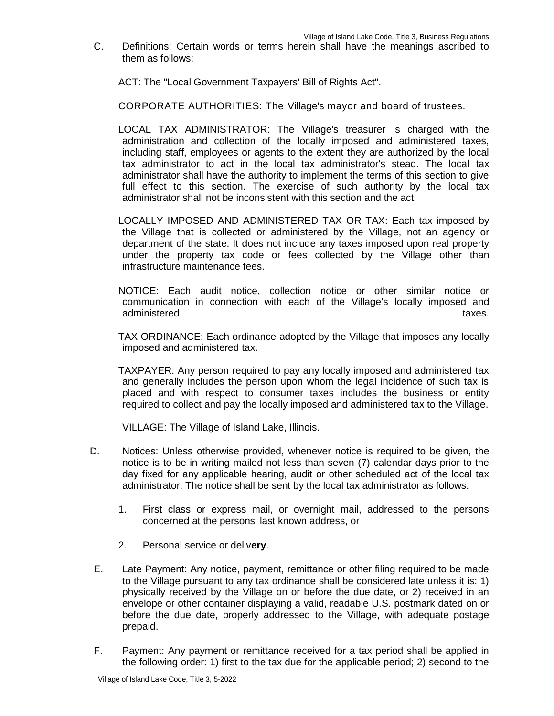C. Definitions: Certain words or terms herein shall have the meanings ascribed to them as follows:

ACT: The "Local Government Taxpayers' Bill of Rights Act".

CORPORATE AUTHORITIES: The Village's mayor and board of trustees.

LOCAL TAX ADMINISTRATOR: The Village's treasurer is charged with the administration and collection of the locally imposed and administered taxes, including staff, employees or agents to the extent they are authorized by the local tax administrator to act in the local tax administrator's stead. The local tax administrator shall have the authority to implement the terms of this section to give full effect to this section. The exercise of such authority by the local tax administrator shall not be inconsistent with this section and the act.

- LOCALLY IMPOSED AND ADMINISTERED TAX OR TAX: Each tax imposed by the Village that is collected or administered by the Village, not an agency or department of the state. It does not include any taxes imposed upon real property under the property tax code or fees collected by the Village other than infrastructure maintenance fees.
- NOTICE: Each audit notice, collection notice or other similar notice or communication in connection with each of the Village's locally imposed and administered taxes.

TAX ORDINANCE: Each ordinance adopted by the Village that imposes any locally imposed and administered tax.

TAXPAYER: Any person required to pay any locally imposed and administered tax and generally includes the person upon whom the legal incidence of such tax is placed and with respect to consumer taxes includes the business or entity required to collect and pay the locally imposed and administered tax to the Village.

VILLAGE: The Village of Island Lake, Illinois.

- D. Notices: Unless otherwise provided, whenever notice is required to be given, the notice is to be in writing mailed not less than seven (7) calendar days prior to the day fixed for any applicable hearing, audit or other scheduled act of the local tax administrator. The notice shall be sent by the local tax administrator as follows:
	- 1. First class or express mail, or overnight mail, addressed to the persons concerned at the persons' last known address, or
	- 2. Personal service or deliv**ery**.
- E. Late Payment: Any notice, payment, remittance or other filing required to be made to the Village pursuant to any tax ordinance shall be considered late unless it is: 1) physically received by the Village on or before the due date, or 2) received in an envelope or other container displaying a valid, readable U.S. postmark dated on or before the due date, properly addressed to the Village, with adequate postage prepaid.
- F. Payment: Any payment or remittance received for a tax period shall be applied in the following order: 1) first to the tax due for the applicable period; 2) second to the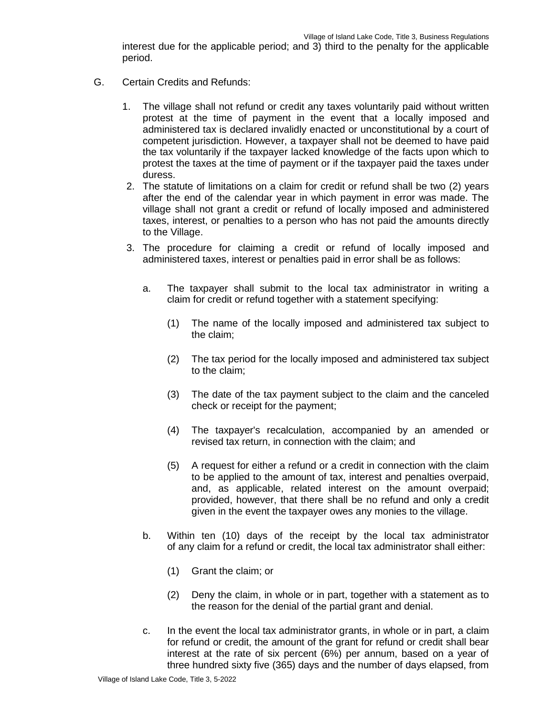interest due for the applicable period; and 3) third to the penalty for the applicable period.

- G. Certain Credits and Refunds:
	- 1. The village shall not refund or credit any taxes voluntarily paid without written protest at the time of payment in the event that a locally imposed and administered tax is declared invalidly enacted or unconstitutional by a court of competent jurisdiction. However, a taxpayer shall not be deemed to have paid the tax voluntarily if the taxpayer lacked knowledge of the facts upon which to protest the taxes at the time of payment or if the taxpayer paid the taxes under duress.
	- 2. The statute of limitations on a claim for credit or refund shall be two (2) years after the end of the calendar year in which payment in error was made. The village shall not grant a credit or refund of locally imposed and administered taxes, interest, or penalties to a person who has not paid the amounts directly to the Village.
	- 3. The procedure for claiming a credit or refund of locally imposed and administered taxes, interest or penalties paid in error shall be as follows:
		- a. The taxpayer shall submit to the local tax administrator in writing a claim for credit or refund together with a statement specifying:
			- (1) The name of the locally imposed and administered tax subject to the claim;
			- (2) The tax period for the locally imposed and administered tax subject to the claim;
			- (3) The date of the tax payment subject to the claim and the canceled check or receipt for the payment;
			- (4) The taxpayer's recalculation, accompanied by an amended or revised tax return, in connection with the claim; and
			- (5) A request for either a refund or a credit in connection with the claim to be applied to the amount of tax, interest and penalties overpaid, and, as applicable, related interest on the amount overpaid; provided, however, that there shall be no refund and only a credit given in the event the taxpayer owes any monies to the village.
		- b. Within ten (10) days of the receipt by the local tax administrator of any claim for a refund or credit, the local tax administrator shall either:
			- (1) Grant the claim; or
			- (2) Deny the claim, in whole or in part, together with a statement as to the reason for the denial of the partial grant and denial.
		- c. In the event the local tax administrator grants, in whole or in part, a claim for refund or credit, the amount of the grant for refund or credit shall bear interest at the rate of six percent (6%) per annum, based on a year of three hundred sixty five (365) days and the number of days elapsed, from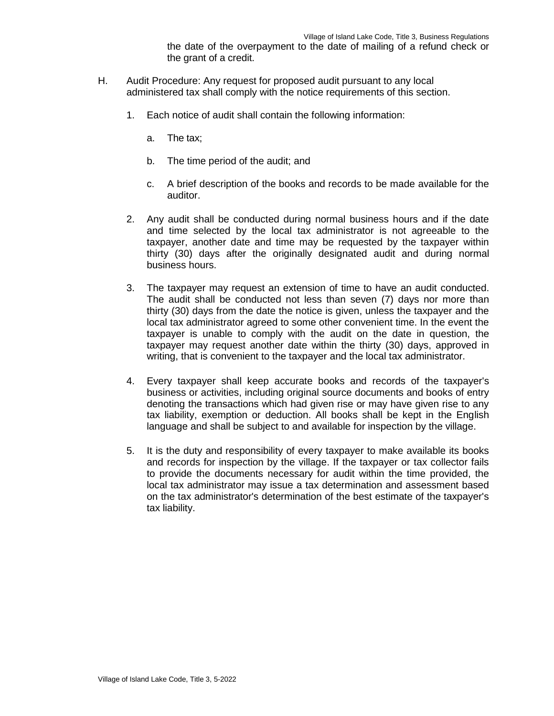the date of the overpayment to the date of mailing of a refund check or the grant of a credit.

- H. Audit Procedure: Any request for proposed audit pursuant to any local administered tax shall comply with the notice requirements of this section.
	- 1. Each notice of audit shall contain the following information:
		- a. The tax;
		- b. The time period of the audit; and
		- c. A brief description of the books and records to be made available for the auditor.
	- 2. Any audit shall be conducted during normal business hours and if the date and time selected by the local tax administrator is not agreeable to the taxpayer, another date and time may be requested by the taxpayer within thirty (30) days after the originally designated audit and during normal business hours.
	- 3. The taxpayer may request an extension of time to have an audit conducted. The audit shall be conducted not less than seven (7) days nor more than thirty (30) days from the date the notice is given, unless the taxpayer and the local tax administrator agreed to some other convenient time. In the event the taxpayer is unable to comply with the audit on the date in question, the taxpayer may request another date within the thirty (30) days, approved in writing, that is convenient to the taxpayer and the local tax administrator.
	- 4. Every taxpayer shall keep accurate books and records of the taxpayer's business or activities, including original source documents and books of entry denoting the transactions which had given rise or may have given rise to any tax liability, exemption or deduction. All books shall be kept in the English language and shall be subject to and available for inspection by the village.
	- 5. It is the duty and responsibility of every taxpayer to make available its books and records for inspection by the village. If the taxpayer or tax collector fails to provide the documents necessary for audit within the time provided, the local tax administrator may issue a tax determination and assessment based on the tax administrator's determination of the best estimate of the taxpayer's tax liability.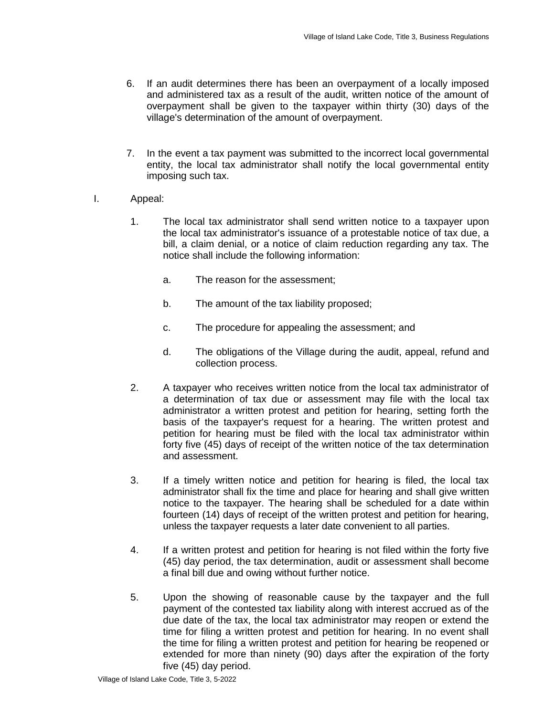- 6. If an audit determines there has been an overpayment of a locally imposed and administered tax as a result of the audit, written notice of the amount of overpayment shall be given to the taxpayer within thirty (30) days of the village's determination of the amount of overpayment.
- 7. In the event a tax payment was submitted to the incorrect local governmental entity, the local tax administrator shall notify the local governmental entity imposing such tax.
- I. Appeal:
	- 1. The local tax administrator shall send written notice to a taxpayer upon the local tax administrator's issuance of a protestable notice of tax due, a bill, a claim denial, or a notice of claim reduction regarding any tax. The notice shall include the following information:
		- a. The reason for the assessment;
		- b. The amount of the tax liability proposed;
		- c. The procedure for appealing the assessment; and
		- d. The obligations of the Village during the audit, appeal, refund and collection process.
	- 2. A taxpayer who receives written notice from the local tax administrator of a determination of tax due or assessment may file with the local tax administrator a written protest and petition for hearing, setting forth the basis of the taxpayer's request for a hearing. The written protest and petition for hearing must be filed with the local tax administrator within forty five (45) days of receipt of the written notice of the tax determination and assessment.
	- 3. If a timely written notice and petition for hearing is filed, the local tax administrator shall fix the time and place for hearing and shall give written notice to the taxpayer. The hearing shall be scheduled for a date within fourteen (14) days of receipt of the written protest and petition for hearing, unless the taxpayer requests a later date convenient to all parties.
	- 4. If a written protest and petition for hearing is not filed within the forty five (45) day period, the tax determination, audit or assessment shall become a final bill due and owing without further notice.
	- 5. Upon the showing of reasonable cause by the taxpayer and the full payment of the contested tax liability along with interest accrued as of the due date of the tax, the local tax administrator may reopen or extend the time for filing a written protest and petition for hearing. In no event shall the time for filing a written protest and petition for hearing be reopened or extended for more than ninety (90) days after the expiration of the forty five (45) day period.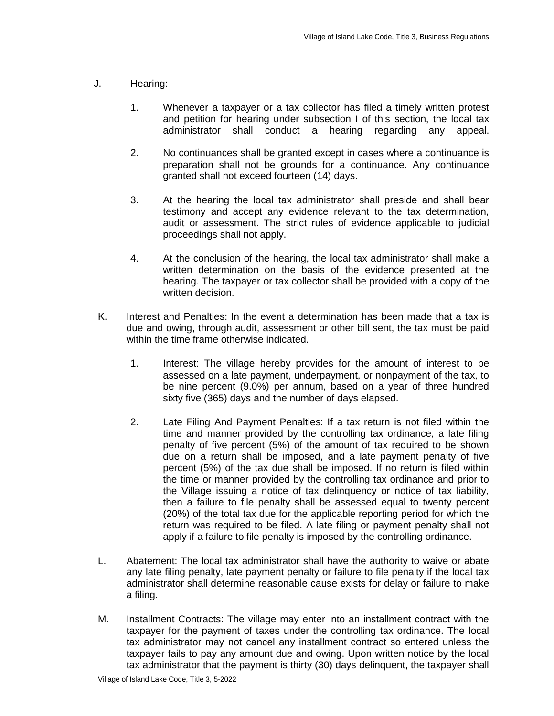- J. Hearing:
	- 1. Whenever a taxpayer or a tax collector has filed a timely written protest and petition for hearing under subsection I of this section, the local tax administrator shall conduct a hearing regarding any appeal.
	- 2. No continuances shall be granted except in cases where a continuance is preparation shall not be grounds for a continuance. Any continuance granted shall not exceed fourteen (14) days.
	- 3. At the hearing the local tax administrator shall preside and shall bear testimony and accept any evidence relevant to the tax determination, audit or assessment. The strict rules of evidence applicable to judicial proceedings shall not apply.
	- 4. At the conclusion of the hearing, the local tax administrator shall make a written determination on the basis of the evidence presented at the hearing. The taxpayer or tax collector shall be provided with a copy of the written decision.
- K. Interest and Penalties: In the event a determination has been made that a tax is due and owing, through audit, assessment or other bill sent, the tax must be paid within the time frame otherwise indicated.
	- 1. Interest: The village hereby provides for the amount of interest to be assessed on a late payment, underpayment, or nonpayment of the tax, to be nine percent (9.0%) per annum, based on a year of three hundred sixty five (365) days and the number of days elapsed.
	- 2. Late Filing And Payment Penalties: If a tax return is not filed within the time and manner provided by the controlling tax ordinance, a late filing penalty of five percent (5%) of the amount of tax required to be shown due on a return shall be imposed, and a late payment penalty of five percent (5%) of the tax due shall be imposed. If no return is filed within the time or manner provided by the controlling tax ordinance and prior to the Village issuing a notice of tax delinquency or notice of tax liability, then a failure to file penalty shall be assessed equal to twenty percent (20%) of the total tax due for the applicable reporting period for which the return was required to be filed. A late filing or payment penalty shall not apply if a failure to file penalty is imposed by the controlling ordinance.
- L. Abatement: The local tax administrator shall have the authority to waive or abate any late filing penalty, late payment penalty or failure to file penalty if the local tax administrator shall determine reasonable cause exists for delay or failure to make a filing.
- M. Installment Contracts: The village may enter into an installment contract with the taxpayer for the payment of taxes under the controlling tax ordinance. The local tax administrator may not cancel any installment contract so entered unless the taxpayer fails to pay any amount due and owing. Upon written notice by the local tax administrator that the payment is thirty (30) days delinquent, the taxpayer shall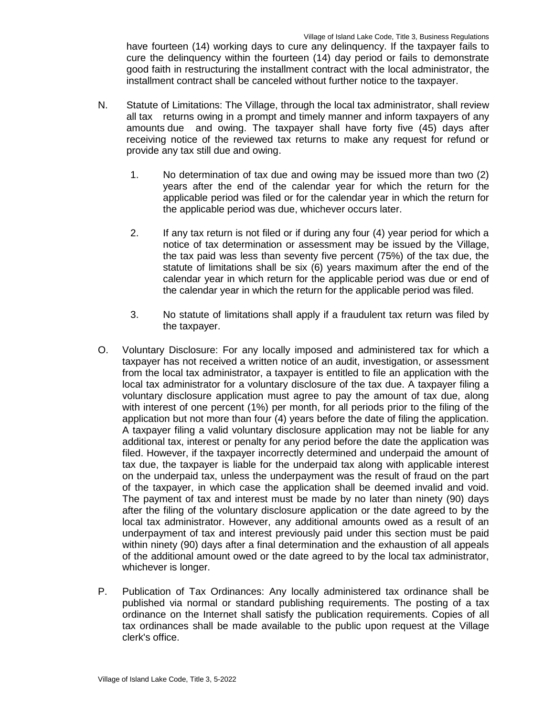have fourteen (14) working days to cure any delinquency. If the taxpayer fails to cure the delinquency within the fourteen (14) day period or fails to demonstrate good faith in restructuring the installment contract with the local administrator, the installment contract shall be canceled without further notice to the taxpayer.

- N. Statute of Limitations: The Village, through the local tax administrator, shall review all tax returns owing in a prompt and timely manner and inform taxpayers of any amounts due and owing. The taxpayer shall have forty five (45) days after receiving notice of the reviewed tax returns to make any request for refund or provide any tax still due and owing.
	- 1. No determination of tax due and owing may be issued more than two (2) years after the end of the calendar year for which the return for the applicable period was filed or for the calendar year in which the return for the applicable period was due, whichever occurs later.
	- 2. If any tax return is not filed or if during any four (4) year period for which a notice of tax determination or assessment may be issued by the Village, the tax paid was less than seventy five percent (75%) of the tax due, the statute of limitations shall be six (6) years maximum after the end of the calendar year in which return for the applicable period was due or end of the calendar year in which the return for the applicable period was filed.
	- 3. No statute of limitations shall apply if a fraudulent tax return was filed by the taxpayer.
- O. Voluntary Disclosure: For any locally imposed and administered tax for which a taxpayer has not received a written notice of an audit, investigation, or assessment from the local tax administrator, a taxpayer is entitled to file an application with the local tax administrator for a voluntary disclosure of the tax due. A taxpayer filing a voluntary disclosure application must agree to pay the amount of tax due, along with interest of one percent (1%) per month, for all periods prior to the filing of the application but not more than four (4) years before the date of filing the application. A taxpayer filing a valid voluntary disclosure application may not be liable for any additional tax, interest or penalty for any period before the date the application was filed. However, if the taxpayer incorrectly determined and underpaid the amount of tax due, the taxpayer is liable for the underpaid tax along with applicable interest on the underpaid tax, unless the underpayment was the result of fraud on the part of the taxpayer, in which case the application shall be deemed invalid and void. The payment of tax and interest must be made by no later than ninety (90) days after the filing of the voluntary disclosure application or the date agreed to by the local tax administrator. However, any additional amounts owed as a result of an underpayment of tax and interest previously paid under this section must be paid within ninety (90) days after a final determination and the exhaustion of all appeals of the additional amount owed or the date agreed to by the local tax administrator, whichever is longer.
- P. Publication of Tax Ordinances: Any locally administered tax ordinance shall be published via normal or standard publishing requirements. The posting of a tax ordinance on the Internet shall satisfy the publication requirements. Copies of all tax ordinances shall be made available to the public upon request at the Village clerk's office.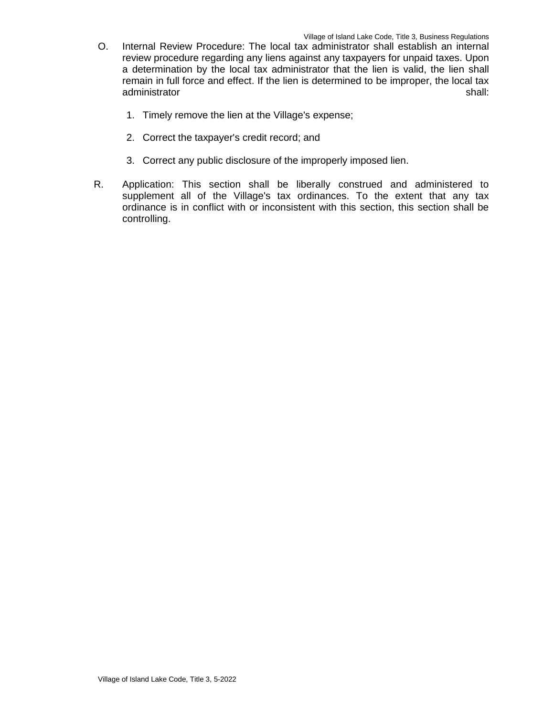- O. Internal Review Procedure: The local tax administrator shall establish an internal review procedure regarding any liens against any taxpayers for unpaid taxes. Upon a determination by the local tax administrator that the lien is valid, the lien shall remain in full force and effect. If the lien is determined to be improper, the local tax administrator shall: shall: shall: shall: shall: shall: shall: shall: shall: shall: shall: shall: shall: shall: shall: shall: shall: shall: shall: shall: shall: shall: shall: shall: shall: shall: shall: shall: shall: shall
	- 1. Timely remove the lien at the Village's expense;
	- 2. Correct the taxpayer's credit record; and
	- 3. Correct any public disclosure of the improperly imposed lien.
- R. Application: This section shall be liberally construed and administered to supplement all of the Village's tax ordinances. To the extent that any tax ordinance is in conflict with or inconsistent with this section, this section shall be controlling.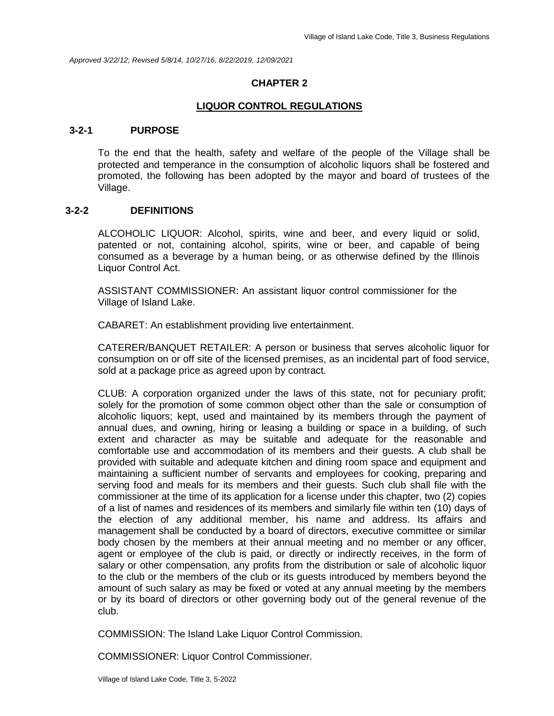*Approved 3/22/12; Revised 5/8/14, 10/27/16, 8/22/2019, 12/09/2021*

#### **CHAPTER 2**

#### **LIQUOR CONTROL REGULATIONS**

#### **3-2-1 PURPOSE**

To the end that the health, safety and welfare of the people of the Village shall be protected and temperance in the consumption of alcoholic liquors shall be fostered and promoted, the following has been adopted by the mayor and board of trustees of the Village.

#### **3-2-2 DEFINITIONS**

ALCOHOLIC LIQUOR: Alcohol, spirits, wine and beer, and every liquid or solid, patented or not, containing alcohol, spirits, wine or beer, and capable of being consumed as a beverage by a human being, or as otherwise defined by the Illinois Liquor Control Act.

ASSISTANT COMMISSIONER: An assistant liquor control commissioner for the Village of Island Lake.

CABARET: An establishment providing live entertainment.

CATERER/BANQUET RETAILER: A person or business that serves alcoholic liquor for consumption on or off site of the licensed premises, as an incidental part of food service, sold at a package price as agreed upon by contract.

CLUB: A corporation organized under the laws of this state, not for pecuniary profit; solely for the promotion of some common object other than the sale or consumption of alcoholic liquors; kept, used and maintained by its members through the payment of annual dues, and owning, hiring or leasing a building or space in a building, of such extent and character as may be suitable and adequate for the reasonable and comfortable use and accommodation of its members and their guests. A club shall be provided with suitable and adequate kitchen and dining room space and equipment and maintaining a sufficient number of servants and employees for cooking, preparing and serving food and meals for its members and their guests. Such club shall file with the commissioner at the time of its application for a license under this chapter, two (2) copies of a list of names and residences of its members and similarly file within ten (10) days of the election of any additional member, his name and address. Its affairs and management shall be conducted by a board of directors, executive committee or similar body chosen by the members at their annual meeting and no member or any officer, agent or employee of the club is paid, or directly or indirectly receives, in the form of salary or other compensation, any profits from the distribution or sale of alcoholic liquor to the club or the members of the club or its guests introduced by members beyond the amount of such salary as may be fixed or voted at any annual meeting by the members or by its board of directors or other governing body out of the general revenue of the club.

COMMISSION: The Island Lake Liquor Control Commission.

COMMISSIONER: Liquor Control Commissioner.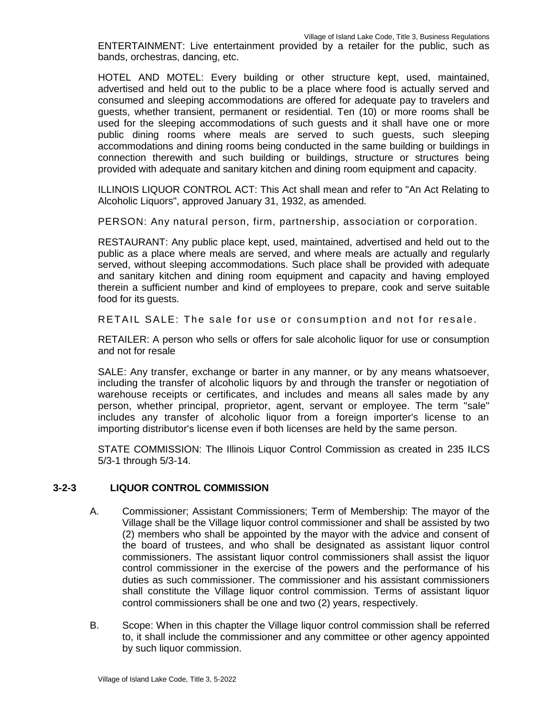ENTERTAINMENT: Live entertainment provided by a retailer for the public, such as bands, orchestras, dancing, etc.

HOTEL AND MOTEL: Every building or other structure kept, used, maintained, advertised and held out to the public to be a place where food is actually served and consumed and sleeping accommodations are offered for adequate pay to travelers and guests, whether transient, permanent or residential. Ten (10) or more rooms shall be used for the sleeping accommodations of such guests and it shall have one or more public dining rooms where meals are served to such guests, such sleeping accommodations and dining rooms being conducted in the same building or buildings in connection therewith and such building or buildings, structure or structures being provided with adequate and sanitary kitchen and dining room equipment and capacity.

ILLINOIS LIQUOR CONTROL ACT: This Act shall mean and refer to "An Act Relating to Alcoholic Liquors", approved January 31, 1932, as amended.

PERSON: Any natural person, firm, partnership, association or corporation.

RESTAURANT: Any public place kept, used, maintained, advertised and held out to the public as a place where meals are served, and where meals are actually and regularly served, without sleeping accommodations. Such place shall be provided with adequate and sanitary kitchen and dining room equipment and capacity and having employed therein a sufficient number and kind of employees to prepare, cook and serve suitable food for its guests.

RETAIL SALE: The sale for use or consumption and not for resale.

RETAILER: A person who sells or offers for sale alcoholic liquor for use or consumption and not for resale

SALE: Any transfer, exchange or barter in any manner, or by any means whatsoever, including the transfer of alcoholic liquors by and through the transfer or negotiation of warehouse receipts or certificates, and includes and means all sales made by any person, whether principal, proprietor, agent, servant or employee. The term "sale" includes any transfer of alcoholic liquor from a foreign importer's license to an importing distributor's license even if both licenses are held by the same person.

STATE COMMISSION: The Illinois Liquor Control Commission as created in 235 ILCS 5/3-1 through 5/3-14.

# **3-2-3 LIQUOR CONTROL COMMISSION**

- A. Commissioner; Assistant Commissioners; Term of Membership: The mayor of the Village shall be the Village liquor control commissioner and shall be assisted by two (2) members who shall be appointed by the mayor with the advice and consent of the board of trustees, and who shall be designated as assistant liquor control commissioners. The assistant liquor control commissioners shall assist the liquor control commissioner in the exercise of the powers and the performance of his duties as such commissioner. The commissioner and his assistant commissioners shall constitute the Village liquor control commission. Terms of assistant liquor control commissioners shall be one and two (2) years, respectively.
- B. Scope: When in this chapter the Village liquor control commission shall be referred to, it shall include the commissioner and any committee or other agency appointed by such liquor commission.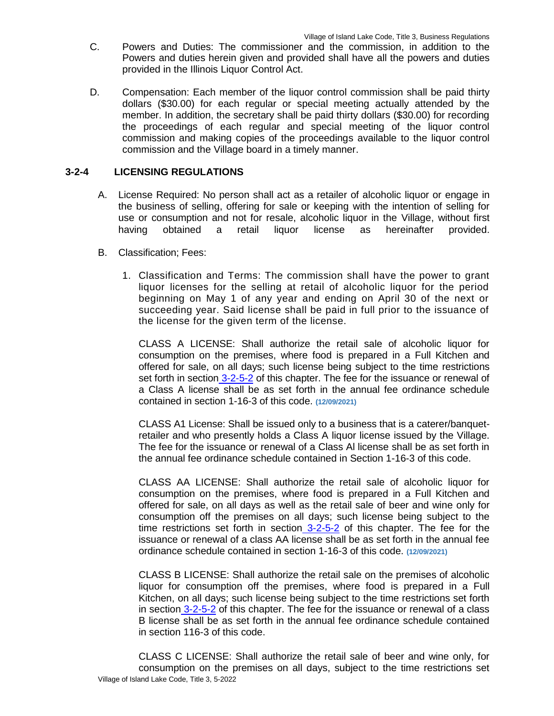- C. Powers and Duties: The commissioner and the commission, in addition to the Powers and duties herein given and provided shall have all the powers and duties provided in the Illinois Liquor Control Act.
- D. Compensation: Each member of the liquor control commission shall be paid thirty dollars (\$30.00) for each regular or special meeting actually attended by the member. In addition, the secretary shall be paid thirty dollars (\$30.00) for recording the proceedings of each regular and special meeting of the liquor control commission and making copies of the proceedings available to the liquor control commission and the Village board in a timely manner.

### **3-2-4 LICENSING REGULATIONS**

- A. License Required: No person shall act as a retailer of alcoholic liquor or engage in the business of selling, offering for sale or keeping with the intention of selling for use or consumption and not for resale, alcoholic liquor in the Village, without first having obtained a retail liquor license as hereinafter provided.
- B. Classification; Fees:
	- 1. Classification and Terms: The commission shall have the power to grant liquor licenses for the selling at retail of alcoholic liquor for the period beginning on May 1 of any year and ending on April 30 of the next or succeeding year. Said license shall be paid in full prior to the issuance of the license for the given term of the license.

CLASS A LICENSE: Shall authorize the retail sale of alcoholic liquor for consumption on the premises, where food is prepared in a Full Kitchen and offered for sale, on all days; such license being subject to the time restrictions set forth in section 3-2-5-2 of this chapter. The fee for the issuance or renewal of a Class A license shall be as set forth in the annual fee ordinance schedule contained in section 1-16-3 of this code. **(12/09/2021)**

CLASS A1 License: Shall be issued only to a business that is a caterer/banquetretailer and who presently holds a Class A liquor license issued by the Village. The fee for the issuance or renewal of a Class Al license shall be as set forth in the annual fee ordinance schedule contained in Section 1-16-3 of this code.

CLASS AA LICENSE: Shall authorize the retail sale of alcoholic liquor for consumption on the premises, where food is prepared in a Full Kitchen and offered for sale, on all days as well as the retail sale of beer and wine only for consumption off the premises on all days; such license being subject to the time restrictions set forth in section 3-2-5-2 of this chapter. The fee for the issuance or renewal of a class AA license shall be as set forth in the annual fee ordinance schedule contained in section 1-16-3 of this code. **(12/09/2021)**

CLASS B LICENSE: Shall authorize the retail sale on the premises of alcoholic liquor for consumption off the premises, where food is prepared in a Full Kitchen, on all days; such license being subject to the time restrictions set forth in section 3-2-5-2 of this chapter. The fee for the issuance or renewal of a class B license shall be as set forth in the annual fee ordinance schedule contained in section 116-3 of this code.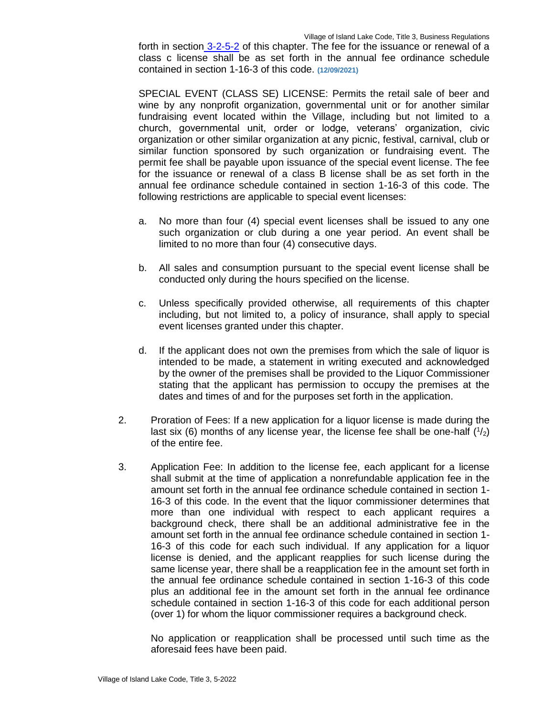Village of Island Lake Code, Title 3, Business Regulations

forth in section 3-2-5-2 of this chapter. The fee for the issuance or renewal of a class c license shall be as set forth in the annual fee ordinance schedule contained in section 1-16-3 of this code. **(12/09/2021)**

SPECIAL EVENT (CLASS SE) LICENSE: Permits the retail sale of beer and wine by any nonprofit organization, governmental unit or for another similar fundraising event located within the Village, including but not limited to a church, governmental unit, order or lodge, veterans' organization, civic organization or other similar organization at any picnic, festival, carnival, club or similar function sponsored by such organization or fundraising event. The permit fee shall be payable upon issuance of the special event license. The fee for the issuance or renewal of a class B license shall be as set forth in the annual fee ordinance schedule contained in section 1-16-3 of this code. The following restrictions are applicable to special event licenses:

- a. No more than four (4) special event licenses shall be issued to any one such organization or club during a one year period. An event shall be limited to no more than four (4) consecutive days.
- b. All sales and consumption pursuant to the special event license shall be conducted only during the hours specified on the license.
- c. Unless specifically provided otherwise, all requirements of this chapter including, but not limited to, a policy of insurance, shall apply to special event licenses granted under this chapter.
- d. If the applicant does not own the premises from which the sale of liquor is intended to be made, a statement in writing executed and acknowledged by the owner of the premises shall be provided to the Liquor Commissioner stating that the applicant has permission to occupy the premises at the dates and times of and for the purposes set forth in the application.
- 2. Proration of Fees: If a new application for a liquor license is made during the last six (6) months of any license year, the license fee shall be one-half  $(1/2)$ of the entire fee.
- 3. Application Fee: In addition to the license fee, each applicant for a license shall submit at the time of application a nonrefundable application fee in the amount set forth in the annual fee ordinance schedule contained in section 1- 16-3 of this code. In the event that the liquor commissioner determines that more than one individual with respect to each applicant requires a background check, there shall be an additional administrative fee in the amount set forth in the annual fee ordinance schedule contained in section 1- 16-3 of this code for each such individual. If any application for a liquor license is denied, and the applicant reapplies for such license during the same license year, there shall be a reapplication fee in the amount set forth in the annual fee ordinance schedule contained in section 1-16-3 of this code plus an additional fee in the amount set forth in the annual fee ordinance schedule contained in section 1-16-3 of this code for each additional person (over 1) for whom the liquor commissioner requires a background check.

No application or reapplication shall be processed until such time as the aforesaid fees have been paid.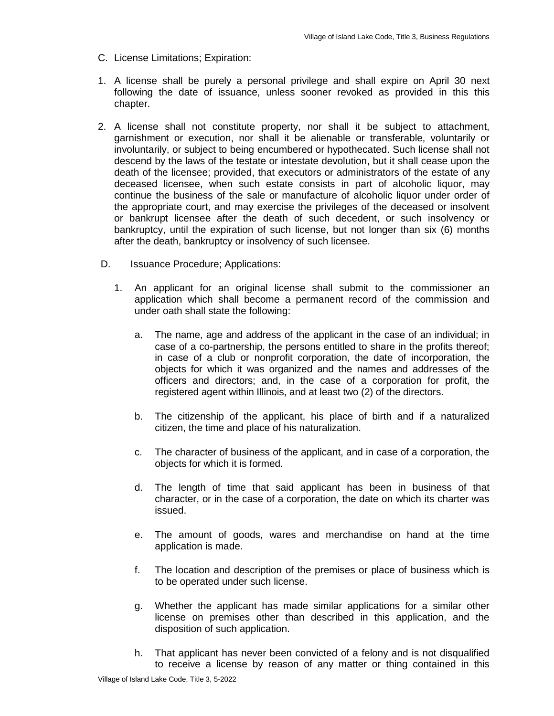- C. License Limitations; Expiration:
- 1. A license shall be purely a personal privilege and shall expire on April 30 next following the date of issuance, unless sooner revoked as provided in this this chapter.
- 2. A license shall not constitute property, nor shall it be subject to attachment, garnishment or execution, nor shall it be alienable or transferable, voluntarily or involuntarily, or subject to being encumbered or hypothecated. Such license shall not descend by the laws of the testate or intestate devolution, but it shall cease upon the death of the licensee; provided, that executors or administrators of the estate of any deceased licensee, when such estate consists in part of alcoholic liquor, may continue the business of the sale or manufacture of alcoholic liquor under order of the appropriate court, and may exercise the privileges of the deceased or insolvent or bankrupt licensee after the death of such decedent, or such insolvency or bankruptcy, until the expiration of such license, but not longer than six (6) months after the death, bankruptcy or insolvency of such licensee.
- D. **Issuance Procedure; Applications:** 
	- 1. An applicant for an original license shall submit to the commissioner an application which shall become a permanent record of the commission and under oath shall state the following:
		- a. The name, age and address of the applicant in the case of an individual; in case of a co-partnership, the persons entitled to share in the profits thereof; in case of a club or nonprofit corporation, the date of incorporation, the objects for which it was organized and the names and addresses of the officers and directors; and, in the case of a corporation for profit, the registered agent within Illinois, and at least two (2) of the directors.
		- b. The citizenship of the applicant, his place of birth and if a naturalized citizen, the time and place of his naturalization.
		- c. The character of business of the applicant, and in case of a corporation, the objects for which it is formed.
		- d. The length of time that said applicant has been in business of that character, or in the case of a corporation, the date on which its charter was issued.
		- e. The amount of goods, wares and merchandise on hand at the time application is made.
		- f. The location and description of the premises or place of business which is to be operated under such license.
		- g. Whether the applicant has made similar applications for a similar other license on premises other than described in this application, and the disposition of such application.
		- h. That applicant has never been convicted of a felony and is not disqualified to receive a license by reason of any matter or thing contained in this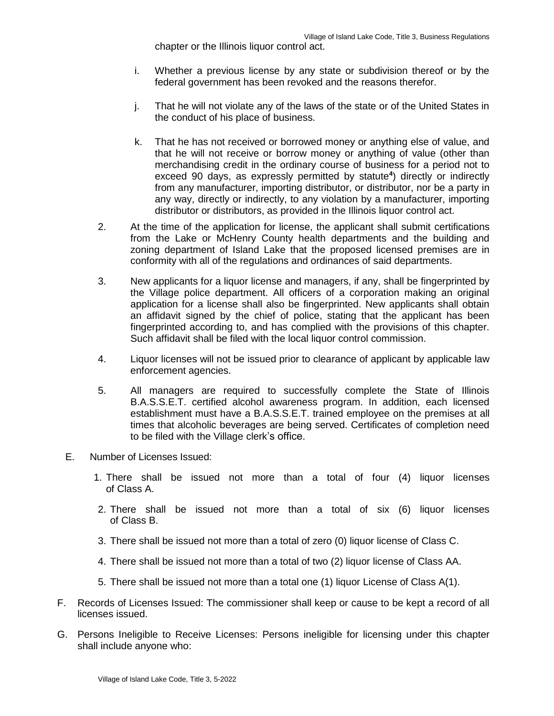chapter or the Illinois liquor control act.

- i. Whether a previous license by any state or subdivision thereof or by the federal government has been revoked and the reasons therefor.
- j. That he will not violate any of the laws of the state or of the United States in the conduct of his place of business.
- k. That he has not received or borrowed money or anything else of value, and that he will not receive or borrow money or anything of value (other than merchandising credit in the ordinary course of business for a period not to exceed 90 days, as expressly permitted by statute**<sup>4</sup>** ) directly or indirectly from any manufacturer, importing distributor, or distributor, nor be a party in any way, directly or indirectly, to any violation by a manufacturer, importing distributor or distributors, as provided in the Illinois liquor control act.
- 2. At the time of the application for license, the applicant shall submit certifications from the Lake or McHenry County health departments and the building and zoning department of Island Lake that the proposed licensed premises are in conformity with all of the regulations and ordinances of said departments.
- 3. New applicants for a liquor license and managers, if any, shall be fingerprinted by the Village police department. All officers of a corporation making an original application for a license shall also be fingerprinted. New applicants shall obtain an affidavit signed by the chief of police, stating that the applicant has been fingerprinted according to, and has complied with the provisions of this chapter. Such affidavit shall be filed with the local liquor control commission.
- 4. Liquor licenses will not be issued prior to clearance of applicant by applicable law enforcement agencies.
- 5. All managers are required to successfully complete the State of Illinois B.A.S.S.E.T. certified alcohol awareness program. In addition, each licensed establishment must have a B.A.S.S.E.T. trained employee on the premises at all times that alcoholic beverages are being served. Certificates of completion need to be filed with the Village clerk's office.
- E. Number of Licenses Issued:
	- 1. There shall be issued not more than a total of four (4) liquor licenses of Class A.
	- 2. There shall be issued not more than a total of six (6) liquor licenses of Class B.
	- 3. There shall be issued not more than a total of zero (0) liquor license of Class C.
	- 4. There shall be issued not more than a total of two (2) liquor license of Class AA.
	- 5. There shall be issued not more than a total one (1) liquor License of Class A(1).
- F. Records of Licenses Issued: The commissioner shall keep or cause to be kept a record of all licenses issued.
- G. Persons Ineligible to Receive Licenses: Persons ineligible for licensing under this chapter shall include anyone who: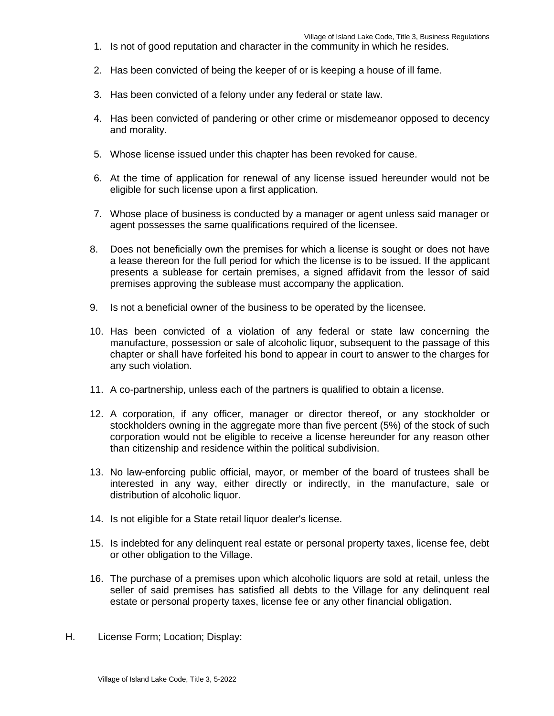- 1. Is not of good reputation and character in the community in which he resides.
- 2. Has been convicted of being the keeper of or is keeping a house of ill fame.
- 3. Has been convicted of a felony under any federal or state law.
- 4. Has been convicted of pandering or other crime or misdemeanor opposed to decency and morality.
- 5. Whose license issued under this chapter has been revoked for cause.
- 6. At the time of application for renewal of any license issued hereunder would not be eligible for such license upon a first application.
- 7. Whose place of business is conducted by a manager or agent unless said manager or agent possesses the same qualifications required of the licensee.
- 8. Does not beneficially own the premises for which a license is sought or does not have a lease thereon for the full period for which the license is to be issued. If the applicant presents a sublease for certain premises, a signed affidavit from the lessor of said premises approving the sublease must accompany the application.
- 9. Is not a beneficial owner of the business to be operated by the licensee.
- 10. Has been convicted of a violation of any federal or state law concerning the manufacture, possession or sale of alcoholic liquor, subsequent to the passage of this chapter or shall have forfeited his bond to appear in court to answer to the charges for any such violation.
- 11. A co-partnership, unless each of the partners is qualified to obtain a license.
- 12. A corporation, if any officer, manager or director thereof, or any stockholder or stockholders owning in the aggregate more than five percent (5%) of the stock of such corporation would not be eligible to receive a license hereunder for any reason other than citizenship and residence within the political subdivision.
- 13. No law-enforcing public official, mayor, or member of the board of trustees shall be interested in any way, either directly or indirectly, in the manufacture, sale or distribution of alcoholic liquor.
- 14. Is not eligible for a State retail liquor dealer's license.
- 15. Is indebted for any delinquent real estate or personal property taxes, license fee, debt or other obligation to the Village.
- 16. The purchase of a premises upon which alcoholic liquors are sold at retail, unless the seller of said premises has satisfied all debts to the Village for any delinquent real estate or personal property taxes, license fee or any other financial obligation.
- H. License Form; Location; Display: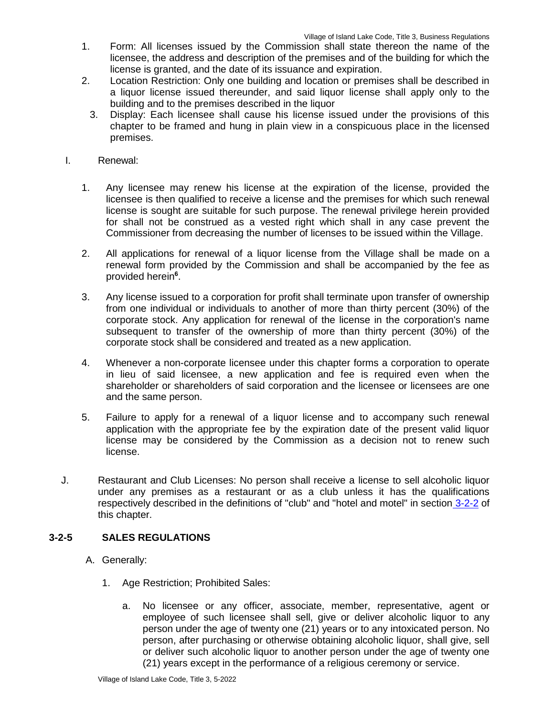- 1. Form: All licenses issued by the Commission shall state thereon the name of the licensee, the address and description of the premises and of the building for which the license is granted, and the date of its issuance and expiration.
- 2. Location Restriction: Only one building and location or premises shall be described in a liquor license issued thereunder, and said liquor license shall apply only to the building and to the premises described in the liquor
	- 3. Display: Each licensee shall cause his license issued under the provisions of this chapter to be framed and hung in plain view in a conspicuous place in the licensed premises.
- I. Renewal:
	- 1. Any licensee may renew his license at the expiration of the license, provided the licensee is then qualified to receive a license and the premises for which such renewal license is sought are suitable for such purpose. The renewal privilege herein provided for shall not be construed as a vested right which shall in any case prevent the Commissioner from decreasing the number of licenses to be issued within the Village.
	- 2. All applications for renewal of a liquor license from the Village shall be made on a renewal form provided by the Commission and shall be accompanied by the fee as provided herein**<sup>6</sup>** .
	- 3. Any license issued to a corporation for profit shall terminate upon transfer of ownership from one individual or individuals to another of more than thirty percent (30%) of the corporate stock. Any application for renewal of the license in the corporation's name subsequent to transfer of the ownership of more than thirty percent (30%) of the corporate stock shall be considered and treated as a new application.
	- 4. Whenever a non-corporate licensee under this chapter forms a corporation to operate in lieu of said licensee, a new application and fee is required even when the shareholder or shareholders of said corporation and the licensee or licensees are one and the same person.
	- 5. Failure to apply for a renewal of a liquor license and to accompany such renewal application with the appropriate fee by the expiration date of the present valid liquor license may be considered by the Commission as a decision not to renew such license.
- J. Restaurant and Club Licenses: No person shall receive a license to sell alcoholic liquor under any premises as a restaurant or as a club unless it has the qualifications respectively described in the definitions of "club" and "hotel and motel" in section 3-2-2 of this chapter.

# **3-2-5 SALES REGULATIONS**

- A. Generally:
	- 1. Age Restriction; Prohibited Sales:
		- a. No licensee or any officer, associate, member, representative, agent or employee of such licensee shall sell, give or deliver alcoholic liquor to any person under the age of twenty one (21) years or to any intoxicated person. No person, after purchasing or otherwise obtaining alcoholic liquor, shall give, sell or deliver such alcoholic liquor to another person under the age of twenty one (21) years except in the performance of a religious ceremony or service.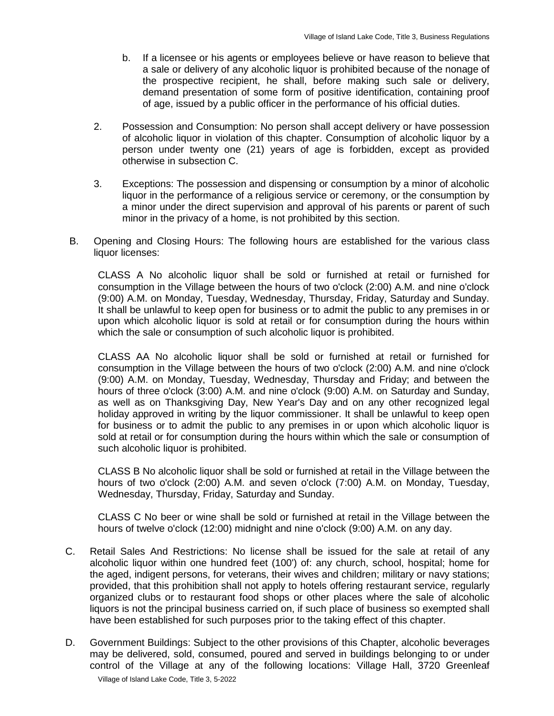- b. If a licensee or his agents or employees believe or have reason to believe that a sale or delivery of any alcoholic liquor is prohibited because of the nonage of the prospective recipient, he shall, before making such sale or delivery, demand presentation of some form of positive identification, containing proof of age, issued by a public officer in the performance of his official duties.
- 2. Possession and Consumption: No person shall accept delivery or have possession of alcoholic liquor in violation of this chapter. Consumption of alcoholic liquor by a person under twenty one (21) years of age is forbidden, except as provided otherwise in subsection C.
- 3. Exceptions: The possession and dispensing or consumption by a minor of alcoholic liquor in the performance of a religious service or ceremony, or the consumption by a minor under the direct supervision and approval of his parents or parent of such minor in the privacy of a home, is not prohibited by this section.
- B. Opening and Closing Hours: The following hours are established for the various class liquor licenses:

CLASS A No alcoholic liquor shall be sold or furnished at retail or furnished for consumption in the Village between the hours of two o'clock (2:00) A.M. and nine o'clock (9:00) A.M. on Monday, Tuesday, Wednesday, Thursday, Friday, Saturday and Sunday. It shall be unlawful to keep open for business or to admit the public to any premises in or upon which alcoholic liquor is sold at retail or for consumption during the hours within which the sale or consumption of such alcoholic liquor is prohibited.

CLASS AA No alcoholic liquor shall be sold or furnished at retail or furnished for consumption in the Village between the hours of two o'clock (2:00) A.M. and nine o'clock (9:00) A.M. on Monday, Tuesday, Wednesday, Thursday and Friday; and between the hours of three o'clock (3:00) A.M. and nine o'clock (9:00) A.M. on Saturday and Sunday, as well as on Thanksgiving Day, New Year's Day and on any other recognized legal holiday approved in writing by the liquor commissioner. It shall be unlawful to keep open for business or to admit the public to any premises in or upon which alcoholic liquor is sold at retail or for consumption during the hours within which the sale or consumption of such alcoholic liquor is prohibited.

CLASS B No alcoholic liquor shall be sold or furnished at retail in the Village between the hours of two o'clock (2:00) A.M. and seven o'clock (7:00) A.M. on Monday, Tuesday, Wednesday, Thursday, Friday, Saturday and Sunday.

CLASS C No beer or wine shall be sold or furnished at retail in the Village between the hours of twelve o'clock (12:00) midnight and nine o'clock (9:00) A.M. on any day.

- C. Retail Sales And Restrictions: No license shall be issued for the sale at retail of any alcoholic liquor within one hundred feet (100') of: any church, school, hospital; home for the aged, indigent persons, for veterans, their wives and children; military or navy stations; provided, that this prohibition shall not apply to hotels offering restaurant service, regularly organized clubs or to restaurant food shops or other places where the sale of alcoholic liquors is not the principal business carried on, if such place of business so exempted shall have been established for such purposes prior to the taking effect of this chapter.
- Village of Island Lake Code, Title 3, 5-2022 D. Government Buildings: Subject to the other provisions of this Chapter, alcoholic beverages may be delivered, sold, consumed, poured and served in buildings belonging to or under control of the Village at any of the following locations: Village Hall, 3720 Greenleaf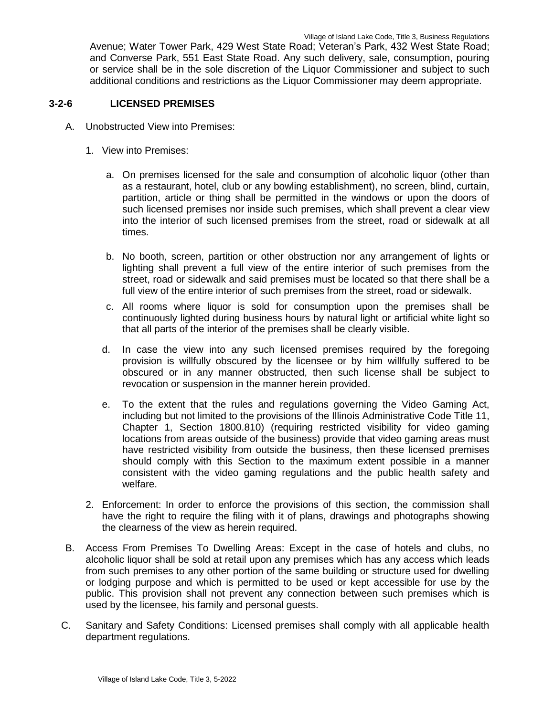Avenue; Water Tower Park, 429 West State Road; Veteran's Park, 432 West State Road; and Converse Park, 551 East State Road. Any such delivery, sale, consumption, pouring or service shall be in the sole discretion of the Liquor Commissioner and subject to such additional conditions and restrictions as the Liquor Commissioner may deem appropriate.

### **3-2-6 LICENSED PREMISES**

- A. Unobstructed View into Premises:
	- 1. View into Premises:
		- a. On premises licensed for the sale and consumption of alcoholic liquor (other than as a restaurant, hotel, club or any bowling establishment), no screen, blind, curtain, partition, article or thing shall be permitted in the windows or upon the doors of such licensed premises nor inside such premises, which shall prevent a clear view into the interior of such licensed premises from the street, road or sidewalk at all times.
		- b. No booth, screen, partition or other obstruction nor any arrangement of lights or lighting shall prevent a full view of the entire interior of such premises from the street, road or sidewalk and said premises must be located so that there shall be a full view of the entire interior of such premises from the street, road or sidewalk.
		- c. All rooms where liquor is sold for consumption upon the premises shall be continuously lighted during business hours by natural light or artificial white light so that all parts of the interior of the premises shall be clearly visible.
		- d. In case the view into any such licensed premises required by the foregoing provision is willfully obscured by the licensee or by him willfully suffered to be obscured or in any manner obstructed, then such license shall be subject to revocation or suspension in the manner herein provided.
		- e. To the extent that the rules and regulations governing the Video Gaming Act, including but not limited to the provisions of the Illinois Administrative Code Title 11, Chapter 1, Section 1800.810) (requiring restricted visibility for video gaming locations from areas outside of the business) provide that video gaming areas must have restricted visibility from outside the business, then these licensed premises should comply with this Section to the maximum extent possible in a manner consistent with the video gaming regulations and the public health safety and welfare.
	- 2. Enforcement: In order to enforce the provisions of this section, the commission shall have the right to require the filing with it of plans, drawings and photographs showing the clearness of the view as herein required.
- B. Access From Premises To Dwelling Areas: Except in the case of hotels and clubs, no alcoholic liquor shall be sold at retail upon any premises which has any access which leads from such premises to any other portion of the same building or structure used for dwelling or lodging purpose and which is permitted to be used or kept accessible for use by the public. This provision shall not prevent any connection between such premises which is used by the licensee, his family and personal guests.
- C. Sanitary and Safety Conditions: Licensed premises shall comply with all applicable health department regulations.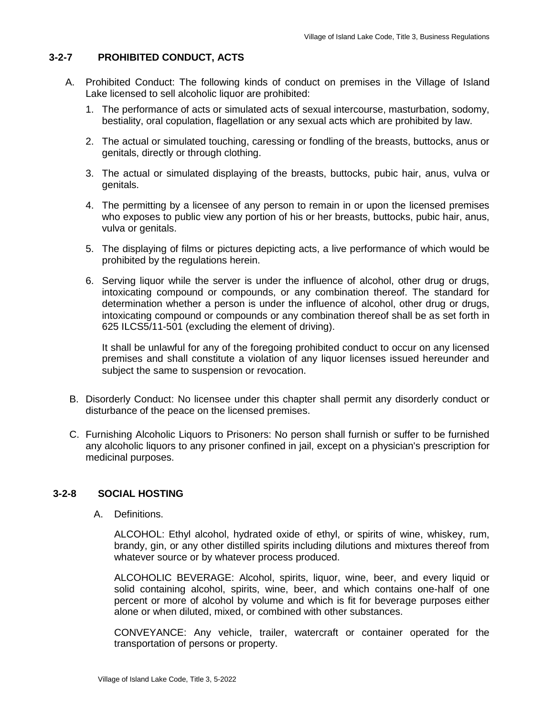# **3-2-7 PROHIBITED CONDUCT, ACTS**

- A. Prohibited Conduct: The following kinds of conduct on premises in the Village of Island Lake licensed to sell alcoholic liquor are prohibited:
	- 1. The performance of acts or simulated acts of sexual intercourse, masturbation, sodomy, bestiality, oral copulation, flagellation or any sexual acts which are prohibited by law.
	- 2. The actual or simulated touching, caressing or fondling of the breasts, buttocks, anus or genitals, directly or through clothing.
	- 3. The actual or simulated displaying of the breasts, buttocks, pubic hair, anus, vulva or genitals.
	- 4. The permitting by a licensee of any person to remain in or upon the licensed premises who exposes to public view any portion of his or her breasts, buttocks, pubic hair, anus, vulva or genitals.
	- 5. The displaying of films or pictures depicting acts, a live performance of which would be prohibited by the regulations herein.
	- 6. Serving liquor while the server is under the influence of alcohol, other drug or drugs, intoxicating compound or compounds, or any combination thereof. The standard for determination whether a person is under the influence of alcohol, other drug or drugs, intoxicating compound or compounds or any combination thereof shall be as set forth in 625 ILCS5/11-501 (excluding the element of driving).

It shall be unlawful for any of the foregoing prohibited conduct to occur on any licensed premises and shall constitute a violation of any liquor licenses issued hereunder and subject the same to suspension or revocation.

- B. Disorderly Conduct: No licensee under this chapter shall permit any disorderly conduct or disturbance of the peace on the licensed premises.
- C. Furnishing Alcoholic Liquors to Prisoners: No person shall furnish or suffer to be furnished any alcoholic liquors to any prisoner confined in jail, except on a physician's prescription for medicinal purposes.

# **3-2-8 SOCIAL HOSTING**

A. Definitions.

ALCOHOL: Ethyl alcohol, hydrated oxide of ethyl, or spirits of wine, whiskey, rum, brandy, gin, or any other distilled spirits including dilutions and mixtures thereof from whatever source or by whatever process produced.

ALCOHOLIC BEVERAGE: Alcohol, spirits, liquor, wine, beer, and every liquid or solid containing alcohol, spirits, wine, beer, and which contains one-half of one percent or more of alcohol by volume and which is fit for beverage purposes either alone or when diluted, mixed, or combined with other substances.

CONVEYANCE: Any vehicle, trailer, watercraft or container operated for the transportation of persons or property.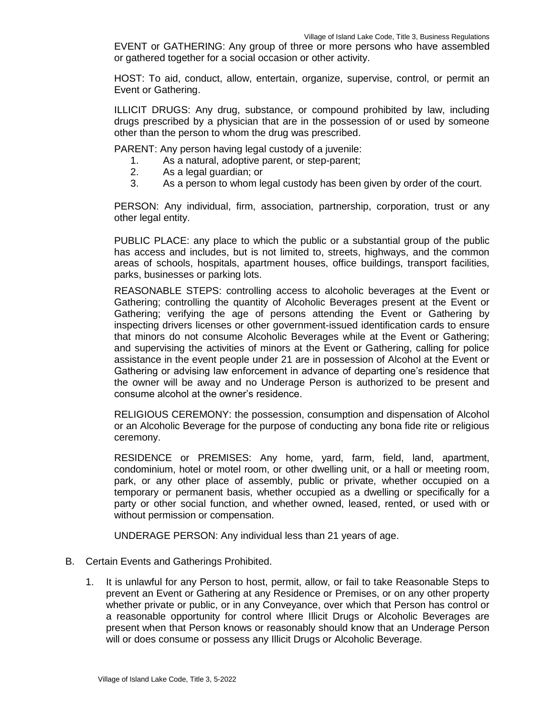EVENT or GATHERING: Any group of three or more persons who have assembled or gathered together for a social occasion or other activity.

HOST: To aid, conduct, allow, entertain, organize, supervise, control, or permit an Event or Gathering.

ILLICIT DRUGS: Any drug, substance, or compound prohibited by law, including drugs prescribed by a physician that are in the possession of or used by someone other than the person to whom the drug was prescribed.

PARENT: Any person having legal custody of a juvenile:

- 1. As a natural, adoptive parent, or step-parent;
- 2. As a legal guardian; or
- 3. As a person to whom legal custody has been given by order of the court.

PERSON: Any individual, firm, association, partnership, corporation, trust or any other legal entity.

PUBLIC PLACE: any place to which the public or a substantial group of the public has access and includes, but is not limited to, streets, highways, and the common areas of schools, hospitals, apartment houses, office buildings, transport facilities, parks, businesses or parking lots.

REASONABLE STEPS: controlling access to alcoholic beverages at the Event or Gathering; controlling the quantity of Alcoholic Beverages present at the Event or Gathering; verifying the age of persons attending the Event or Gathering by inspecting drivers licenses or other government-issued identification cards to ensure that minors do not consume Alcoholic Beverages while at the Event or Gathering; and supervising the activities of minors at the Event or Gathering, calling for police assistance in the event people under 21 are in possession of Alcohol at the Event or Gathering or advising law enforcement in advance of departing one's residence that the owner will be away and no Underage Person is authorized to be present and consume alcohol at the owner's residence.

RELIGIOUS CEREMONY: the possession, consumption and dispensation of Alcohol or an Alcoholic Beverage for the purpose of conducting any bona fide rite or religious ceremony.

RESIDENCE or PREMISES: Any home, yard, farm, field, land, apartment, condominium, hotel or motel room, or other dwelling unit, or a hall or meeting room, park, or any other place of assembly, public or private, whether occupied on a temporary or permanent basis, whether occupied as a dwelling or specifically for a party or other social function, and whether owned, leased, rented, or used with or without permission or compensation.

UNDERAGE PERSON: Any individual less than 21 years of age.

- B. Certain Events and Gatherings Prohibited.
	- 1. It is unlawful for any Person to host, permit, allow, or fail to take Reasonable Steps to prevent an Event or Gathering at any Residence or Premises, or on any other property whether private or public, or in any Conveyance, over which that Person has control or a reasonable opportunity for control where Illicit Drugs or Alcoholic Beverages are present when that Person knows or reasonably should know that an Underage Person will or does consume or possess any Illicit Drugs or Alcoholic Beverage.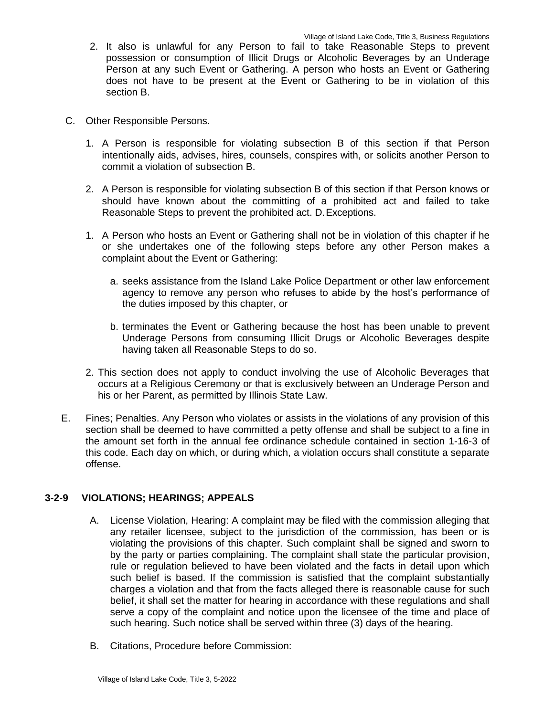- 2. It also is unlawful for any Person to fail to take Reasonable Steps to prevent possession or consumption of Illicit Drugs or Alcoholic Beverages by an Underage Person at any such Event or Gathering. A person who hosts an Event or Gathering does not have to be present at the Event or Gathering to be in violation of this section B.
- C. Other Responsible Persons.
	- 1. A Person is responsible for violating subsection B of this section if that Person intentionally aids, advises, hires, counsels, conspires with, or solicits another Person to commit a violation of subsection B.
	- 2. A Person is responsible for violating subsection B of this section if that Person knows or should have known about the committing of a prohibited act and failed to take Reasonable Steps to prevent the prohibited act. D.Exceptions.
	- 1. A Person who hosts an Event or Gathering shall not be in violation of this chapter if he or she undertakes one of the following steps before any other Person makes a complaint about the Event or Gathering:
		- a. seeks assistance from the Island Lake Police Department or other law enforcement agency to remove any person who refuses to abide by the host's performance of the duties imposed by this chapter, or
		- b. terminates the Event or Gathering because the host has been unable to prevent Underage Persons from consuming Illicit Drugs or Alcoholic Beverages despite having taken all Reasonable Steps to do so.
	- 2. This section does not apply to conduct involving the use of Alcoholic Beverages that occurs at a Religious Ceremony or that is exclusively between an Underage Person and his or her Parent, as permitted by Illinois State Law.
- E. Fines; Penalties. Any Person who violates or assists in the violations of any provision of this section shall be deemed to have committed a petty offense and shall be subject to a fine in the amount set forth in the annual fee ordinance schedule contained in section 1-16-3 of this code. Each day on which, or during which, a violation occurs shall constitute a separate offense.

### **3-2-9 VIOLATIONS; HEARINGS; APPEALS**

- A. License Violation, Hearing: A complaint may be filed with the commission alleging that any retailer licensee, subject to the jurisdiction of the commission, has been or is violating the provisions of this chapter. Such complaint shall be signed and sworn to by the party or parties complaining. The complaint shall state the particular provision, rule or regulation believed to have been violated and the facts in detail upon which such belief is based. If the commission is satisfied that the complaint substantially charges a violation and that from the facts alleged there is reasonable cause for such belief, it shall set the matter for hearing in accordance with these regulations and shall serve a copy of the complaint and notice upon the licensee of the time and place of such hearing. Such notice shall be served within three (3) days of the hearing.
- B. Citations, Procedure before Commission: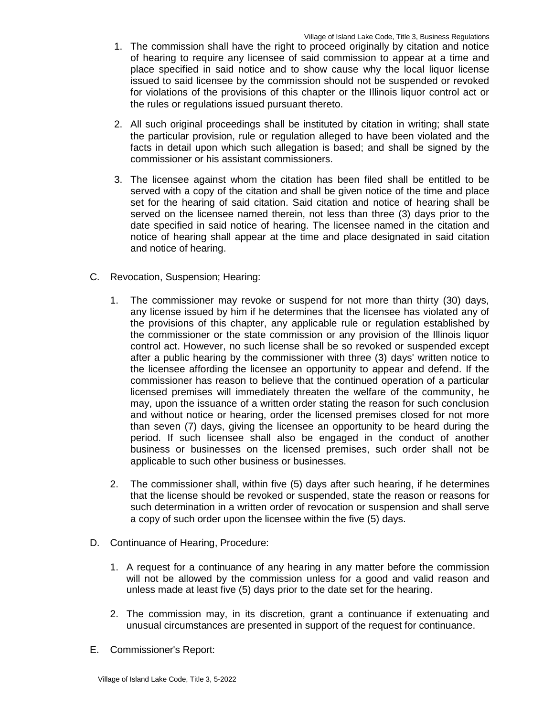- 1. The commission shall have the right to proceed originally by citation and notice of hearing to require any licensee of said commission to appear at a time and place specified in said notice and to show cause why the local liquor license issued to said licensee by the commission should not be suspended or revoked for violations of the provisions of this chapter or the Illinois liquor control act or the rules or regulations issued pursuant thereto.
- 2. All such original proceedings shall be instituted by citation in writing; shall state the particular provision, rule or regulation alleged to have been violated and the facts in detail upon which such allegation is based; and shall be signed by the commissioner or his assistant commissioners.
- 3. The licensee against whom the citation has been filed shall be entitled to be served with a copy of the citation and shall be given notice of the time and place set for the hearing of said citation. Said citation and notice of hearing shall be served on the licensee named therein, not less than three (3) days prior to the date specified in said notice of hearing. The licensee named in the citation and notice of hearing shall appear at the time and place designated in said citation and notice of hearing.
- C. Revocation, Suspension; Hearing:
	- 1. The commissioner may revoke or suspend for not more than thirty (30) days, any license issued by him if he determines that the licensee has violated any of the provisions of this chapter, any applicable rule or regulation established by the commissioner or the state commission or any provision of the Illinois liquor control act. However, no such license shall be so revoked or suspended except after a public hearing by the commissioner with three (3) days' written notice to the licensee affording the licensee an opportunity to appear and defend. If the commissioner has reason to believe that the continued operation of a particular licensed premises will immediately threaten the welfare of the community, he may, upon the issuance of a written order stating the reason for such conclusion and without notice or hearing, order the licensed premises closed for not more than seven (7) days, giving the licensee an opportunity to be heard during the period. If such licensee shall also be engaged in the conduct of another business or businesses on the licensed premises, such order shall not be applicable to such other business or businesses.
	- 2. The commissioner shall, within five (5) days after such hearing, if he determines that the license should be revoked or suspended, state the reason or reasons for such determination in a written order of revocation or suspension and shall serve a copy of such order upon the licensee within the five (5) days.
- D. Continuance of Hearing, Procedure:
	- 1. A request for a continuance of any hearing in any matter before the commission will not be allowed by the commission unless for a good and valid reason and unless made at least five (5) days prior to the date set for the hearing.
	- 2. The commission may, in its discretion, grant a continuance if extenuating and unusual circumstances are presented in support of the request for continuance.
- E. Commissioner's Report: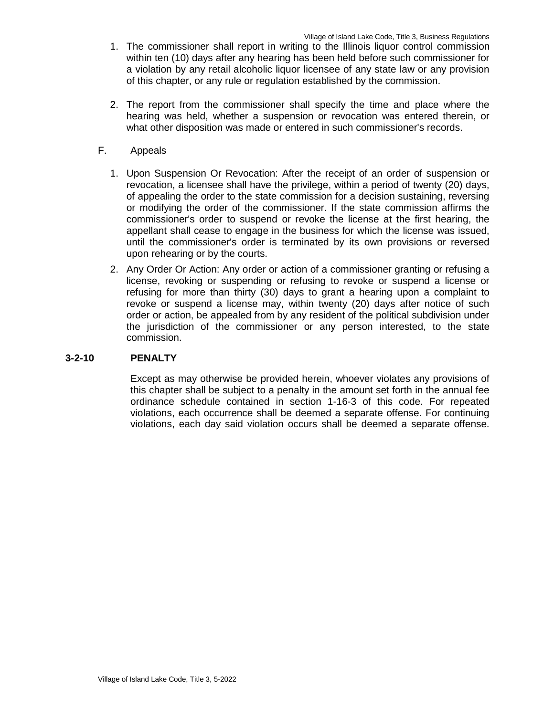- 1. The commissioner shall report in writing to the Illinois liquor control commission within ten (10) days after any hearing has been held before such commissioner for a violation by any retail alcoholic liquor licensee of any state law or any provision of this chapter, or any rule or regulation established by the commission.
- 2. The report from the commissioner shall specify the time and place where the hearing was held, whether a suspension or revocation was entered therein, or what other disposition was made or entered in such commissioner's records.

# F. Appeals

- 1. Upon Suspension Or Revocation: After the receipt of an order of suspension or revocation, a licensee shall have the privilege, within a period of twenty (20) days, of appealing the order to the state commission for a decision sustaining, reversing or modifying the order of the commissioner. If the state commission affirms the commissioner's order to suspend or revoke the license at the first hearing, the appellant shall cease to engage in the business for which the license was issued, until the commissioner's order is terminated by its own provisions or reversed upon rehearing or by the courts.
- 2. Any Order Or Action: Any order or action of a commissioner granting or refusing a license, revoking or suspending or refusing to revoke or suspend a license or refusing for more than thirty (30) days to grant a hearing upon a complaint to revoke or suspend a license may, within twenty (20) days after notice of such order or action, be appealed from by any resident of the political subdivision under the jurisdiction of the commissioner or any person interested, to the state commission.

### **3-2-10 PENALTY**

Except as may otherwise be provided herein, whoever violates any provisions of this chapter shall be subject to a penalty in the amount set forth in the annual fee ordinance schedule contained in section 1-16-3 of this code. For repeated violations, each occurrence shall be deemed a separate offense. For continuing violations, each day said violation occurs shall be deemed a separate offense.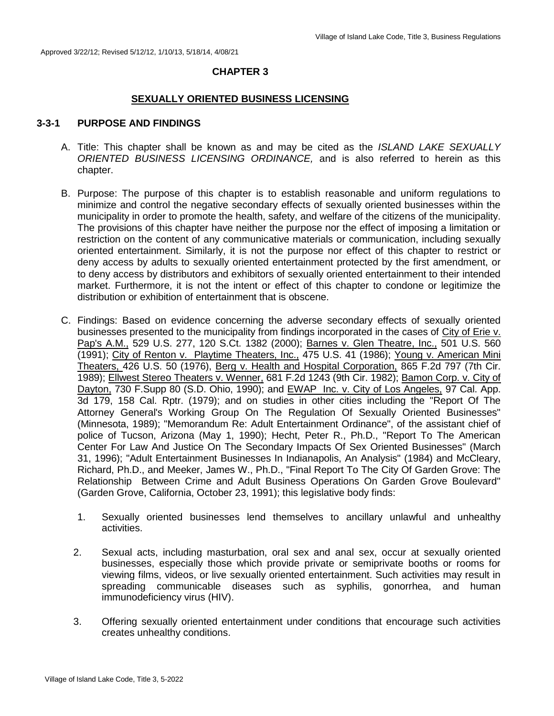# **CHAPTER 3**

### **SEXUALLY ORIENTED BUSINESS LICENSING**

### **3-3-1 PURPOSE AND FINDINGS**

- A. Title: This chapter shall be known as and may be cited as the *ISLAND LAKE SEXUALLY ORIENTED BUSINESS LICENSING ORDINANCE,* and is also referred to herein as this chapter.
- B. Purpose: The purpose of this chapter is to establish reasonable and uniform regulations to minimize and control the negative secondary effects of sexually oriented businesses within the municipality in order to promote the health, safety, and welfare of the citizens of the municipality. The provisions of this chapter have neither the purpose nor the effect of imposing a limitation or restriction on the content of any communicative materials or communication, including sexually oriented entertainment. Similarly, it is not the purpose nor effect of this chapter to restrict or deny access by adults to sexually oriented entertainment protected by the first amendment, or to deny access by distributors and exhibitors of sexually oriented entertainment to their intended market. Furthermore, it is not the intent or effect of this chapter to condone or legitimize the distribution or exhibition of entertainment that is obscene.
- C. Findings: Based on evidence concerning the adverse secondary effects of sexually oriented businesses presented to the municipality from findings incorporated in the cases of City of Erie v. Pap's A.M., 529 U.S. 277, 120 S.Ct. 1382 (2000); Barnes v. Glen Theatre, Inc., 501 U.S. 560 (1991); City of Renton v. Playtime Theaters, Inc., 475 U.S. 41 (1986); Young v. American Mini Theaters, 426 U.S. 50 (1976), Berg v. Health and Hospital Corporation, 865 F.2d 797 (7th Cir. 1989); Ellwest Stereo Theaters v. Wenner, 681 F.2d 1243 (9th Cir. 1982); Bamon Corp. v. City of Dayton, 730 F.Supp 80 (S.D. Ohio, 1990); and EWAP Inc. v. City of Los Angeles, 97 Cal. App. 3d 179, 158 Cal. Rptr. (1979); and on studies in other cities including the "Report Of The Attorney General's Working Group On The Regulation Of Sexually Oriented Businesses" (Minnesota, 1989); "Memorandum Re: Adult Entertainment Ordinance", of the assistant chief of police of Tucson, Arizona (May 1, 1990); Hecht, Peter R., Ph.D., "Report To The American Center For Law And Justice On The Secondary Impacts Of Sex Oriented Businesses" (March 31, 1996); "Adult Entertainment Businesses In Indianapolis, An Analysis" (1984) and McCleary, Richard, Ph.D., and Meeker, James W., Ph.D., "Final Report To The City Of Garden Grove: The Relationship Between Crime and Adult Business Operations On Garden Grove Boulevard" (Garden Grove, California, October 23, 1991); this legislative body finds:
	- 1. Sexually oriented businesses lend themselves to ancillary unlawful and unhealthy activities.
	- 2. Sexual acts, including masturbation, oral sex and anal sex, occur at sexually oriented businesses, especially those which provide private or semiprivate booths or rooms for viewing films, videos, or live sexually oriented entertainment. Such activities may result in spreading communicable diseases such as syphilis, gonorrhea, and human immunodeficiency virus (HIV).
	- 3. Offering sexually oriented entertainment under conditions that encourage such activities creates unhealthy conditions.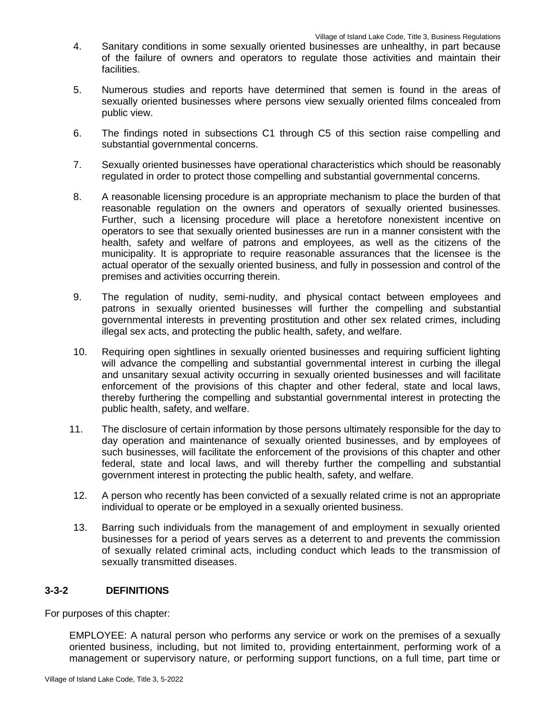- 4. Sanitary conditions in some sexually oriented businesses are unhealthy, in part because of the failure of owners and operators to regulate those activities and maintain their facilities.
- 5. Numerous studies and reports have determined that semen is found in the areas of sexually oriented businesses where persons view sexually oriented films concealed from public view.
- 6. The findings noted in subsections C1 through C5 of this section raise compelling and substantial governmental concerns.
- 7. Sexually oriented businesses have operational characteristics which should be reasonably regulated in order to protect those compelling and substantial governmental concerns.
- 8. A reasonable licensing procedure is an appropriate mechanism to place the burden of that reasonable regulation on the owners and operators of sexually oriented businesses. Further, such a licensing procedure will place a heretofore nonexistent incentive on operators to see that sexually oriented businesses are run in a manner consistent with the health, safety and welfare of patrons and employees, as well as the citizens of the municipality. It is appropriate to require reasonable assurances that the licensee is the actual operator of the sexually oriented business, and fully in possession and control of the premises and activities occurring therein.
- 9. The regulation of nudity, semi-nudity, and physical contact between employees and patrons in sexually oriented businesses will further the compelling and substantial governmental interests in preventing prostitution and other sex related crimes, including illegal sex acts, and protecting the public health, safety, and welfare.
- 10. Requiring open sightlines in sexually oriented businesses and requiring sufficient lighting will advance the compelling and substantial governmental interest in curbing the illegal and unsanitary sexual activity occurring in sexually oriented businesses and will facilitate enforcement of the provisions of this chapter and other federal, state and local laws, thereby furthering the compelling and substantial governmental interest in protecting the public health, safety, and welfare.
- 11. The disclosure of certain information by those persons ultimately responsible for the day to day operation and maintenance of sexually oriented businesses, and by employees of such businesses, will facilitate the enforcement of the provisions of this chapter and other federal, state and local laws, and will thereby further the compelling and substantial government interest in protecting the public health, safety, and welfare.
- 12. A person who recently has been convicted of a sexually related crime is not an appropriate individual to operate or be employed in a sexually oriented business.
- 13. Barring such individuals from the management of and employment in sexually oriented businesses for a period of years serves as a deterrent to and prevents the commission of sexually related criminal acts, including conduct which leads to the transmission of sexually transmitted diseases.

# **3-3-2 DEFINITIONS**

For purposes of this chapter:

EMPLOYEE: A natural person who performs any service or work on the premises of a sexually oriented business, including, but not limited to, providing entertainment, performing work of a management or supervisory nature, or performing support functions, on a full time, part time or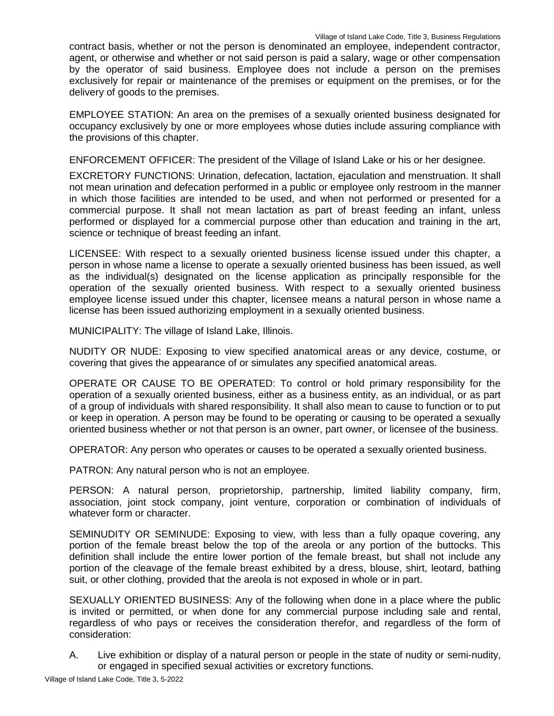contract basis, whether or not the person is denominated an employee, independent contractor, agent, or otherwise and whether or not said person is paid a salary, wage or other compensation by the operator of said business. Employee does not include a person on the premises exclusively for repair or maintenance of the premises or equipment on the premises, or for the delivery of goods to the premises.

EMPLOYEE STATION: An area on the premises of a sexually oriented business designated for occupancy exclusively by one or more employees whose duties include assuring compliance with the provisions of this chapter.

ENFORCEMENT OFFICER: The president of the Village of Island Lake or his or her designee.

EXCRETORY FUNCTIONS: Urination, defecation, lactation, ejaculation and menstruation. It shall not mean urination and defecation performed in a public or employee only restroom in the manner in which those facilities are intended to be used, and when not performed or presented for a commercial purpose. It shall not mean lactation as part of breast feeding an infant, unless performed or displayed for a commercial purpose other than education and training in the art, science or technique of breast feeding an infant.

LICENSEE: With respect to a sexually oriented business license issued under this chapter, a person in whose name a license to operate a sexually oriented business has been issued, as well as the individual(s) designated on the license application as principally responsible for the operation of the sexually oriented business. With respect to a sexually oriented business employee license issued under this chapter, licensee means a natural person in whose name a license has been issued authorizing employment in a sexually oriented business.

MUNICIPALITY: The village of Island Lake, Illinois.

NUDITY OR NUDE: Exposing to view specified anatomical areas or any device, costume, or covering that gives the appearance of or simulates any specified anatomical areas.

OPERATE OR CAUSE TO BE OPERATED: To control or hold primary responsibility for the operation of a sexually oriented business, either as a business entity, as an individual, or as part of a group of individuals with shared responsibility. It shall also mean to cause to function or to put or keep in operation. A person may be found to be operating or causing to be operated a sexually oriented business whether or not that person is an owner, part owner, or licensee of the business.

OPERATOR: Any person who operates or causes to be operated a sexually oriented business.

PATRON: Any natural person who is not an employee.

PERSON: A natural person, proprietorship, partnership, limited liability company, firm, association, joint stock company, joint venture, corporation or combination of individuals of whatever form or character.

SEMINUDITY OR SEMINUDE: Exposing to view, with less than a fully opaque covering, any portion of the female breast below the top of the areola or any portion of the buttocks. This definition shall include the entire lower portion of the female breast, but shall not include any portion of the cleavage of the female breast exhibited by a dress, blouse, shirt, leotard, bathing suit, or other clothing, provided that the areola is not exposed in whole or in part.

SEXUALLY ORIENTED BUSINESS: Any of the following when done in a place where the public is invited or permitted, or when done for any commercial purpose including sale and rental, regardless of who pays or receives the consideration therefor, and regardless of the form of consideration:

A. Live exhibition or display of a natural person or people in the state of nudity or semi-nudity, or engaged in specified sexual activities or excretory functions.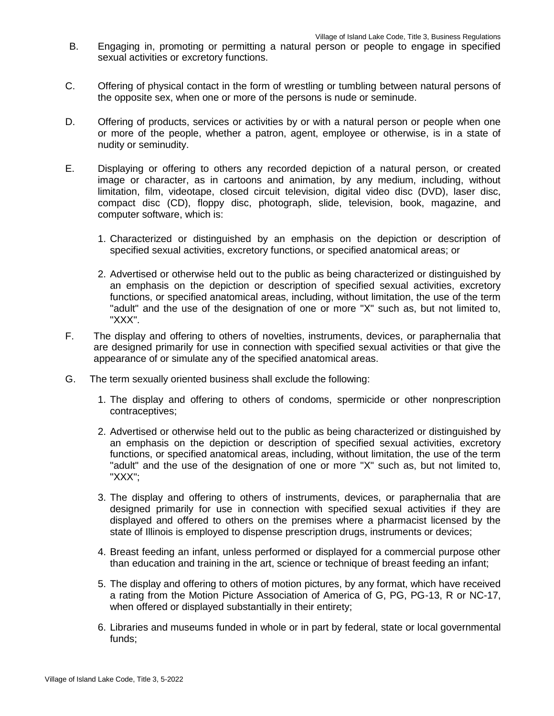- B. Engaging in, promoting or permitting a natural person or people to engage in specified sexual activities or excretory functions.
- C. Offering of physical contact in the form of wrestling or tumbling between natural persons of the opposite sex, when one or more of the persons is nude or seminude.
- D. Offering of products, services or activities by or with a natural person or people when one or more of the people, whether a patron, agent, employee or otherwise, is in a state of nudity or seminudity.
- E. Displaying or offering to others any recorded depiction of a natural person, or created image or character, as in cartoons and animation, by any medium, including, without limitation, film, videotape, closed circuit television, digital video disc (DVD), laser disc, compact disc (CD), floppy disc, photograph, slide, television, book, magazine, and computer software, which is:
	- 1. Characterized or distinguished by an emphasis on the depiction or description of specified sexual activities, excretory functions, or specified anatomical areas; or
	- 2. Advertised or otherwise held out to the public as being characterized or distinguished by an emphasis on the depiction or description of specified sexual activities, excretory functions, or specified anatomical areas, including, without limitation, the use of the term "adult" and the use of the designation of one or more "X" such as, but not limited to, "XXX".
- F. The display and offering to others of novelties, instruments, devices, or paraphernalia that are designed primarily for use in connection with specified sexual activities or that give the appearance of or simulate any of the specified anatomical areas.
- G. The term sexually oriented business shall exclude the following:
	- 1. The display and offering to others of condoms, spermicide or other nonprescription contraceptives;
	- 2. Advertised or otherwise held out to the public as being characterized or distinguished by an emphasis on the depiction or description of specified sexual activities, excretory functions, or specified anatomical areas, including, without limitation, the use of the term "adult" and the use of the designation of one or more "X" such as, but not limited to, "XXX";
	- 3. The display and offering to others of instruments, devices, or paraphernalia that are designed primarily for use in connection with specified sexual activities if they are displayed and offered to others on the premises where a pharmacist licensed by the state of Illinois is employed to dispense prescription drugs, instruments or devices;
	- 4. Breast feeding an infant, unless performed or displayed for a commercial purpose other than education and training in the art, science or technique of breast feeding an infant;
	- 5. The display and offering to others of motion pictures, by any format, which have received a rating from the Motion Picture Association of America of G, PG, PG-13, R or NC-17, when offered or displayed substantially in their entirety;
	- 6. Libraries and museums funded in whole or in part by federal, state or local governmental funds;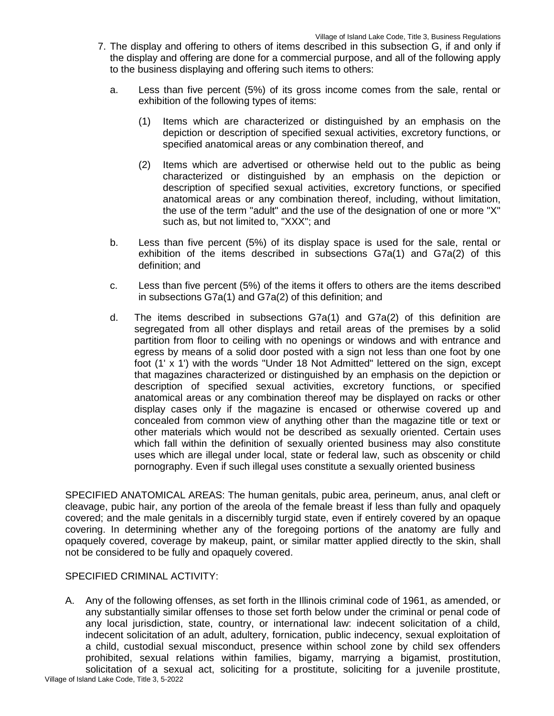- 7. The display and offering to others of items described in this subsection G, if and only if the display and offering are done for a commercial purpose, and all of the following apply to the business displaying and offering such items to others:
	- a. Less than five percent (5%) of its gross income comes from the sale, rental or exhibition of the following types of items:
		- (1) Items which are characterized or distinguished by an emphasis on the depiction or description of specified sexual activities, excretory functions, or specified anatomical areas or any combination thereof, and
		- (2) Items which are advertised or otherwise held out to the public as being characterized or distinguished by an emphasis on the depiction or description of specified sexual activities, excretory functions, or specified anatomical areas or any combination thereof, including, without limitation, the use of the term "adult" and the use of the designation of one or more "X" such as, but not limited to, "XXX"; and
	- b. Less than five percent (5%) of its display space is used for the sale, rental or exhibition of the items described in subsections G7a(1) and G7a(2) of this definition; and
	- c. Less than five percent (5%) of the items it offers to others are the items described in subsections G7a(1) and G7a(2) of this definition; and
	- d. The items described in subsections G7a(1) and G7a(2) of this definition are segregated from all other displays and retail areas of the premises by a solid partition from floor to ceiling with no openings or windows and with entrance and egress by means of a solid door posted with a sign not less than one foot by one foot (1' x 1') with the words "Under 18 Not Admitted" lettered on the sign, except that magazines characterized or distinguished by an emphasis on the depiction or description of specified sexual activities, excretory functions, or specified anatomical areas or any combination thereof may be displayed on racks or other display cases only if the magazine is encased or otherwise covered up and concealed from common view of anything other than the magazine title or text or other materials which would not be described as sexually oriented. Certain uses which fall within the definition of sexually oriented business may also constitute uses which are illegal under local, state or federal law, such as obscenity or child pornography. Even if such illegal uses constitute a sexually oriented business

SPECIFIED ANATOMICAL AREAS: The human genitals, pubic area, perineum, anus, anal cleft or cleavage, pubic hair, any portion of the areola of the female breast if less than fully and opaquely covered; and the male genitals in a discernibly turgid state, even if entirely covered by an opaque covering. In determining whether any of the foregoing portions of the anatomy are fully and opaquely covered, coverage by makeup, paint, or similar matter applied directly to the skin, shall not be considered to be fully and opaquely covered.

# SPECIFIED CRIMINAL ACTIVITY:

A. Any of the following offenses, as set forth in the Illinois criminal code of 1961, as amended, or any substantially similar offenses to those set forth below under the criminal or penal code of any local jurisdiction, state, country, or international law: indecent solicitation of a child, indecent solicitation of an adult, adultery, fornication, public indecency, sexual exploitation of a child, custodial sexual misconduct, presence within school zone by child sex offenders prohibited, sexual relations within families, bigamy, marrying a bigamist, prostitution, solicitation of a sexual act, soliciting for a prostitute, soliciting for a juvenile prostitute,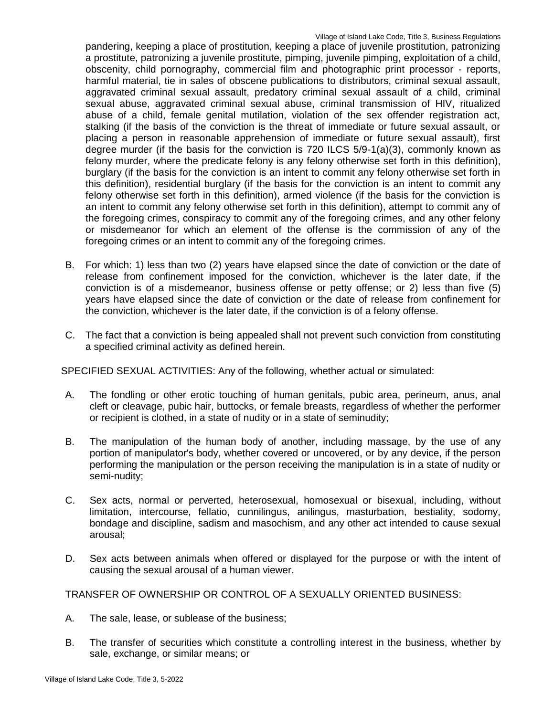pandering, keeping a place of prostitution, keeping a place of juvenile prostitution, patronizing a prostitute, patronizing a juvenile prostitute, pimping, juvenile pimping, exploitation of a child, obscenity, child pornography, commercial film and photographic print processor - reports, harmful material, tie in sales of obscene publications to distributors, criminal sexual assault, aggravated criminal sexual assault, predatory criminal sexual assault of a child, criminal sexual abuse, aggravated criminal sexual abuse, criminal transmission of HIV, ritualized abuse of a child, female genital mutilation, violation of the sex offender registration act, stalking (if the basis of the conviction is the threat of immediate or future sexual assault, or placing a person in reasonable apprehension of immediate or future sexual assault), first degree murder (if the basis for the conviction is 720 ILCS 5/9-1(a)(3), commonly known as felony murder, where the predicate felony is any felony otherwise set forth in this definition), burglary (if the basis for the conviction is an intent to commit any felony otherwise set forth in this definition), residential burglary (if the basis for the conviction is an intent to commit any felony otherwise set forth in this definition), armed violence (if the basis for the conviction is an intent to commit any felony otherwise set forth in this definition), attempt to commit any of the foregoing crimes, conspiracy to commit any of the foregoing crimes, and any other felony or misdemeanor for which an element of the offense is the commission of any of the foregoing crimes or an intent to commit any of the foregoing crimes.

- B. For which: 1) less than two (2) years have elapsed since the date of conviction or the date of release from confinement imposed for the conviction, whichever is the later date, if the conviction is of a misdemeanor, business offense or petty offense; or 2) less than five (5) years have elapsed since the date of conviction or the date of release from confinement for the conviction, whichever is the later date, if the conviction is of a felony offense.
- C. The fact that a conviction is being appealed shall not prevent such conviction from constituting a specified criminal activity as defined herein.

SPECIFIED SEXUAL ACTIVITIES: Any of the following, whether actual or simulated:

- A. The fondling or other erotic touching of human genitals, pubic area, perineum, anus, anal cleft or cleavage, pubic hair, buttocks, or female breasts, regardless of whether the performer or recipient is clothed, in a state of nudity or in a state of seminudity;
- B. The manipulation of the human body of another, including massage, by the use of any portion of manipulator's body, whether covered or uncovered, or by any device, if the person performing the manipulation or the person receiving the manipulation is in a state of nudity or semi-nudity;
- C. Sex acts, normal or perverted, heterosexual, homosexual or bisexual, including, without limitation, intercourse, fellatio, cunnilingus, anilingus, masturbation, bestiality, sodomy, bondage and discipline, sadism and masochism, and any other act intended to cause sexual arousal;
- D. Sex acts between animals when offered or displayed for the purpose or with the intent of causing the sexual arousal of a human viewer.

TRANSFER OF OWNERSHIP OR CONTROL OF A SEXUALLY ORIENTED BUSINESS:

- A. The sale, lease, or sublease of the business;
- B. The transfer of securities which constitute a controlling interest in the business, whether by sale, exchange, or similar means; or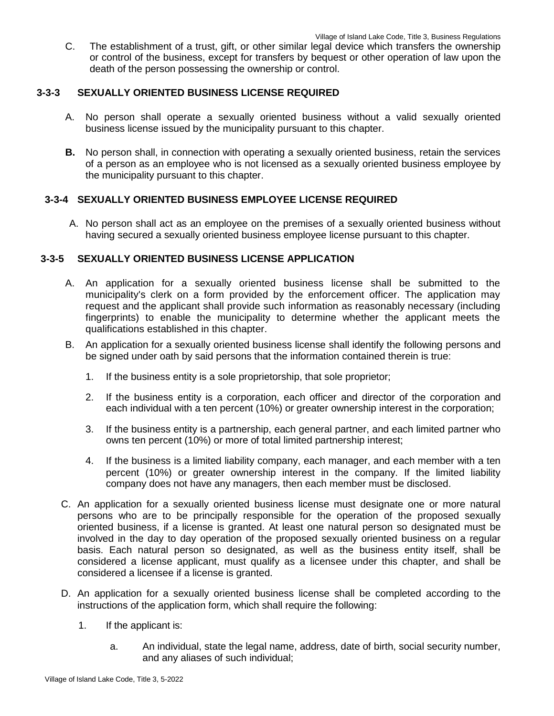C. The establishment of a trust, gift, or other similar legal device which transfers the ownership or control of the business, except for transfers by bequest or other operation of law upon the death of the person possessing the ownership or control.

## **3-3-3 SEXUALLY ORIENTED BUSINESS LICENSE REQUIRED**

- A. No person shall operate a sexually oriented business without a valid sexually oriented business license issued by the municipality pursuant to this chapter.
- **B.** No person shall, in connection with operating a sexually oriented business, retain the services of a person as an employee who is not licensed as a sexually oriented business employee by the municipality pursuant to this chapter.

# **3-3-4 SEXUALLY ORIENTED BUSINESS EMPLOYEE LICENSE REQUIRED**

A. No person shall act as an employee on the premises of a sexually oriented business without having secured a sexually oriented business employee license pursuant to this chapter.

## **3-3-5 SEXUALLY ORIENTED BUSINESS LICENSE APPLICATION**

- A. An application for a sexually oriented business license shall be submitted to the municipality's clerk on a form provided by the enforcement officer. The application may request and the applicant shall provide such information as reasonably necessary (including fingerprints) to enable the municipality to determine whether the applicant meets the qualifications established in this chapter.
- B. An application for a sexually oriented business license shall identify the following persons and be signed under oath by said persons that the information contained therein is true:
	- 1. If the business entity is a sole proprietorship, that sole proprietor;
	- 2. If the business entity is a corporation, each officer and director of the corporation and each individual with a ten percent (10%) or greater ownership interest in the corporation;
	- 3. If the business entity is a partnership, each general partner, and each limited partner who owns ten percent (10%) or more of total limited partnership interest;
	- 4. If the business is a limited liability company, each manager, and each member with a ten percent (10%) or greater ownership interest in the company. If the limited liability company does not have any managers, then each member must be disclosed.
- C. An application for a sexually oriented business license must designate one or more natural persons who are to be principally responsible for the operation of the proposed sexually oriented business, if a license is granted. At least one natural person so designated must be involved in the day to day operation of the proposed sexually oriented business on a regular basis. Each natural person so designated, as well as the business entity itself, shall be considered a license applicant, must qualify as a licensee under this chapter, and shall be considered a licensee if a license is granted.
- D. An application for a sexually oriented business license shall be completed according to the instructions of the application form, which shall require the following:
	- 1. If the applicant is:
		- a. An individual, state the legal name, address, date of birth, social security number, and any aliases of such individual;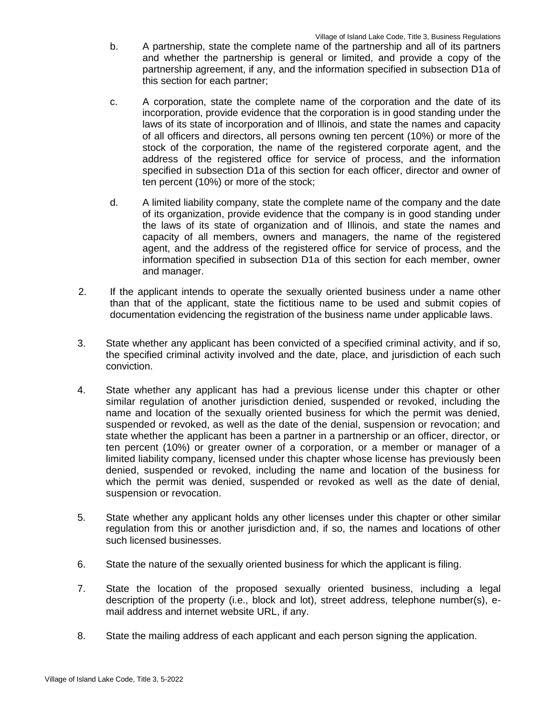- b. A partnership, state the complete name of the partnership and all of its partners and whether the partnership is general or limited, and provide a copy of the partnership agreement, if any, and the information specified in subsection D1a of this section for each partner;
- c. A corporation, state the complete name of the corporation and the date of its incorporation, provide evidence that the corporation is in good standing under the laws of its state of incorporation and of Illinois, and state the names and capacity of all officers and directors, all persons owning ten percent (10%) or more of the stock of the corporation, the name of the registered corporate agent, and the address of the registered office for service of process, and the information specified in subsection D1a of this section for each officer, director and owner of ten percent (10%) or more of the stock;
- d. A limited liability company, state the complete name of the company and the date of its organization, provide evidence that the company is in good standing under the laws of its state of organization and of Illinois, and state the names and capacity of all members, owners and managers, the name of the registered agent, and the address of the registered office for service of process, and the information specified in subsection D1a of this section for each member, owner and manager.
- 2. If the applicant intends to operate the sexually oriented business under a name other than that of the applicant, state the fictitious name to be used and submit copies of documentation evidencing the registration of the business name under applicabl*e* laws.
- 3. State whether any applicant has been convicted of a specified criminal activity, and if so, the specified criminal activity involved and the date, place, and jurisdiction of each such conviction.
- 4. State whether any applicant has had a previous license under this chapter or other similar regulation of another jurisdiction denied, suspended or revoked, including the name and location of the sexually oriented business for which the permit was denied, suspended or revoked, as well as the date of the denial, suspension or revocation; and state whether the applicant has been a partner in a partnership or an officer, director, or ten percent (10%) or greater owner of a corporation, or a member or manager of a limited liability company, licensed under this chapter whose license has previously been denied, suspended or revoked, including the name and location of the business for which the permit was denied, suspended or revoked as well as the date of denial, suspension or revocation.
- 5. State whether any applicant holds any other licenses under this chapter or other similar regulation from this or another jurisdiction and, if so, the names and locations of other such licensed businesses.
- 6. State the nature of the sexually oriented business for which the applicant is filing.
- 7. State the location of the proposed sexually oriented business, including a legal description of the property (i.e., block and lot), street address, telephone number(s), email address and internet website URL, if any.
- 8. State the mailing address of each applicant and each person signing the application.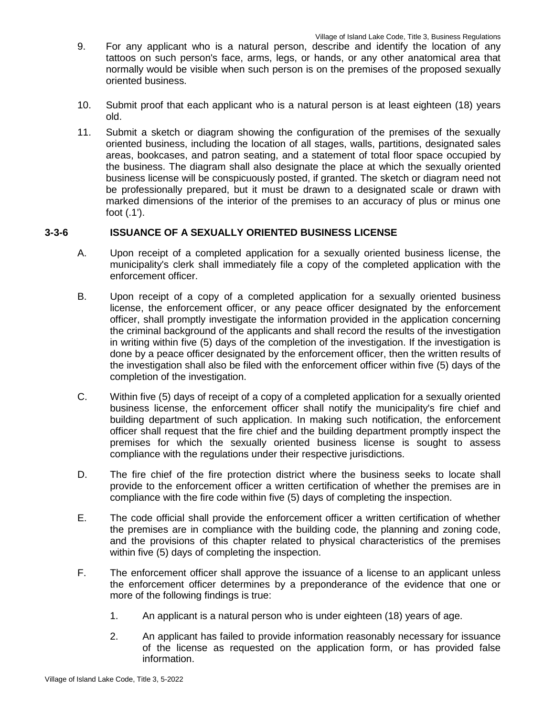- 9. For any applicant who is a natural person, describe and identify the location of any tattoos on such person's face, arms, legs, or hands, or any other anatomical area that normally would be visible when such person is on the premises of the proposed sexually oriented business.
- 10. Submit proof that each applicant who is a natural person is at least eighteen (18) years old.
- 11. Submit a sketch or diagram showing the configuration of the premises of the sexually oriented business, including the location of all stages, walls, partitions, designated sales areas, bookcases, and patron seating, and a statement of total floor space occupied by the business. The diagram shall also designate the place at which the sexually oriented business license will be conspicuously posted, if granted. The sketch or diagram need not be professionally prepared, but it must be drawn to a designated scale or drawn with marked dimensions of the interior of the premises to an accuracy of plus or minus one foot (.1').

## **3-3-6 ISSUANCE OF A SEXUALLY ORIENTED BUSINESS LICENSE**

- A. Upon receipt of a completed application for a sexually oriented business license, the municipality's clerk shall immediately file a copy of the completed application with the enforcement officer.
- B. Upon receipt of a copy of a completed application for a sexually oriented business license, the enforcement officer, or any peace officer designated by the enforcement officer, shall promptly investigate the information provided in the application concerning the criminal background of the applicants and shall record the results of the investigation in writing within five (5) days of the completion of the investigation. If the investigation is done by a peace officer designated by the enforcement officer, then the written results of the investigation shall also be filed with the enforcement officer within five (5) days of the completion of the investigation.
- C. Within five (5) days of receipt of a copy of a completed application for a sexually oriented business license, the enforcement officer shall notify the municipality's fire chief and building department of such application. In making such notification, the enforcement officer shall request that the fire chief and the building department promptly inspect the premises for which the sexually oriented business license is sought to assess compliance with the regulations under their respective jurisdictions.
- D. The fire chief of the fire protection district where the business seeks to locate shall provide to the enforcement officer a written certification of whether the premises are in compliance with the fire code within five (5) days of completing the inspection.
- E. The code official shall provide the enforcement officer a written certification of whether the premises are in compliance with the building code, the planning and zoning code, and the provisions of this chapter related to physical characteristics of the premises within five (5) days of completing the inspection.
- F. The enforcement officer shall approve the issuance of a license to an applicant unless the enforcement officer determines by a preponderance of the evidence that one or more of the following findings is true:
	- 1. An applicant is a natural person who is under eighteen (18) years of age.
	- 2. An applicant has failed to provide information reasonably necessary for issuance of the license as requested on the application form, or has provided false information.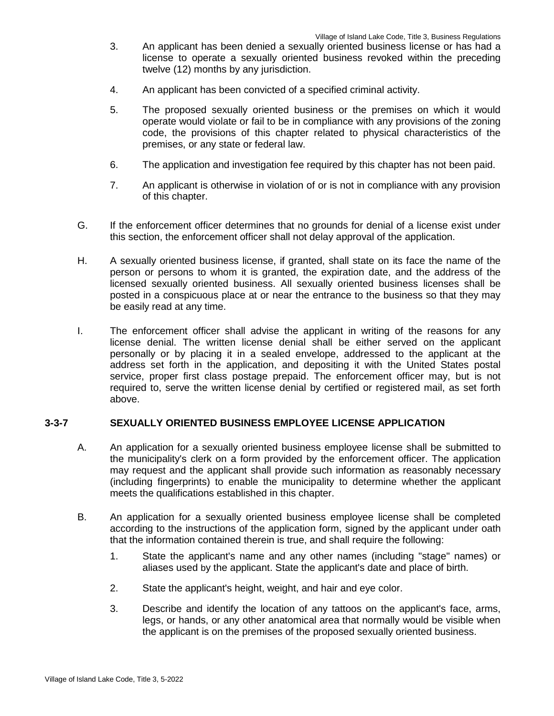- 3. An applicant has been denied a sexually oriented business license or has had a license to operate a sexually oriented business revoked within the preceding twelve (12) months by any jurisdiction.
- 4. An applicant has been convicted of a specified criminal activity.
- 5. The proposed sexually oriented business or the premises on which it would operate would violate or fail to be in compliance with any provisions of the zoning code, the provisions of this chapter related to physical characteristics of the premises, or any state or federal law.
- 6. The application and investigation fee required by this chapter has not been paid.
- 7. An applicant is otherwise in violation of or is not in compliance with any provision of this chapter.
- G. If the enforcement officer determines that no grounds for denial of a license exist under this section, the enforcement officer shall not delay approval of the application.
- H. A sexually oriented business license, if granted, shall state on its face the name of the person or persons to whom it is granted, the expiration date, and the address of the licensed sexually oriented business. All sexually oriented business licenses shall be posted in a conspicuous place at or near the entrance to the business so that they may be easily read at any time.
- I. The enforcement officer shall advise the applicant in writing of the reasons for any license denial. The written license denial shall be either served on the applicant personally or by placing it in a sealed envelope, addressed to the applicant at the address set forth in the application, and depositing it with the United States postal service, proper first class postage prepaid. The enforcement officer may, but is not required to, serve the written license denial by certified or registered mail, as set forth above.

## **3-3-7 SEXUALLY ORIENTED BUSINESS EMPLOYEE LICENSE APPLICATION**

- A. An application for a sexually oriented business employee license shall be submitted to the municipality's clerk on a form provided by the enforcement officer. The application may request and the applicant shall provide such information as reasonably necessary (including fingerprints) to enable the municipality to determine whether the applicant meets the qualifications established in this chapter.
- B. An application for a sexually oriented business employee license shall be completed according to the instructions of the application form, signed by the applicant under oath that the information contained therein is true, and shall require the following:
	- 1. State the applicant's name and any other names (including "stage" names) or aliases used by the applicant. State the applicant's date and place of birth.
	- 2. State the applicant's height, weight, and hair and eye color.
	- 3. Describe and identify the location of any tattoos on the applicant's face, arms, legs, or hands, or any other anatomical area that normally would be visible when the applicant is on the premises of the proposed sexually oriented business.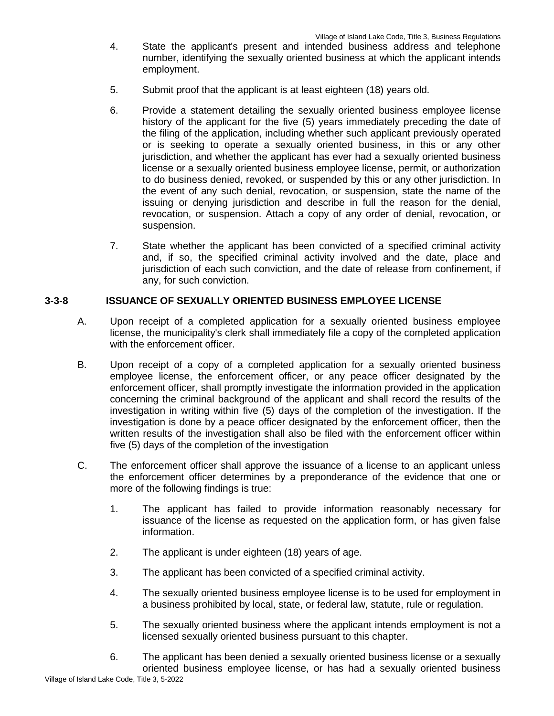- 4. State the applicant's present and intended business address and telephone number, identifying the sexually oriented business at which the applicant intends employment.
- 5. Submit proof that the applicant is at least eighteen (18) years old.
- 6. Provide a statement detailing the sexually oriented business employee license history of the applicant for the five (5) years immediately preceding the date of the filing of the application, including whether such applicant previously operated or is seeking to operate a sexually oriented business, in this or any other jurisdiction, and whether the applicant has ever had a sexually oriented business license or a sexually oriented business employee license, permit, or authorization to do business denied, revoked, or suspended by this or any other jurisdiction. In the event of any such denial, revocation, or suspension, state the name of the issuing or denying jurisdiction and describe in full the reason for the denial, revocation, or suspension. Attach a copy of any order of denial, revocation, or suspension.
- 7. State whether the applicant has been convicted of a specified criminal activity and, if so, the specified criminal activity involved and the date, place and jurisdiction of each such conviction, and the date of release from confinement, if any, for such conviction.

## **3-3-8 ISSUANCE OF SEXUALLY ORIENTED BUSINESS EMPLOYEE LICENSE**

- A. Upon receipt of a completed application for a sexually oriented business employee license, the municipality's clerk shall immediately file a copy of the completed application with the enforcement officer.
- B. Upon receipt of a copy of a completed application for a sexually oriented business employee license, the enforcement officer, or any peace officer designated by the enforcement officer, shall promptly investigate the information provided in the application concerning the criminal background of the applicant and shall record the results of the investigation in writing within five (5) days of the completion of the investigation. If the investigation is done by a peace officer designated by the enforcement officer, then the written results of the investigation shall also be filed with the enforcement officer within five (5) days of the completion of the investigation
- C. The enforcement officer shall approve the issuance of a license to an applicant unless the enforcement officer determines by a preponderance of the evidence that one or more of the following findings is true:
	- 1. The applicant has failed to provide information reasonably necessary for issuance of the license as requested on the application form, or has given false information.
	- 2. The applicant is under eighteen (18) years of age.
	- 3. The applicant has been convicted of a specified criminal activity.
	- 4. The sexually oriented business employee license is to be used for employment in a business prohibited by local, state, or federal law, statute, rule or regulation.
	- 5. The sexually oriented business where the applicant intends employment is not a licensed sexually oriented business pursuant to this chapter.
- Village of Island Lake Code, Title 3, 5-2022 6. The applicant has been denied a sexually oriented business license or a sexually oriented business employee license, or has had a sexually oriented business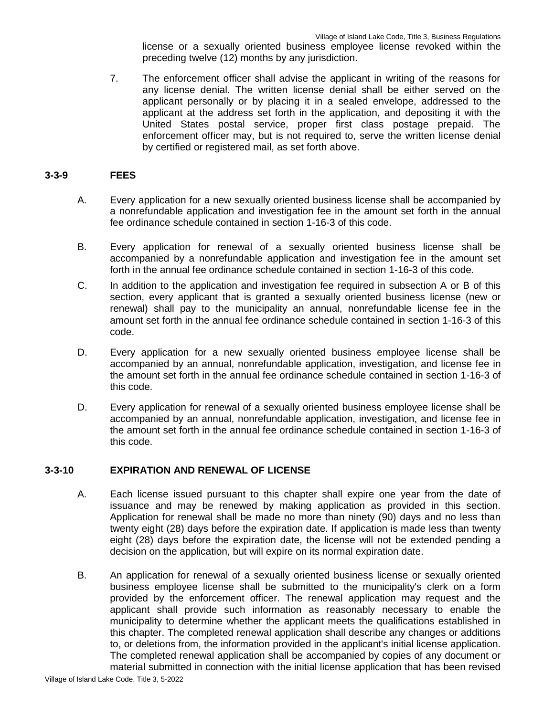license or a sexually oriented business employee license revoked within the preceding twelve (12) months by any jurisdiction.

7. The enforcement officer shall advise the applicant in writing of the reasons for any license denial. The written license denial shall be either served on the applicant personally or by placing it in a sealed envelope, addressed to the applicant at the address set forth in the application, and depositing it with the United States postal service, proper first class postage prepaid. The enforcement officer may, but is not required to, serve the written license denial by certified or registered mail, as set forth above.

### **3-3-9 FEES**

- A. Every application for a new sexually oriented business license shall be accompanied by a nonrefundable application and investigation fee in the amount set forth in the annual fee ordinance schedule contained in section 1-16-3 of this code.
- B. Every application for renewal of a sexually oriented business license shall be accompanied by a nonrefundable application and investigation fee in the amount set forth in the annual fee ordinance schedule contained in section 1-16-3 of this code.
- C. In addition to the application and investigation fee required in subsection A or B of this section, every applicant that is granted a sexually oriented business license (new or renewal) shall pay to the municipality an annual, nonrefundable license fee in the amount set forth in the annual fee ordinance schedule contained in section 1-16-3 of this code.
- D. Every application for a new sexually oriented business employee license shall be accompanied by an annual, nonrefundable application, investigation, and license fee in the amount set forth in the annual fee ordinance schedule contained in section 1-16-3 of this code.
- D. Every application for renewal of a sexually oriented business employee license shall be accompanied by an annual, nonrefundable application, investigation, and license fee in the amount set forth in the annual fee ordinance schedule contained in section 1-16-3 of this code.

### **3-3-10 EXPIRATION AND RENEWAL OF LICENSE**

- A. Each license issued pursuant to this chapter shall expire one year from the date of issuance and may be renewed by making application as provided in this section. Application for renewal shall be made no more than ninety (90) days and no less than twenty eight (28) days before the expiration date. If application is made less than twenty eight (28) days before the expiration date, the license will not be extended pending a decision on the application, but will expire on its normal expiration date.
- B. An application for renewal of a sexually oriented business license or sexually oriented business employee license shall be submitted to the municipality's clerk on a form provided by the enforcement officer. The renewal application may request and the applicant shall provide such information as reasonably necessary to enable the municipality to determine whether the applicant meets the qualifications established in this chapter. The completed renewal application shall describe any changes or additions to, or deletions from, the information provided in the applicant's initial license application. The completed renewal application shall be accompanied by copies of any document or material submitted in connection with the initial license application that has been revised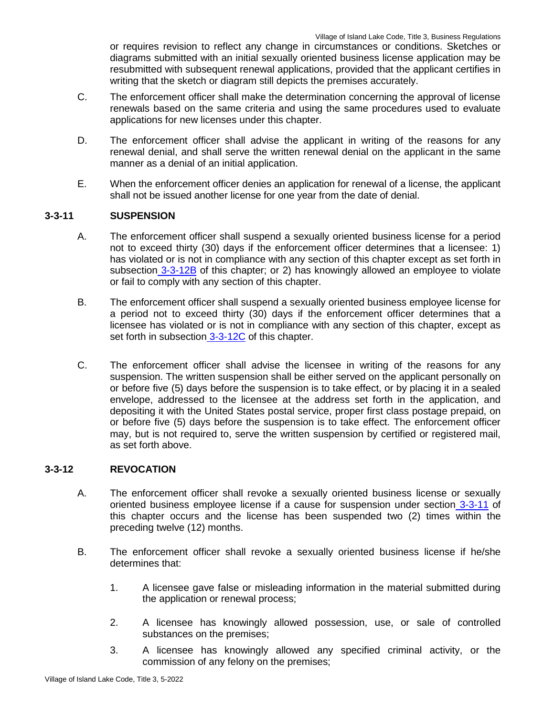or requires revision to reflect any change in circumstances or conditions. Sketches or diagrams submitted with an initial sexually oriented business license application may be resubmitted with subsequent renewal applications, provided that the applicant certifies in writing that the sketch or diagram still depicts the premises accurately.

- C. The enforcement officer shall make the determination concerning the approval of license renewals based on the same criteria and using the same procedures used to evaluate applications for new licenses under this chapter.
- D. The enforcement officer shall advise the applicant in writing of the reasons for any renewal denial, and shall serve the written renewal denial on the applicant in the same manner as a denial of an initial application.
- E. When the enforcement officer denies an application for renewal of a license, the applicant shall not be issued another license for one year from the date of denial.

# **3-3-11 SUSPENSION**

- A. The enforcement officer shall suspend a sexually oriented business license for a period not to exceed thirty (30) days if the enforcement officer determines that a licensee: 1) has violated or is not in compliance with any section of this chapter except as set forth in subsection 3-3-12B of this chapter; or 2) has knowingly allowed an employee to violate or fail to comply with any section of this chapter.
- B. The enforcement officer shall suspend a sexually oriented business employee license for a period not to exceed thirty (30) days if the enforcement officer determines that a licensee has violated or is not in compliance with any section of this chapter, except as set forth in subsection 3-3-12C of this chapter.
- C. The enforcement officer shall advise the licensee in writing of the reasons for any suspension. The written suspension shall be either served on the applicant personally on or before five (5) days before the suspension is to take effect, or by placing it in a sealed envelope, addressed to the licensee at the address set forth in the application, and depositing it with the United States postal service, proper first class postage prepaid, on or before five (5) days before the suspension is to take effect. The enforcement officer may, but is not required to, serve the written suspension by certified or registered mail, as set forth above.

## **3-3-12 REVOCATION**

- A. The enforcement officer shall revoke a sexually oriented business license or sexually oriented business employee license if a cause for suspension under section 3-3-11 of this chapter occurs and the license has been suspended two (2) times within the preceding twelve (12) months.
- B. The enforcement officer shall revoke a sexually oriented business license if he/she determines that:
	- 1. A licensee gave false or misleading information in the material submitted during the application or renewal process;
	- 2. A licensee has knowingly allowed possession, use, or sale of controlled substances on the premises;
	- 3. A licensee has knowingly allowed any specified criminal activity, or the commission of any felony on the premises;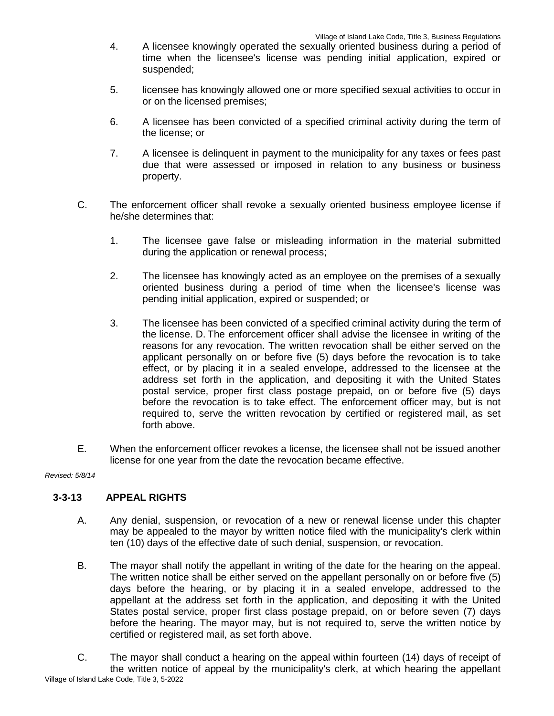- 4. A licensee knowingly operated the sexually oriented business during a period of time when the licensee's license was pending initial application, expired or suspended;
- 5. licensee has knowingly allowed one or more specified sexual activities to occur in or on the licensed premises;
- 6. A licensee has been convicted of a specified criminal activity during the term of the license; or
- 7. A licensee is delinquent in payment to the municipality for any taxes or fees past due that were assessed or imposed in relation to any business or business property.
- C. The enforcement officer shall revoke a sexually oriented business employee license if he/she determines that:
	- 1. The licensee gave false or misleading information in the material submitted during the application or renewal process;
	- 2. The licensee has knowingly acted as an employee on the premises of a sexually oriented business during a period of time when the licensee's license was pending initial application, expired or suspended; or
	- 3. The licensee has been convicted of a specified criminal activity during the term of the license. D. The enforcement officer shall advise the licensee in writing of the reasons for any revocation. The written revocation shall be either served on the applicant personally on or before five (5) days before the revocation is to take effect, or by placing it in a sealed envelope, addressed to the licensee at the address set forth in the application, and depositing it with the United States postal service, proper first class postage prepaid, on or before five (5) days before the revocation is to take effect. The enforcement officer may, but is not required to, serve the written revocation by certified or registered mail, as set forth above.
- E. When the enforcement officer revokes a license, the licensee shall not be issued another license for one year from the date the revocation became effective.

*Revised: 5/8/14*

# **3-3-13 APPEAL RIGHTS**

- A. Any denial, suspension, or revocation of a new or renewal license under this chapter may be appealed to the mayor by written notice filed with the municipality's clerk within ten (10) days of the effective date of such denial, suspension, or revocation.
- B. The mayor shall notify the appellant in writing of the date for the hearing on the appeal. The written notice shall be either served on the appellant personally on or before five (5) days before the hearing, or by placing it in a sealed envelope, addressed to the appellant at the address set forth in the application, and depositing it with the United States postal service, proper first class postage prepaid, on or before seven (7) days before the hearing. The mayor may, but is not required to, serve the written notice by certified or registered mail, as set forth above.

Village of Island Lake Code, Title 3, 5-2022 C. The mayor shall conduct a hearing on the appeal within fourteen (14) days of receipt of the written notice of appeal by the municipality's clerk, at which hearing the appellant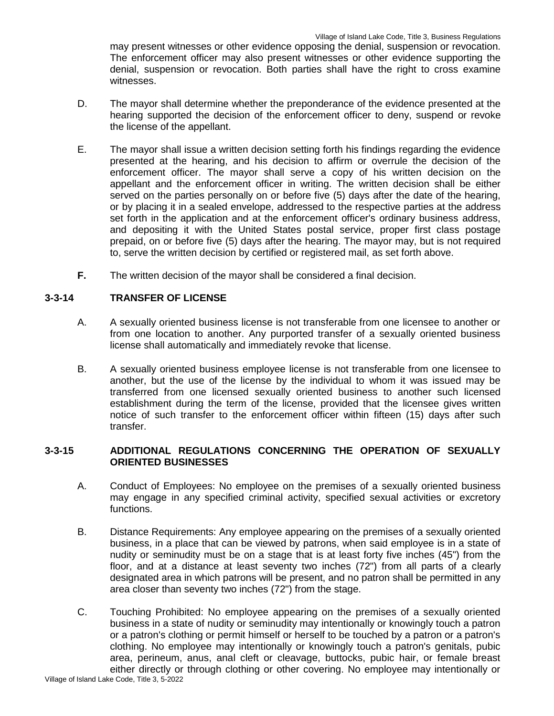may present witnesses or other evidence opposing the denial, suspension or revocation. The enforcement officer may also present witnesses or other evidence supporting the denial, suspension or revocation. Both parties shall have the right to cross examine witnesses.

- D. The mayor shall determine whether the preponderance of the evidence presented at the hearing supported the decision of the enforcement officer to deny, suspend or revoke the license of the appellant.
- E. The mayor shall issue a written decision setting forth his findings regarding the evidence presented at the hearing, and his decision to affirm or overrule the decision of the enforcement officer. The mayor shall serve a copy of his written decision on the appellant and the enforcement officer in writing. The written decision shall be either served on the parties personally on or before five (5) days after the date of the hearing, or by placing it in a sealed envelope, addressed to the respective parties at the address set forth in the application and at the enforcement officer's ordinary business address, and depositing it with the United States postal service, proper first class postage prepaid, on or before five (5) days after the hearing. The mayor may, but is not required to, serve the written decision by certified or registered mail, as set forth above.
- **F.** The written decision of the mayor shall be considered a final decision.

# **3-3-14 TRANSFER OF LICENSE**

- A. A sexually oriented business license is not transferable from one licensee to another or from one location to another. Any purported transfer of a sexually oriented business license shall automatically and immediately revoke that license.
- B. A sexually oriented business employee license is not transferable from one licensee to another, but the use of the license by the individual to whom it was issued may be transferred from one licensed sexually oriented business to another such licensed establishment during the term of the license, provided that the licensee gives written notice of such transfer to the enforcement officer within fifteen (15) days after such transfer.

## **3-3-15 ADDITIONAL REGULATIONS CONCERNING THE OPERATION OF SEXUALLY ORIENTED BUSINESSES**

- A. Conduct of Employees: No employee on the premises of a sexually oriented business may engage in any specified criminal activity, specified sexual activities or excretory functions.
- B. Distance Requirements: Any employee appearing on the premises of a sexually oriented business, in a place that can be viewed by patrons, when said employee is in a state of nudity or seminudity must be on a stage that is at least forty five inches (45") from the floor, and at a distance at least seventy two inches (72") from all parts of a clearly designated area in which patrons will be present, and no patron shall be permitted in any area closer than seventy two inches (72") from the stage.
- C. Touching Prohibited: No employee appearing on the premises of a sexually oriented business in a state of nudity or seminudity may intentionally or knowingly touch a patron or a patron's clothing or permit himself or herself to be touched by a patron or a patron's clothing. No employee may intentionally or knowingly touch a patron's genitals, pubic area, perineum, anus, anal cleft or cleavage, buttocks, pubic hair, or female breast either directly or through clothing or other covering. No employee may intentionally or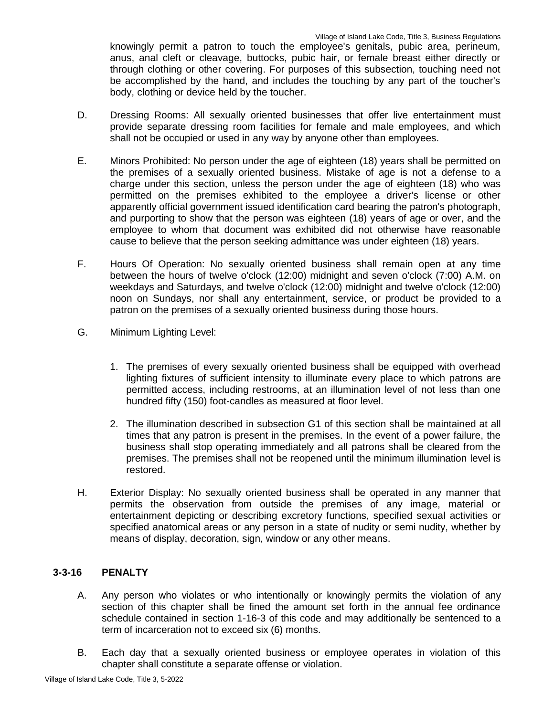knowingly permit a patron to touch the employee's genitals, pubic area, perineum, anus, anal cleft or cleavage, buttocks, pubic hair, or female breast either directly or through clothing or other covering. For purposes of this subsection, touching need not be accomplished by the hand, and includes the touching by any part of the toucher's body, clothing or device held by the toucher.

- D. Dressing Rooms: All sexually oriented businesses that offer live entertainment must provide separate dressing room facilities for female and male employees, and which shall not be occupied or used in any way by anyone other than employees.
- E. Minors Prohibited: No person under the age of eighteen (18) years shall be permitted on the premises of a sexually oriented business. Mistake of age is not a defense to a charge under this section, unless the person under the age of eighteen (18) who was permitted on the premises exhibited to the employee a driver's license or other apparently official government issued identification card bearing the patron's photograph, and purporting to show that the person was eighteen (18) years of age or over, and the employee to whom that document was exhibited did not otherwise have reasonable cause to believe that the person seeking admittance was under eighteen (18) years.
- F. Hours Of Operation: No sexually oriented business shall remain open at any time between the hours of twelve o'clock (12:00) midnight and seven o'clock (7:00) A.M. on weekdays and Saturdays, and twelve o'clock (12:00) midnight and twelve o'clock (12:00) noon on Sundays, nor shall any entertainment, service, or product be provided to a patron on the premises of a sexually oriented business during those hours.
- G. Minimum Lighting Level:
	- 1. The premises of every sexually oriented business shall be equipped with overhead lighting fixtures of sufficient intensity to illuminate every place to which patrons are permitted access, including restrooms, at an illumination level of not less than one hundred fifty (150) foot-candles as measured at floor level.
	- 2. The illumination described in subsection G1 of this section shall be maintained at all times that any patron is present in the premises. In the event of a power failure, the business shall stop operating immediately and all patrons shall be cleared from the premises. The premises shall not be reopened until the minimum illumination level is restored.
- H. Exterior Display: No sexually oriented business shall be operated in any manner that permits the observation from outside the premises of any image, material or entertainment depicting or describing excretory functions, specified sexual activities or specified anatomical areas or any person in a state of nudity or semi nudity, whether by means of display, decoration, sign, window or any other means.

# **3-3-16 PENALTY**

- A. Any person who violates or who intentionally or knowingly permits the violation of any section of this chapter shall be fined the amount set forth in the annual fee ordinance schedule contained in section 1-16-3 of this code and may additionally be sentenced to a term of incarceration not to exceed six (6) months.
- B. Each day that a sexually oriented business or employee operates in violation of this chapter shall constitute a separate offense or violation.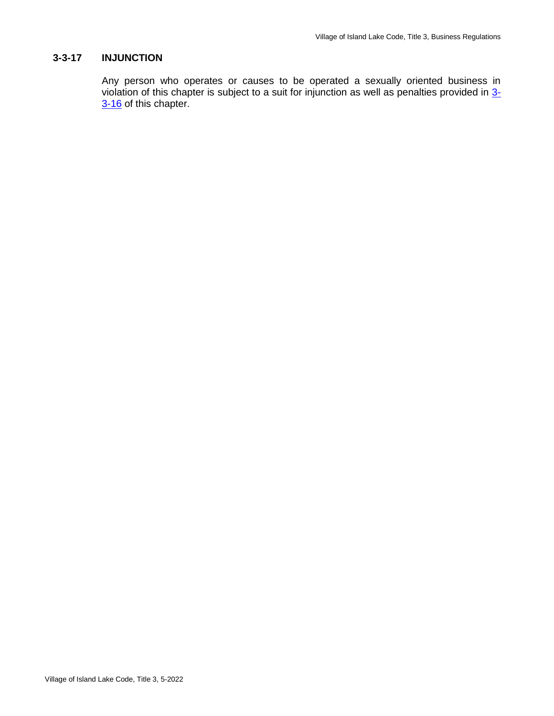### **3-3-17 INJUNCTION**

Any person who operates or causes to be operated a sexually oriented business in violation of this chapter is subject to a suit for injunction as well as penalties provided in 3-3-16 of this chapter.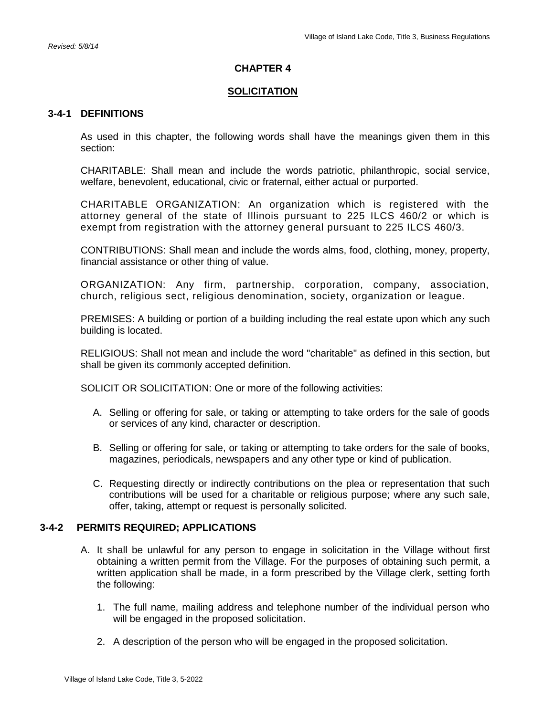### **CHAPTER 4**

### **SOLICITATION**

#### **3-4-1 DEFINITIONS**

As used in this chapter, the following words shall have the meanings given them in this section:

CHARITABLE: Shall mean and include the words patriotic, philanthropic, social service, welfare, benevolent, educational, civic or fraternal, either actual or purported.

CHARITABLE ORGANIZATION: An organization which is registered with the attorney general of the state of Illinois pursuant to 225 ILCS 460/2 or which is exempt from registration with the attorney general pursuant to 225 ILCS 460/3.

CONTRIBUTIONS: Shall mean and include the words alms, food, clothing, money, property, financial assistance or other thing of value.

ORGANIZATION: Any firm, partnership, corporation, company, association, church, religious sect, religious denomination, society, organization or league.

PREMISES: A building or portion of a building including the real estate upon which any such building is located.

RELIGIOUS: Shall not mean and include the word "charitable" as defined in this section, but shall be given its commonly accepted definition.

SOLICIT OR SOLICITATION: One or more of the following activities:

- A. Selling or offering for sale, or taking or attempting to take orders for the sale of goods or services of any kind, character or description.
- B. Selling or offering for sale, or taking or attempting to take orders for the sale of books, magazines, periodicals, newspapers and any other type or kind of publication.
- C. Requesting directly or indirectly contributions on the plea or representation that such contributions will be used for a charitable or religious purpose; where any such sale, offer, taking, attempt or request is personally solicited.

### **3-4-2 PERMITS REQUIRED; APPLICATIONS**

- A. It shall be unlawful for any person to engage in solicitation in the Village without first obtaining a written permit from the Village. For the purposes of obtaining such permit, a written application shall be made, in a form prescribed by the Village clerk, setting forth the following:
	- 1. The full name, mailing address and telephone number of the individual person who will be engaged in the proposed solicitation.
	- 2. A description of the person who will be engaged in the proposed solicitation.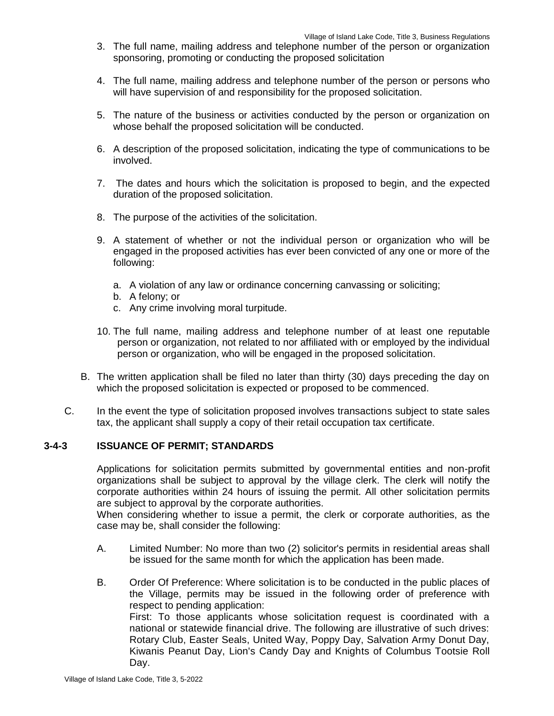- 3. The full name, mailing address and telephone number of the person or organization sponsoring, promoting or conducting the proposed solicitation
- 4. The full name, mailing address and telephone number of the person or persons who will have supervision of and responsibility for the proposed solicitation.
- 5. The nature of the business or activities conducted by the person or organization on whose behalf the proposed solicitation will be conducted.
- 6. A description of the proposed solicitation, indicating the type of communications to be involved.
- 7. The dates and hours which the solicitation is proposed to begin, and the expected duration of the proposed solicitation.
- 8. The purpose of the activities of the solicitation.
- 9. A statement of whether or not the individual person or organization who will be engaged in the proposed activities has ever been convicted of any one or more of the following:
	- a. A violation of any law or ordinance concerning canvassing or soliciting;
	- b. A felony; or
	- c. Any crime involving moral turpitude.
- 10. The full name, mailing address and telephone number of at least one reputable person or organization, not related to nor affiliated with or employed by the individual person or organization, who will be engaged in the proposed solicitation.
- B. The written application shall be filed no later than thirty (30) days preceding the day on which the proposed solicitation is expected or proposed to be commenced.
- C. In the event the type of solicitation proposed involves transactions subject to state sales tax, the applicant shall supply a copy of their retail occupation tax certificate.

#### **3-4-3 ISSUANCE OF PERMIT; STANDARDS**

Applications for solicitation permits submitted by governmental entities and non-profit organizations shall be subject to approval by the village clerk. The clerk will notify the corporate authorities within 24 hours of issuing the permit. All other solicitation permits are subject to approval by the corporate authorities.

When considering whether to issue a permit, the clerk or corporate authorities, as the case may be, shall consider the following:

- A. Limited Number: No more than two (2) solicitor's permits in residential areas shall be issued for the same month for which the application has been made.
- B. Order Of Preference: Where solicitation is to be conducted in the public places of the Village, permits may be issued in the following order of preference with respect to pending application: First: To those applicants whose solicitation request is coordinated with a national or statewide financial drive. The following are illustrative of such drives: Rotary Club, Easter Seals, United Way, Poppy Day, Salvation Army Donut Day, Kiwanis Peanut Day, Lion's Candy Day and Knights of Columbus Tootsie Roll

Day.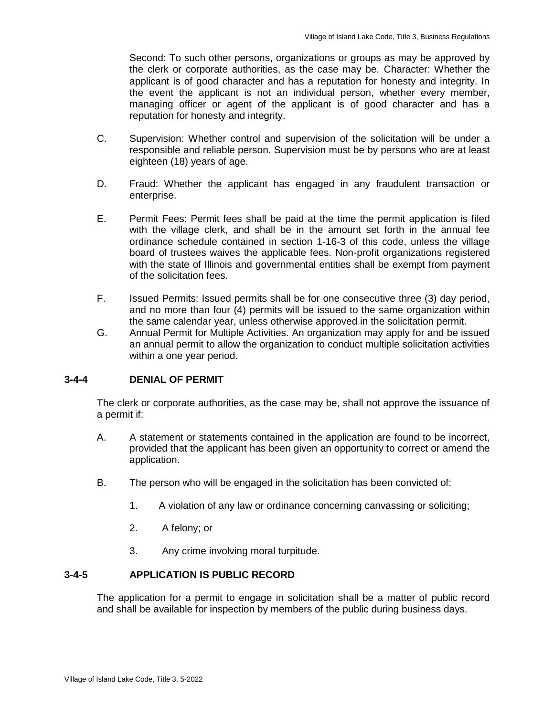Second: To such other persons, organizations or groups as may be approved by the clerk or corporate authorities, as the case may be. Character: Whether the applicant is of good character and has a reputation for honesty and integrity. In the event the applicant is not an individual person, whether every member, managing officer or agent of the applicant is of good character and has a reputation for honesty and integrity.

- C. Supervision: Whether control and supervision of the solicitation will be under a responsible and reliable person. Supervision must be by persons who are at least eighteen (18) years of age.
- D. Fraud: Whether the applicant has engaged in any fraudulent transaction or enterprise.
- E. Permit Fees: Permit fees shall be paid at the time the permit application is filed with the village clerk, and shall be in the amount set forth in the annual fee ordinance schedule contained in section 1-16-3 of this code, unless the village board of trustees waives the applicable fees. Non-profit organizations registered with the state of Illinois and governmental entities shall be exempt from payment of the solicitation fees.
- F. Issued Permits: Issued permits shall be for one consecutive three (3) day period, and no more than four (4) permits will be issued to the same organization within the same calendar year, unless otherwise approved in the solicitation permit.
- G. Annual Permit for Multiple Activities. An organization may apply for and be issued an annual permit to allow the organization to conduct multiple solicitation activities within a one year period.

### **3-4-4 DENIAL OF PERMIT**

The clerk or corporate authorities, as the case may be, shall not approve the issuance of a permit if:

- A. A statement or statements contained in the application are found to be incorrect, provided that the applicant has been given an opportunity to correct or amend the application.
- B. The person who will be engaged in the solicitation has been convicted of:
	- 1. A violation of any law or ordinance concerning canvassing or soliciting;
	- 2. A felony; or
	- 3. Any crime involving moral turpitude.

### **3-4-5 APPLICATION IS PUBLIC RECORD**

The application for a permit to engage in solicitation shall be a matter of public record and shall be available for inspection by members of the public during business days.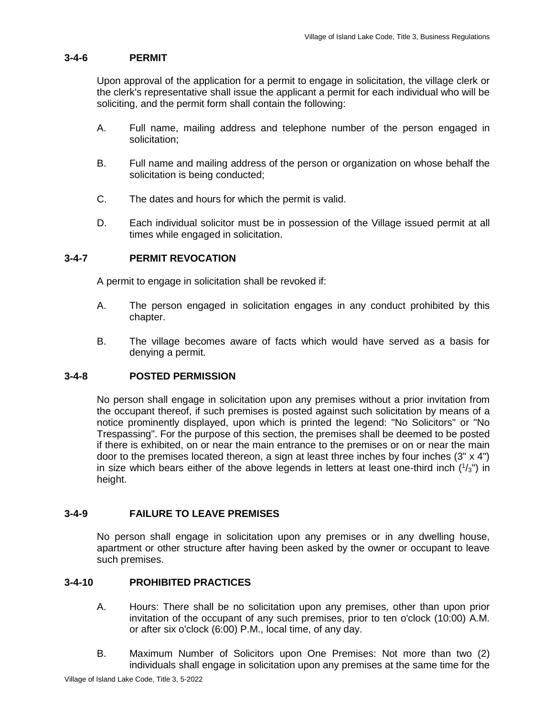## **3-4-6 PERMIT**

Upon approval of the application for a permit to engage in solicitation, the village clerk or the clerk's representative shall issue the applicant a permit for each individual who will be soliciting, and the permit form shall contain the following:

- A. Full name, mailing address and telephone number of the person engaged in solicitation;
- B. Full name and mailing address of the person or organization on whose behalf the solicitation is being conducted;
- C. The dates and hours for which the permit is valid.
- D. Each individual solicitor must be in possession of the Village issued permit at all times while engaged in solicitation.

### **3-4-7 PERMIT REVOCATION**

A permit to engage in solicitation shall be revoked if:

- A. The person engaged in solicitation engages in any conduct prohibited by this chapter.
- B. The village becomes aware of facts which would have served as a basis for denying a permit.

## **3-4-8 POSTED PERMISSION**

No person shall engage in solicitation upon any premises without a prior invitation from the occupant thereof, if such premises is posted against such solicitation by means of a notice prominently displayed, upon which is printed the legend: "No Solicitors" or "No Trespassing". For the purpose of this section, the premises shall be deemed to be posted if there is exhibited, on or near the main entrance to the premises or on or near the main door to the premises located thereon, a sign at least three inches by four inches  $(3'' \times 4'')$ in size which bears either of the above legends in letters at least one-third inch  $(^{1}/_{3})$  in height.

## **3-4-9 FAILURE TO LEAVE PREMISES**

No person shall engage in solicitation upon any premises or in any dwelling house, apartment or other structure after having been asked by the owner or occupant to leave such premises.

## **3-4-10 PROHIBITED PRACTICES**

- A. Hours: There shall be no solicitation upon any premises, other than upon prior invitation of the occupant of any such premises, prior to ten o'clock (10:00) A.M. or after six o'clock (6:00) P.M., local time, of any day.
- B. Maximum Number of Solicitors upon One Premises: Not more than two (2) individuals shall engage in solicitation upon any premises at the same time for the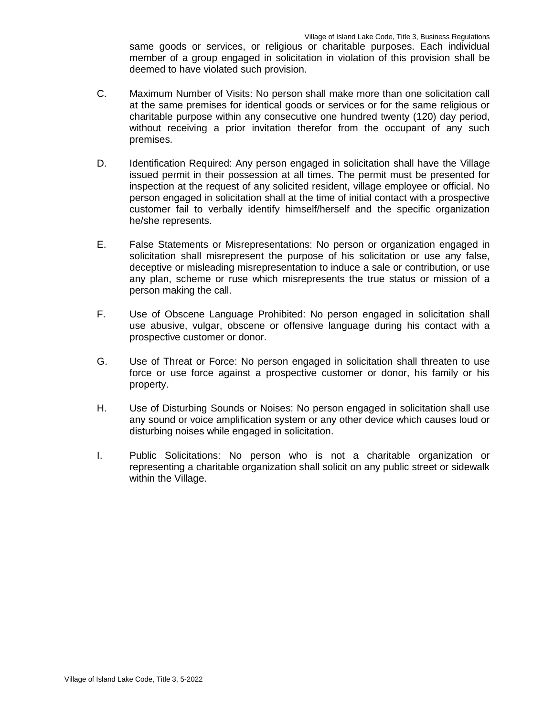same goods or services, or religious or charitable purposes. Each individual member of a group engaged in solicitation in violation of this provision shall be deemed to have violated such provision.

- C. Maximum Number of Visits: No person shall make more than one solicitation call at the same premises for identical goods or services or for the same religious or charitable purpose within any consecutive one hundred twenty (120) day period, without receiving a prior invitation therefor from the occupant of any such premises.
- D. Identification Required: Any person engaged in solicitation shall have the Village issued permit in their possession at all times. The permit must be presented for inspection at the request of any solicited resident, village employee or official. No person engaged in solicitation shall at the time of initial contact with a prospective customer fail to verbally identify himself/herself and the specific organization he/she represents.
- E. False Statements or Misrepresentations: No person or organization engaged in solicitation shall misrepresent the purpose of his solicitation or use any false, deceptive or misleading misrepresentation to induce a sale or contribution, or use any plan, scheme or ruse which misrepresents the true status or mission of a person making the call.
- F. Use of Obscene Language Prohibited: No person engaged in solicitation shall use abusive, vulgar, obscene or offensive language during his contact with a prospective customer or donor.
- G. Use of Threat or Force: No person engaged in solicitation shall threaten to use force or use force against a prospective customer or donor, his family or his property.
- H. Use of Disturbing Sounds or Noises: No person engaged in solicitation shall use any sound or voice amplification system or any other device which causes loud or disturbing noises while engaged in solicitation.
- I. Public Solicitations: No person who is not a charitable organization or representing a charitable organization shall solicit on any public street or sidewalk within the Village.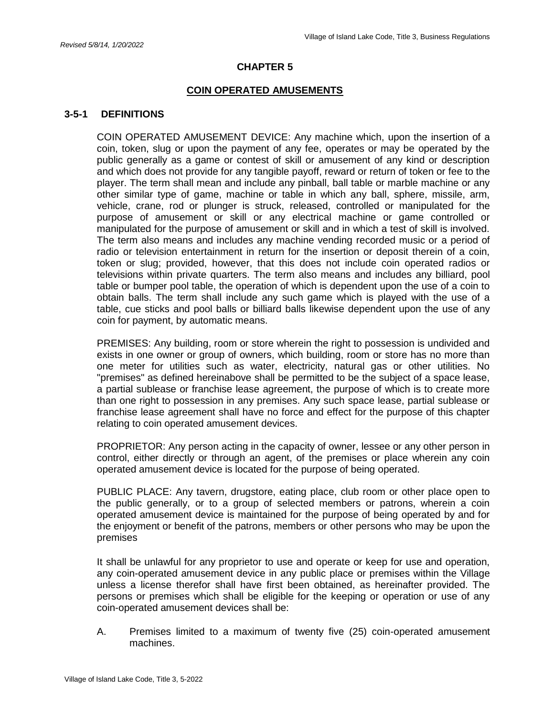### **CHAPTER 5**

#### **COIN OPERATED AMUSEMENTS**

#### **3-5-1 DEFINITIONS**

COIN OPERATED AMUSEMENT DEVICE: Any machine which, upon the insertion of a coin, token, slug or upon the payment of any fee, operates or may be operated by the public generally as a game or contest of skill or amusement of any kind or description and which does not provide for any tangible payoff, reward or return of token or fee to the player. The term shall mean and include any pinball, ball table or marble machine or any other similar type of game, machine or table in which any ball, sphere, missile, arm, vehicle, crane, rod or plunger is struck, released, controlled or manipulated for the purpose of amusement or skill or any electrical machine or game controlled or manipulated for the purpose of amusement or skill and in which a test of skill is involved. The term also means and includes any machine vending recorded music or a period of radio or television entertainment in return for the insertion or deposit therein of a coin, token or slug; provided, however, that this does not include coin operated radios or televisions within private quarters. The term also means and includes any billiard, pool table or bumper pool table, the operation of which is dependent upon the use of a coin to obtain balls. The term shall include any such game which is played with the use of a table, cue sticks and pool balls or billiard balls likewise dependent upon the use of any coin for payment, by automatic means.

PREMISES: Any building, room or store wherein the right to possession is undivided and exists in one owner or group of owners, which building, room or store has no more than one meter for utilities such as water, electricity, natural gas or other utilities. No "premises" as defined hereinabove shall be permitted to be the subject of a space lease, a partial sublease or franchise lease agreement, the purpose of which is to create more than one right to possession in any premises. Any such space lease, partial sublease or franchise lease agreement shall have no force and effect for the purpose of this chapter relating to coin operated amusement devices.

PROPRIETOR: Any person acting in the capacity of owner, lessee or any other person in control, either directly or through an agent, of the premises or place wherein any coin operated amusement device is located for the purpose of being operated.

PUBLIC PLACE: Any tavern, drugstore, eating place, club room or other place open to the public generally, or to a group of selected members or patrons, wherein a coin operated amusement device is maintained for the purpose of being operated by and for the enjoyment or benefit of the patrons, members or other persons who may be upon the premises

It shall be unlawful for any proprietor to use and operate or keep for use and operation, any coin-operated amusement device in any public place or premises within the Village unless a license therefor shall have first been obtained, as hereinafter provided. The persons or premises which shall be eligible for the keeping or operation or use of any coin-operated amusement devices shall be:

A. Premises limited to a maximum of twenty five (25) coin-operated amusement machines.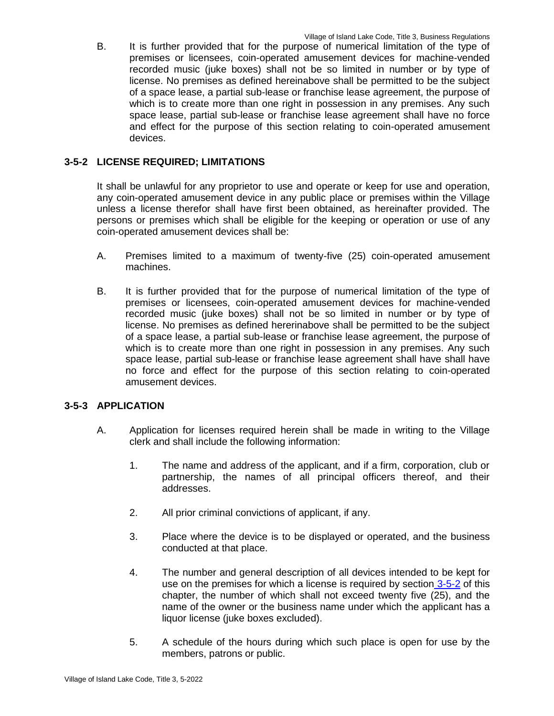B. It is further provided that for the purpose of numerical limitation of the type of premises or licensees, coin-operated amusement devices for machine-vended recorded music (juke boxes) shall not be so limited in number or by type of license. No premises as defined hereinabove shall be permitted to be the subject of a space lease, a partial sub-lease or franchise lease agreement, the purpose of which is to create more than one right in possession in any premises. Any such space lease, partial sub-lease or franchise lease agreement shall have no force and effect for the purpose of this section relating to coin-operated amusement devices.

## **3-5-2 LICENSE REQUIRED; LIMITATIONS**

It shall be unlawful for any proprietor to use and operate or keep for use and operation, any coin-operated amusement device in any public place or premises within the Village unless a license therefor shall have first been obtained, as hereinafter provided. The persons or premises which shall be eligible for the keeping or operation or use of any coin-operated amusement devices shall be:

- A. Premises limited to a maximum of twenty-five (25) coin-operated amusement machines.
- B. It is further provided that for the purpose of numerical limitation of the type of premises or licensees, coin-operated amusement devices for machine-vended recorded music (juke boxes) shall not be so limited in number or by type of license. No premises as defined hererinabove shall be permitted to be the subject of a space lease, a partial sub-lease or franchise lease agreement, the purpose of which is to create more than one right in possession in any premises. Any such space lease, partial sub-lease or franchise lease agreement shall have shall have no force and effect for the purpose of this section relating to coin-operated amusement devices.

## **3-5-3 APPLICATION**

- A. Application for licenses required herein shall be made in writing to the Village clerk and shall include the following information:
	- 1. The name and address of the applicant, and if a firm, corporation, club or partnership, the names of all principal officers thereof, and their addresses.
	- 2. All prior criminal convictions of applicant, if any.
	- 3. Place where the device is to be displayed or operated, and the business conducted at that place.
	- 4. The number and general description of all devices intended to be kept for use on the premises for which a license is required by section 3-5-2 of this chapter, the number of which shall not exceed twenty five (25), and the name of the owner or the business name under which the applicant has a liquor license (juke boxes excluded).
	- 5. A schedule of the hours during which such place is open for use by the members, patrons or public.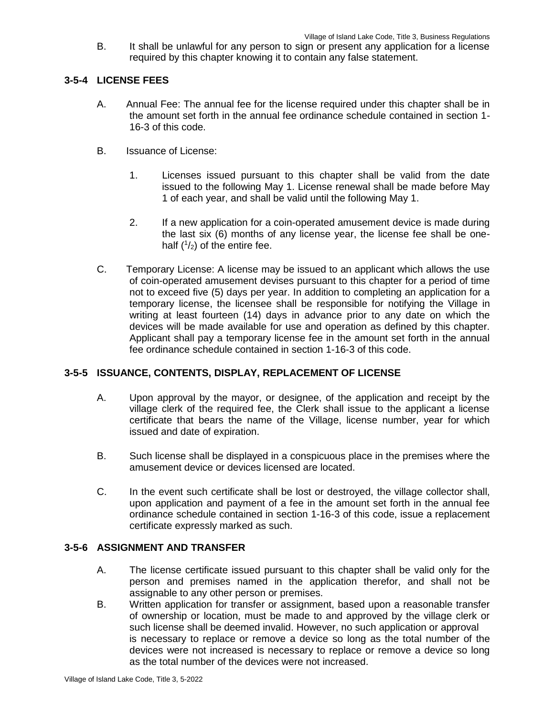B. It shall be unlawful for any person to sign or present any application for a license required by this chapter knowing it to contain any false statement.

## **3-5-4 LICENSE FEES**

- A. Annual Fee: The annual fee for the license required under this chapter shall be in the amount set forth in the annual fee ordinance schedule contained in section 1- 16-3 of this code.
- B. Issuance of License:
	- 1. Licenses issued pursuant to this chapter shall be valid from the date issued to the following May 1. License renewal shall be made before May 1 of each year, and shall be valid until the following May 1.
	- 2. If a new application for a coin-operated amusement device is made during the last six (6) months of any license year, the license fee shall be onehalf  $(^{1}/_{2})$  of the entire fee.
- C. Temporary License: A license may be issued to an applicant which allows the use of coin-operated amusement devises pursuant to this chapter for a period of time not to exceed five (5) days per year. In addition to completing an application for a temporary license, the licensee shall be responsible for notifying the Village in writing at least fourteen (14) days in advance prior to any date on which the devices will be made available for use and operation as defined by this chapter. Applicant shall pay a temporary license fee in the amount set forth in the annual fee ordinance schedule contained in section 1-16-3 of this code.

## **3-5-5 ISSUANCE, CONTENTS, DISPLAY, REPLACEMENT OF LICENSE**

- A. Upon approval by the mayor, or designee, of the application and receipt by the village clerk of the required fee, the Clerk shall issue to the applicant a license certificate that bears the name of the Village, license number, year for which issued and date of expiration.
- B. Such license shall be displayed in a conspicuous place in the premises where the amusement device or devices licensed are located.
- C. In the event such certificate shall be lost or destroyed, the village collector shall, upon application and payment of a fee in the amount set forth in the annual fee ordinance schedule contained in section 1-16-3 of this code, issue a replacement certificate expressly marked as such.

## **3-5-6 ASSIGNMENT AND TRANSFER**

- A. The license certificate issued pursuant to this chapter shall be valid only for the person and premises named in the application therefor, and shall not be assignable to any other person or premises.
- B. Written application for transfer or assignment, based upon a reasonable transfer of ownership or location, must be made to and approved by the village clerk or such license shall be deemed invalid. However, no such application or approval is necessary to replace or remove a device so long as the total number of the devices were not increased is necessary to replace or remove a device so long as the total number of the devices were not increased.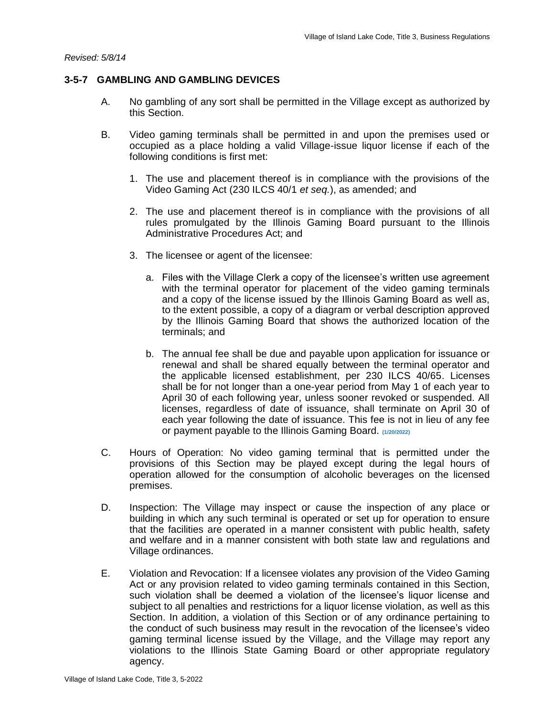### **3-5-7 GAMBLING AND GAMBLING DEVICES**

- A. No gambling of any sort shall be permitted in the Village except as authorized by this Section.
- B. Video gaming terminals shall be permitted in and upon the premises used or occupied as a place holding a valid Village-issue liquor license if each of the following conditions is first met:
	- 1. The use and placement thereof is in compliance with the provisions of the Video Gaming Act (230 ILCS 40/1 *et seq.*), as amended; and
	- 2. The use and placement thereof is in compliance with the provisions of all rules promulgated by the Illinois Gaming Board pursuant to the Illinois Administrative Procedures Act; and
	- 3. The licensee or agent of the licensee:
		- a. Files with the Village Clerk a copy of the licensee's written use agreement with the terminal operator for placement of the video gaming terminals and a copy of the license issued by the Illinois Gaming Board as well as, to the extent possible, a copy of a diagram or verbal description approved by the Illinois Gaming Board that shows the authorized location of the terminals; and
		- b. The annual fee shall be due and payable upon application for issuance or renewal and shall be shared equally between the terminal operator and the applicable licensed establishment, per 230 ILCS 40/65. Licenses shall be for not longer than a one-year period from May 1 of each year to April 30 of each following year, unless sooner revoked or suspended. All licenses, regardless of date of issuance, shall terminate on April 30 of each year following the date of issuance. This fee is not in lieu of any fee or payment payable to the Illinois Gaming Board. **(1/20/2022)**
- C. Hours of Operation: No video gaming terminal that is permitted under the provisions of this Section may be played except during the legal hours of operation allowed for the consumption of alcoholic beverages on the licensed premises.
- D. Inspection: The Village may inspect or cause the inspection of any place or building in which any such terminal is operated or set up for operation to ensure that the facilities are operated in a manner consistent with public health, safety and welfare and in a manner consistent with both state law and regulations and Village ordinances.
- E. Violation and Revocation: If a licensee violates any provision of the Video Gaming Act or any provision related to video gaming terminals contained in this Section, such violation shall be deemed a violation of the licensee's liquor license and subject to all penalties and restrictions for a liquor license violation, as well as this Section. In addition, a violation of this Section or of any ordinance pertaining to the conduct of such business may result in the revocation of the licensee's video gaming terminal license issued by the Village, and the Village may report any violations to the Illinois State Gaming Board or other appropriate regulatory agency.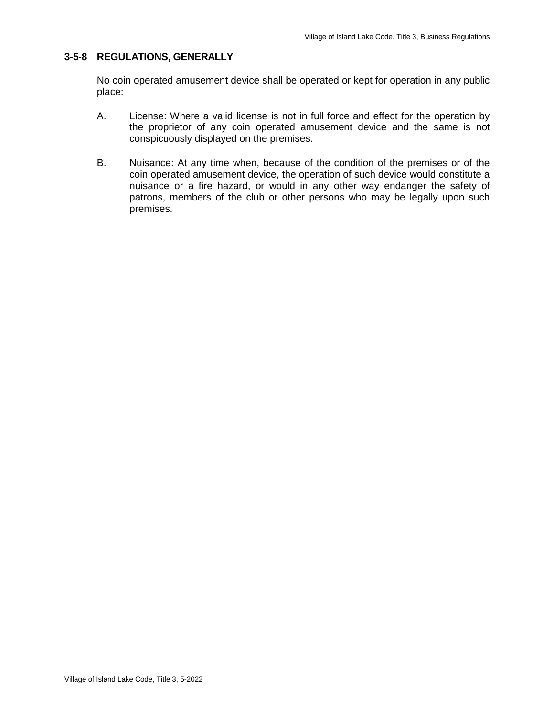## **3-5-8 REGULATIONS, GENERALLY**

No coin operated amusement device shall be operated or kept for operation in any public place:

- A. License: Where a valid license is not in full force and effect for the operation by the proprietor of any coin operated amusement device and the same is not conspicuously displayed on the premises.
- B. Nuisance: At any time when, because of the condition of the premises or of the coin operated amusement device, the operation of such device would constitute a nuisance or a fire hazard, or would in any other way endanger the safety of patrons, members of the club or other persons who may be legally upon such premises.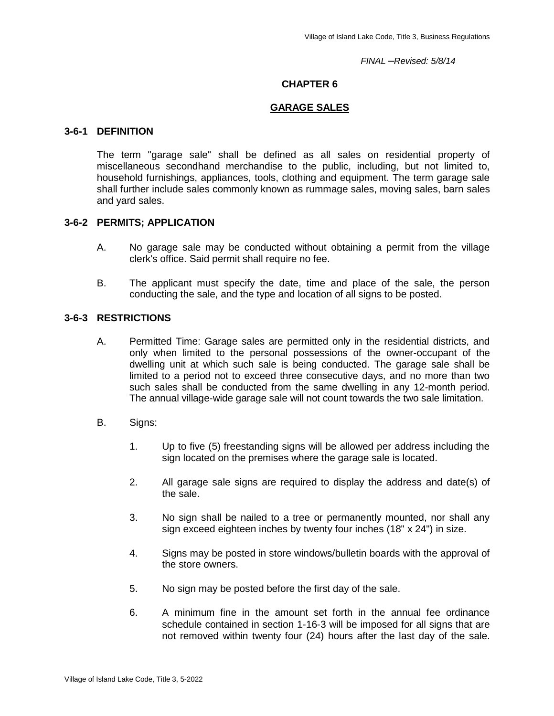*FINAL –Revised: 5/8/14*

### **CHAPTER 6**

#### **GARAGE SALES**

### **3-6-1 DEFINITION**

The term "garage sale" shall be defined as all sales on residential property of miscellaneous secondhand merchandise to the public, including, but not limited to, household furnishings, appliances, tools, clothing and equipment. The term garage sale shall further include sales commonly known as rummage sales, moving sales, barn sales and yard sales.

### **3-6-2 PERMITS; APPLICATION**

- A. No garage sale may be conducted without obtaining a permit from the village clerk's office. Said permit shall require no fee.
- B. The applicant must specify the date, time and place of the sale, the person conducting the sale, and the type and location of all signs to be posted.

### **3-6-3 RESTRICTIONS**

- A. Permitted Time: Garage sales are permitted only in the residential districts, and only when limited to the personal possessions of the owner-occupant of the dwelling unit at which such sale is being conducted. The garage sale shall be limited to a period not to exceed three consecutive days, and no more than two such sales shall be conducted from the same dwelling in any 12-month period. The annual village-wide garage sale will not count towards the two sale limitation.
- B. Signs:
	- 1. Up to five (5) freestanding signs will be allowed per address including the sign located on the premises where the garage sale is located.
	- 2. All garage sale signs are required to display the address and date(s) of the sale.
	- 3. No sign shall be nailed to a tree or permanently mounted, nor shall any sign exceed eighteen inches by twenty four inches (18" x 24") in size.
	- 4. Signs may be posted in store windows/bulletin boards with the approval of the store owners.
	- 5. No sign may be posted before the first day of the sale.
	- 6. A minimum fine in the amount set forth in the annual fee ordinance schedule contained in section 1-16-3 will be imposed for all signs that are not removed within twenty four (24) hours after the last day of the sale.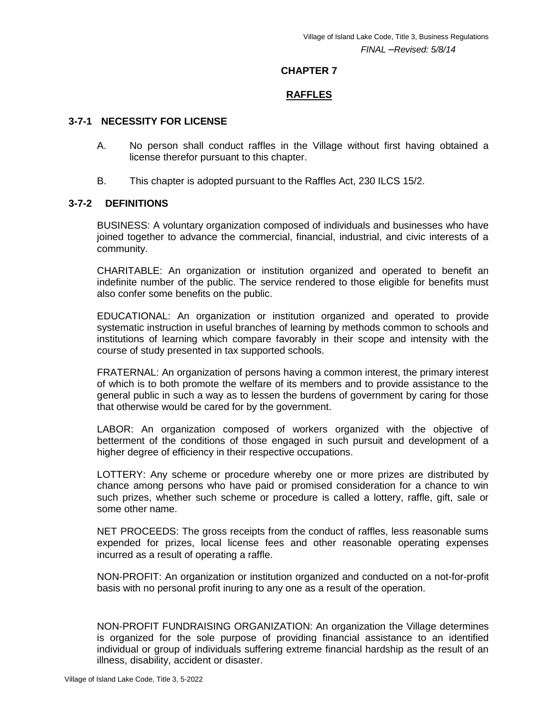### **CHAPTER 7**

## **RAFFLES**

## **3-7-1 NECESSITY FOR LICENSE**

- A. No person shall conduct raffles in the Village without first having obtained a license therefor pursuant to this chapter.
- B. This chapter is adopted pursuant to the Raffles Act, 230 ILCS 15/2.

### **3-7-2 DEFINITIONS**

BUSINESS: A voluntary organization composed of individuals and businesses who have joined together to advance the commercial, financial, industrial, and civic interests of a community.

CHARITABLE: An organization or institution organized and operated to benefit an indefinite number of the public. The service rendered to those eligible for benefits must also confer some benefits on the public.

EDUCATIONAL: An organization or institution organized and operated to provide systematic instruction in useful branches of learning by methods common to schools and institutions of learning which compare favorably in their scope and intensity with the course of study presented in tax supported schools.

FRATERNAL: An organization of persons having a common interest, the primary interest of which is to both promote the welfare of its members and to provide assistance to the general public in such a way as to lessen the burdens of government by caring for those that otherwise would be cared for by the government.

LABOR: An organization composed of workers organized with the objective of betterment of the conditions of those engaged in such pursuit and development of a higher degree of efficiency in their respective occupations.

LOTTERY: Any scheme or procedure whereby one or more prizes are distributed by chance among persons who have paid or promised consideration for a chance to win such prizes, whether such scheme or procedure is called a lottery, raffle, gift, sale or some other name.

NET PROCEEDS: The gross receipts from the conduct of raffles, less reasonable sums expended for prizes, local license fees and other reasonable operating expenses incurred as a result of operating a raffle.

NON-PROFIT: An organization or institution organized and conducted on a not-for-profit basis with no personal profit inuring to any one as a result of the operation.

NON-PROFIT FUNDRAISING ORGANIZATION: An organization the Village determines is organized for the sole purpose of providing financial assistance to an identified individual or group of individuals suffering extreme financial hardship as the result of an illness, disability, accident or disaster.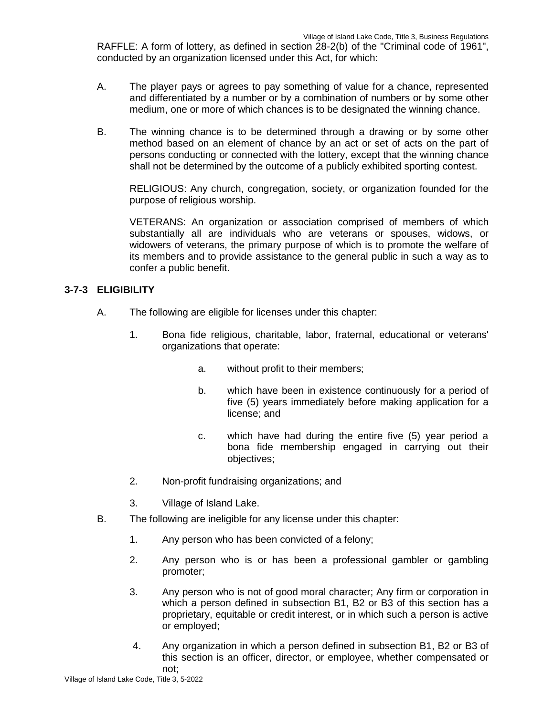RAFFLE: A form of lottery, as defined in section 28-2(b) of the "Criminal code of 1961", conducted by an organization licensed under this Act, for which:

- A. The player pays or agrees to pay something of value for a chance, represented and differentiated by a number or by a combination of numbers or by some other medium, one or more of which chances is to be designated the winning chance.
- B. The winning chance is to be determined through a drawing or by some other method based on an element of chance by an act or set of acts on the part of persons conducting or connected with the lottery, except that the winning chance shall not be determined by the outcome of a publicly exhibited sporting contest.

RELIGIOUS: Any church, congregation, society, or organization founded for the purpose of religious worship.

VETERANS: An organization or association comprised of members of which substantially all are individuals who are veterans or spouses, widows, or widowers of veterans, the primary purpose of which is to promote the welfare of its members and to provide assistance to the general public in such a way as to confer a public benefit.

## **3-7-3 ELIGIBILITY**

- A. The following are eligible for licenses under this chapter:
	- 1. Bona fide religious, charitable, labor, fraternal, educational or veterans' organizations that operate:
		- a. without profit to their members;
		- b. which have been in existence continuously for a period of five (5) years immediately before making application for a license; and
		- c. which have had during the entire five (5) year period a bona fide membership engaged in carrying out their objectives;
	- 2. Non-profit fundraising organizations; and
	- 3. Village of Island Lake.
- B. The following are ineligible for any license under this chapter:
	- 1. Any person who has been convicted of a felony;
	- 2. Any person who is or has been a professional gambler or gambling promoter;
	- 3. Any person who is not of good moral character; Any firm or corporation in which a person defined in subsection B1, B2 or B3 of this section has a proprietary, equitable or credit interest, or in which such a person is active or employed;
	- 4. Any organization in which a person defined in subsection B1, B2 or B3 of this section is an officer, director, or employee, whether compensated or not;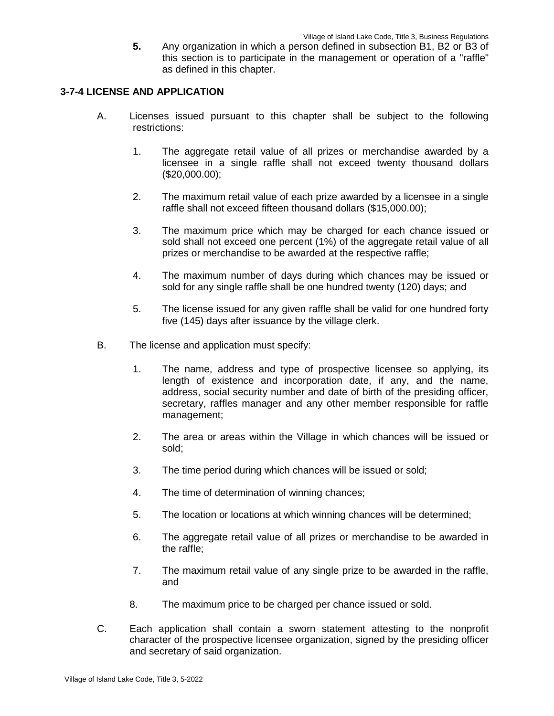**5.** Any organization in which a person defined in subsection B1, B2 or B3 of this section is to participate in the management or operation of a "raffle" as defined in this chapter.

### **3-7-4 LICENSE AND APPLICATION**

- A. Licenses issued pursuant to this chapter shall be subject to the following restrictions:
	- 1. The aggregate retail value of all prizes or merchandise awarded by a licensee in a single raffle shall not exceed twenty thousand dollars (\$20,000.00);
	- 2. The maximum retail value of each prize awarded by a licensee in a single raffle shall not exceed fifteen thousand dollars (\$15,000.00);
	- 3. The maximum price which may be charged for each chance issued or sold shall not exceed one percent (1%) of the aggregate retail value of all prizes or merchandise to be awarded at the respective raffle;
	- 4. The maximum number of days during which chances may be issued or sold for any single raffle shall be one hundred twenty (120) days; and
	- 5. The license issued for any given raffle shall be valid for one hundred forty five (145) days after issuance by the village clerk.
- B. The license and application must specify:
	- 1. The name, address and type of prospective licensee so applying, its length of existence and incorporation date, if any, and the name, address, social security number and date of birth of the presiding officer, secretary, raffles manager and any other member responsible for raffle management;
	- 2. The area or areas within the Village in which chances will be issued or sold;
	- 3. The time period during which chances will be issued or sold;
	- 4. The time of determination of winning chances;
	- 5. The location or locations at which winning chances will be determined;
	- 6. The aggregate retail value of all prizes or merchandise to be awarded in the raffle;
	- 7. The maximum retail value of any single prize to be awarded in the raffle, and
	- 8. The maximum price to be charged per chance issued or sold.
- C. Each application shall contain a sworn statement attesting to the nonprofit character of the prospective licensee organization, signed by the presiding officer and secretary of said organization.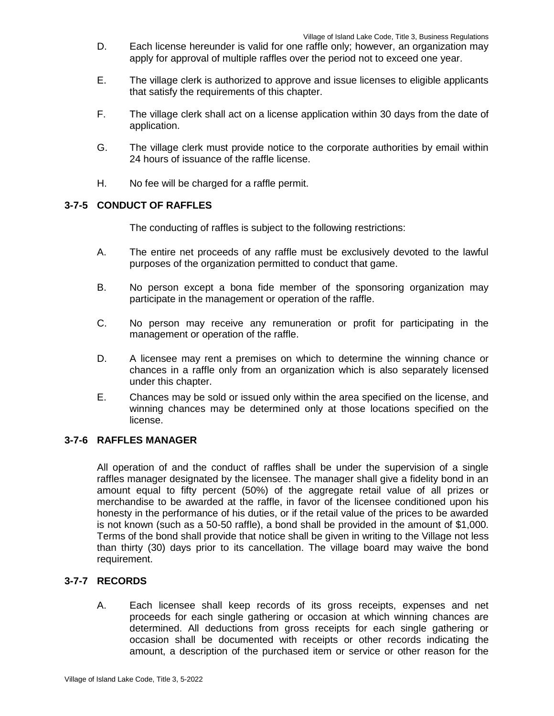- D. Each license hereunder is valid for one raffle only; however, an organization may apply for approval of multiple raffles over the period not to exceed one year.
- E. The village clerk is authorized to approve and issue licenses to eligible applicants that satisfy the requirements of this chapter.
- F. The village clerk shall act on a license application within 30 days from the date of application.
- G. The village clerk must provide notice to the corporate authorities by email within 24 hours of issuance of the raffle license.
- H. No fee will be charged for a raffle permit.

### **3-7-5 CONDUCT OF RAFFLES**

The conducting of raffles is subject to the following restrictions:

- A. The entire net proceeds of any raffle must be exclusively devoted to the lawful purposes of the organization permitted to conduct that game.
- B. No person except a bona fide member of the sponsoring organization may participate in the management or operation of the raffle.
- C. No person may receive any remuneration or profit for participating in the management or operation of the raffle.
- D. A licensee may rent a premises on which to determine the winning chance or chances in a raffle only from an organization which is also separately licensed under this chapter.
- E. Chances may be sold or issued only within the area specified on the license, and winning chances may be determined only at those locations specified on the license.

## **3-7-6 RAFFLES MANAGER**

All operation of and the conduct of raffles shall be under the supervision of a single raffles manager designated by the licensee. The manager shall give a fidelity bond in an amount equal to fifty percent (50%) of the aggregate retail value of all prizes or merchandise to be awarded at the raffle, in favor of the licensee conditioned upon his honesty in the performance of his duties, or if the retail value of the prices to be awarded is not known (such as a 50-50 raffle), a bond shall be provided in the amount of \$1,000. Terms of the bond shall provide that notice shall be given in writing to the Village not less than thirty (30) days prior to its cancellation. The village board may waive the bond requirement.

## **3-7-7 RECORDS**

A. Each licensee shall keep records of its gross receipts, expenses and net proceeds for each single gathering or occasion at which winning chances are determined. All deductions from gross receipts for each single gathering or occasion shall be documented with receipts or other records indicating the amount, a description of the purchased item or service or other reason for the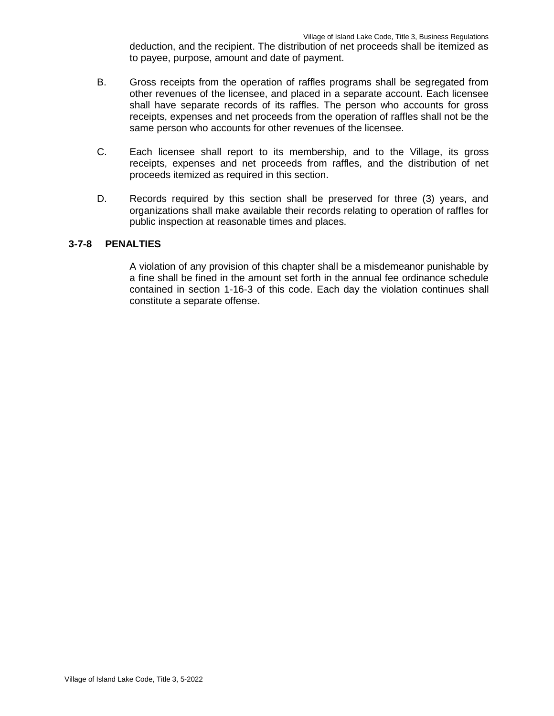deduction, and the recipient. The distribution of net proceeds shall be itemized as to payee, purpose, amount and date of payment.

- B. Gross receipts from the operation of raffles programs shall be segregated from other revenues of the licensee, and placed in a separate account. Each licensee shall have separate records of its raffles. The person who accounts for gross receipts, expenses and net proceeds from the operation of raffles shall not be the same person who accounts for other revenues of the licensee.
- C. Each licensee shall report to its membership, and to the Village, its gross receipts, expenses and net proceeds from raffles, and the distribution of net proceeds itemized as required in this section.
- D. Records required by this section shall be preserved for three (3) years, and organizations shall make available their records relating to operation of raffles for public inspection at reasonable times and places.

### **3-7-8 PENALTIES**

A violation of any provision of this chapter shall be a misdemeanor punishable by a fine shall be fined in the amount set forth in the annual fee ordinance schedule contained in section 1-16-3 of this code. Each day the violation continues shall constitute a separate offense.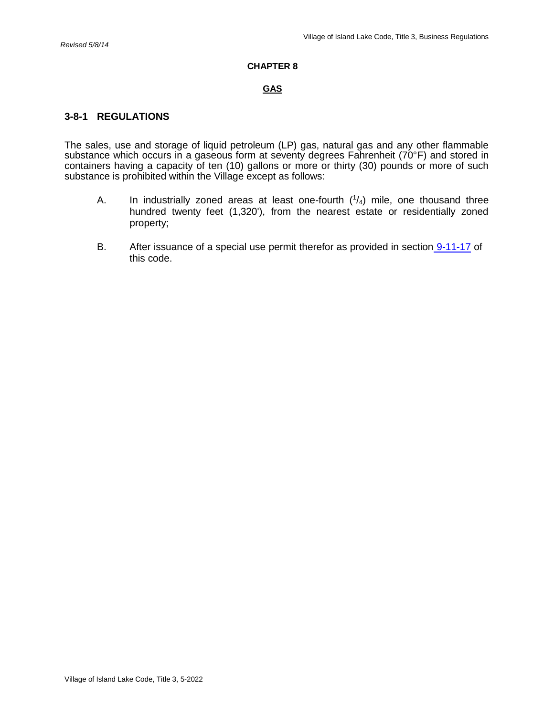#### **CHAPTER 8**

#### **GAS**

### **3-8-1 REGULATIONS**

The sales, use and storage of liquid petroleum (LP) gas, natural gas and any other flammable substance which occurs in a gaseous form at seventy degrees Fahrenheit (70°F) and stored in containers having a capacity of ten (10) gallons or more or thirty (30) pounds or more of such substance is prohibited within the Village except as follows:

- A. In industrially zoned areas at least one-fourth  $(1/4)$  mile, one thousand three hundred twenty feet (1,320'), from the nearest estate or residentially zoned property;
- B. After issuance of a special use permit therefor as provided in section 9-11-17 of this code.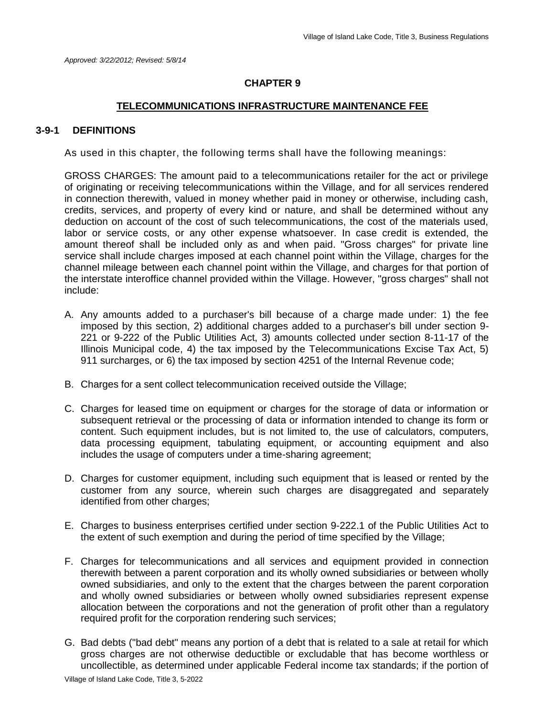### **CHAPTER 9**

#### **TELECOMMUNICATIONS INFRASTRUCTURE MAINTENANCE FEE**

### **3-9-1 DEFINITIONS**

As used in this chapter, the following terms shall have the following meanings:

GROSS CHARGES: The amount paid to a telecommunications retailer for the act or privilege of originating or receiving telecommunications within the Village, and for all services rendered in connection therewith, valued in money whether paid in money or otherwise, including cash, credits, services, and property of every kind or nature, and shall be determined without any deduction on account of the cost of such telecommunications, the cost of the materials used, labor or service costs, or any other expense whatsoever. In case credit is extended, the amount thereof shall be included only as and when paid. "Gross charges" for private line service shall include charges imposed at each channel point within the Village, charges for the channel mileage between each channel point within the Village, and charges for that portion of the interstate interoffice channel provided within the Village. However, "gross charges" shall not include:

- A. Any amounts added to a purchaser's bill because of a charge made under: 1) the fee imposed by this section, 2) additional charges added to a purchaser's bill under section 9- 221 or 9-222 of the Public Utilities Act, 3) amounts collected under section 8-11-17 of the Illinois Municipal code, 4) the tax imposed by the Telecommunications Excise Tax Act, 5) 911 surcharges, or 6) the tax imposed by section 4251 of the Internal Revenue code;
- B. Charges for a sent collect telecommunication received outside the Village;
- C. Charges for leased time on equipment or charges for the storage of data or information or subsequent retrieval or the processing of data or information intended to change its form or content. Such equipment includes, but is not limited to, the use of calculators, computers, data processing equipment, tabulating equipment, or accounting equipment and also includes the usage of computers under a time-sharing agreement;
- D. Charges for customer equipment, including such equipment that is leased or rented by the customer from any source, wherein such charges are disaggregated and separately identified from other charges;
- E. Charges to business enterprises certified under section 9-222.1 of the Public Utilities Act to the extent of such exemption and during the period of time specified by the Village;
- F. Charges for telecommunications and all services and equipment provided in connection therewith between a parent corporation and its wholly owned subsidiaries or between wholly owned subsidiaries, and only to the extent that the charges between the parent corporation and wholly owned subsidiaries or between wholly owned subsidiaries represent expense allocation between the corporations and not the generation of profit other than a regulatory required profit for the corporation rendering such services;
- G. Bad debts ("bad debt" means any portion of a debt that is related to a sale at retail for which gross charges are not otherwise deductible or excludable that has become worthless or uncollectible, as determined under applicable Federal income tax standards; if the portion of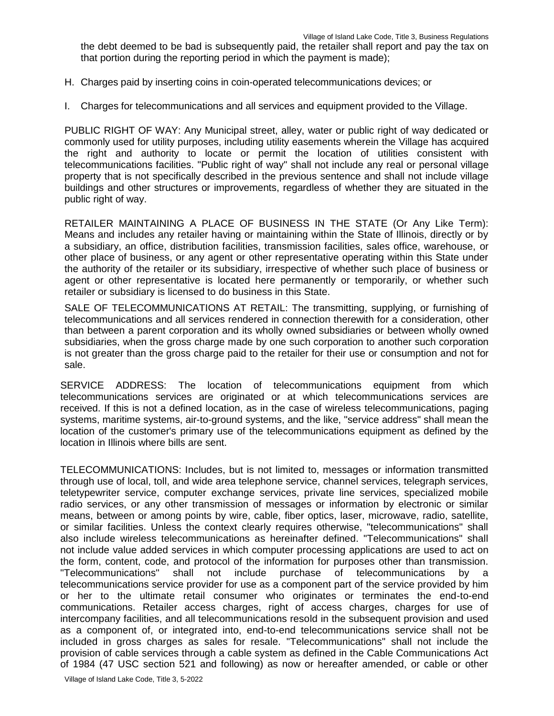the debt deemed to be bad is subsequently paid, the retailer shall report and pay the tax on that portion during the reporting period in which the payment is made);

- H. Charges paid by inserting coins in coin-operated telecommunications devices; or
- I. Charges for telecommunications and all services and equipment provided to the Village.

PUBLIC RIGHT OF WAY: Any Municipal street, alley, water or public right of way dedicated or commonly used for utility purposes, including utility easements wherein the Village has acquired the right and authority to locate or permit the location of utilities consistent with telecommunications facilities. "Public right of way" shall not include any real or personal village property that is not specifically described in the previous sentence and shall not include village buildings and other structures or improvements, regardless of whether they are situated in the public right of way.

RETAILER MAINTAINING A PLACE OF BUSINESS IN THE STATE (Or Any Like Term): Means and includes any retailer having or maintaining within the State of Illinois, directly or by a subsidiary, an office, distribution facilities, transmission facilities, sales office, warehouse, or other place of business, or any agent or other representative operating within this State under the authority of the retailer or its subsidiary, irrespective of whether such place of business or agent or other representative is located here permanently or temporarily, or whether such retailer or subsidiary is licensed to do business in this State.

SALE OF TELECOMMUNICATIONS AT RETAIL: The transmitting, supplying, or furnishing of telecommunications and all services rendered in connection therewith for a consideration, other than between a parent corporation and its wholly owned subsidiaries or between wholly owned subsidiaries, when the gross charge made by one such corporation to another such corporation is not greater than the gross charge paid to the retailer for their use or consumption and not for sale.

SERVICE ADDRESS: The location of telecommunications equipment from which telecommunications services are originated or at which telecommunications services are received. If this is not a defined location, as in the case of wireless telecommunications, paging systems, maritime systems, air-to-ground systems, and the like, "service address" shall mean the location of the customer's primary use of the telecommunications equipment as defined by the location in Illinois where bills are sent.

TELECOMMUNICATIONS: Includes, but is not limited to, messages or information transmitted through use of local, toll, and wide area telephone service, channel services, telegraph services, teletypewriter service, computer exchange services, private line services, specialized mobile radio services, or any other transmission of messages or information by electronic or similar means, between or among points by wire, cable, fiber optics, laser, microwave, radio, satellite, or similar facilities. Unless the context clearly requires otherwise, "telecommunications" shall also include wireless telecommunications as hereinafter defined. "Telecommunications" shall not include value added services in which computer processing applications are used to act on the form, content, code, and protocol of the information for purposes other than transmission. "Telecommunications" shall not include purchase of telecommunications by a telecommunications service provider for use as a component part of the service provided by him or her to the ultimate retail consumer who originates or terminates the end-to-end communications. Retailer access charges, right of access charges, charges for use of intercompany facilities, and all telecommunications resold in the subsequent provision and used as a component of, or integrated into, end-to-end telecommunications service shall not be included in gross charges as sales for resale. "Telecommunications" shall not include the provision of cable services through a cable system as defined in the Cable Communications Act of 1984 (47 USC section 521 and following) as now or hereafter amended, or cable or other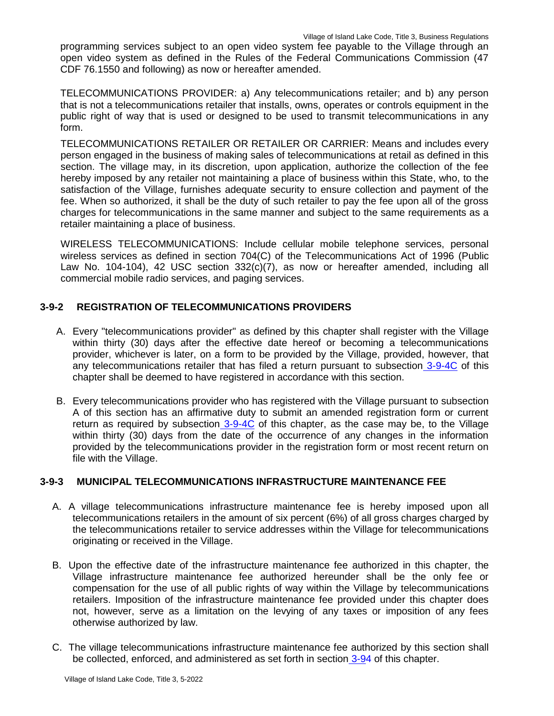programming services subject to an open video system fee payable to the Village through an open video system as defined in the Rules of the Federal Communications Commission (47 CDF 76.1550 and following) as now or hereafter amended.

TELECOMMUNICATIONS PROVIDER: a) Any telecommunications retailer; and b) any person that is not a telecommunications retailer that installs, owns, operates or controls equipment in the public right of way that is used or designed to be used to transmit telecommunications in any form.

TELECOMMUNICATIONS RETAILER OR RETAILER OR CARRIER: Means and includes every person engaged in the business of making sales of telecommunications at retail as defined in this section. The village may, in its discretion, upon application, authorize the collection of the fee hereby imposed by any retailer not maintaining a place of business within this State, who, to the satisfaction of the Village, furnishes adequate security to ensure collection and payment of the fee. When so authorized, it shall be the duty of such retailer to pay the fee upon all of the gross charges for telecommunications in the same manner and subject to the same requirements as a retailer maintaining a place of business.

WIRELESS TELECOMMUNICATIONS: Include cellular mobile telephone services, personal wireless services as defined in section 704(C) of the Telecommunications Act of 1996 (Public Law No. 104-104), 42 USC section 332(c)(7), as now or hereafter amended, including all commercial mobile radio services, and paging services.

# **3-9-2 REGISTRATION OF TELECOMMUNICATIONS PROVIDERS**

- A. Every "telecommunications provider" as defined by this chapter shall register with the Village within thirty (30) days after the effective date hereof or becoming a telecommunications provider, whichever is later, on a form to be provided by the Village, provided, however, that any telecommunications retailer that has filed a return pursuant to subsection 3-9-4C of this chapter shall be deemed to have registered in accordance with this section.
- B. Every telecommunications provider who has registered with the Village pursuant to subsection A of this section has an affirmative duty to submit an amended registration form or current return as required by subsection 3-9-4C of this chapter, as the case may be, to the Village within thirty (30) days from the date of the occurrence of any changes in the information provided by the telecommunications provider in the registration form or most recent return on file with the Village.

## **3-9-3 MUNICIPAL TELECOMMUNICATIONS INFRASTRUCTURE MAINTENANCE FEE**

- A. A village telecommunications infrastructure maintenance fee is hereby imposed upon all telecommunications retailers in the amount of six percent (6%) of all gross charges charged by the telecommunications retailer to service addresses within the Village for telecommunications originating or received in the Village.
- B. Upon the effective date of the infrastructure maintenance fee authorized in this chapter, the Village infrastructure maintenance fee authorized hereunder shall be the only fee or compensation for the use of all public rights of way within the Village by telecommunications retailers. Imposition of the infrastructure maintenance fee provided under this chapter does not, however, serve as a limitation on the levying of any taxes or imposition of any fees otherwise authorized by law.
- C. The village telecommunications infrastructure maintenance fee authorized by this section shall be collected, enforced, and administered as set forth in section 3-94 of this chapter.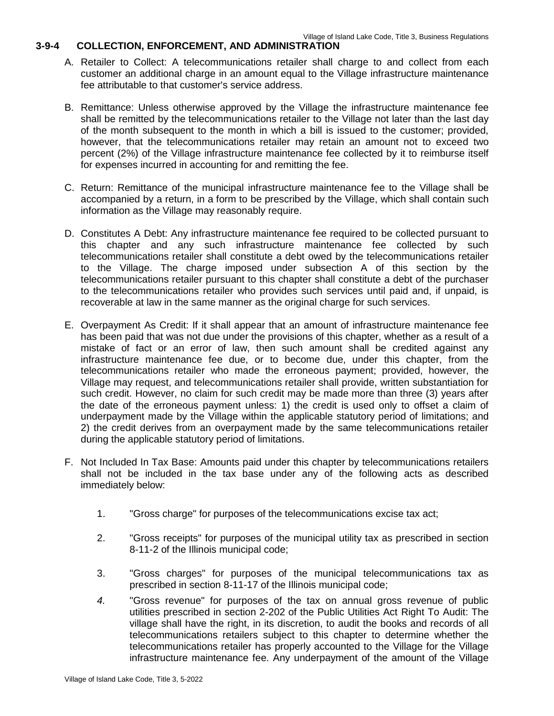### **3-9-4 COLLECTION, ENFORCEMENT, AND ADMINISTRATION**

- A. Retailer to Collect: A telecommunications retailer shall charge to and collect from each customer an additional charge in an amount equal to the Village infrastructure maintenance fee attributable to that customer's service address.
- B. Remittance: Unless otherwise approved by the Village the infrastructure maintenance fee shall be remitted by the telecommunications retailer to the Village not later than the last day of the month subsequent to the month in which a bill is issued to the customer; provided, however, that the telecommunications retailer may retain an amount not to exceed two percent (2%) of the Village infrastructure maintenance fee collected by it to reimburse itself for expenses incurred in accounting for and remitting the fee.
- C. Return: Remittance of the municipal infrastructure maintenance fee to the Village shall be accompanied by a return, in a form to be prescribed by the Village, which shall contain such information as the Village may reasonably require.
- D. Constitutes A Debt: Any infrastructure maintenance fee required to be collected pursuant to this chapter and any such infrastructure maintenance fee collected by such telecommunications retailer shall constitute a debt owed by the telecommunications retailer to the Village. The charge imposed under subsection A of this section by the telecommunications retailer pursuant to this chapter shall constitute a debt of the purchaser to the telecommunications retailer who provides such services until paid and, if unpaid, is recoverable at law in the same manner as the original charge for such services.
- E. Overpayment As Credit: If it shall appear that an amount of infrastructure maintenance fee has been paid that was not due under the provisions of this chapter, whether as a result of a mistake of fact or an error of law, then such amount shall be credited against any infrastructure maintenance fee due, or to become due, under this chapter, from the telecommunications retailer who made the erroneous payment; provided, however, the Village may request, and telecommunications retailer shall provide, written substantiation for such credit. However, no claim for such credit may be made more than three (3) years after the date of the erroneous payment unless: 1) the credit is used only to offset a claim of underpayment made by the Village within the applicable statutory period of limitations; and 2) the credit derives from an overpayment made by the same telecommunications retailer during the applicable statutory period of limitations.
- F. Not Included In Tax Base: Amounts paid under this chapter by telecommunications retailers shall not be included in the tax base under any of the following acts as described immediately below:
	- 1. "Gross charge" for purposes of the telecommunications excise tax act;
	- 2. "Gross receipts" for purposes of the municipal utility tax as prescribed in section 8-11-2 of the Illinois municipal code;
	- 3. "Gross charges" for purposes of the municipal telecommunications tax as prescribed in section 8-11-17 of the Illinois municipal code;
	- *4.* "Gross revenue" for purposes of the tax on annual gross revenue of public utilities prescribed in section 2-202 of the Public Utilities Act Right To Audit: The village shall have the right, in its discretion, to audit the books and records of all telecommunications retailers subject to this chapter to determine whether the telecommunications retailer has properly accounted to the Village for the Village infrastructure maintenance fee. Any underpayment of the amount of the Village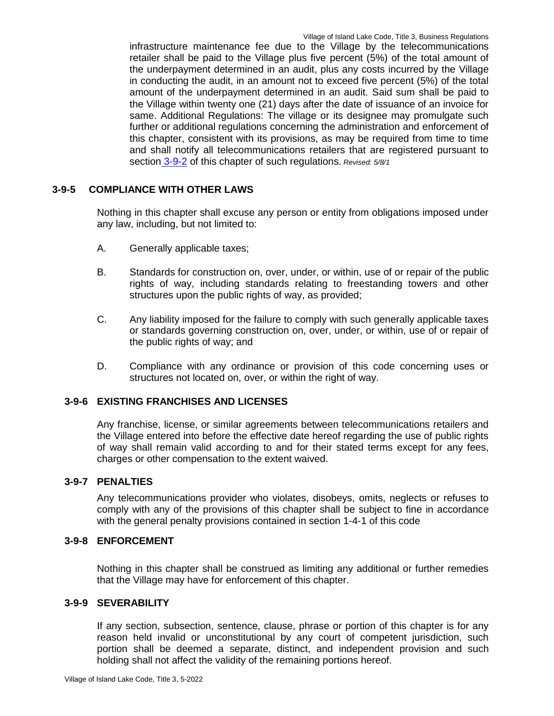infrastructure maintenance fee due to the Village by the telecommunications retailer shall be paid to the Village plus five percent (5%) of the total amount of the underpayment determined in an audit, plus any costs incurred by the Village in conducting the audit, in an amount not to exceed five percent (5%) of the total amount of the underpayment determined in an audit. Said sum shall be paid to the Village within twenty one (21) days after the date of issuance of an invoice for same. Additional Regulations: The village or its designee may promulgate such further or additional regulations concerning the administration and enforcement of this chapter, consistent with its provisions, as may be required from time to time and shall notify all telecommunications retailers that are registered pursuant to section 3-9-2 of this chapter of such regulations. *Revised: 5/8/1*

### **3-9-5 COMPLIANCE WITH OTHER LAWS**

Nothing in this chapter shall excuse any person or entity from obligations imposed under any law, including, but not limited to:

- A. Generally applicable taxes;
- B. Standards for construction on, over, under, or within, use of or repair of the public rights of way, including standards relating to freestanding towers and other structures upon the public rights of way, as provided;
- C. Any liability imposed for the failure to comply with such generally applicable taxes or standards governing construction on, over, under, or within, use of or repair of the public rights of way; and
- D. Compliance with any ordinance or provision of this code concerning uses or structures not located on, over, or within the right of way.

### **3-9-6 EXISTING FRANCHISES AND LICENSES**

Any franchise, license, or similar agreements between telecommunications retailers and the Village entered into before the effective date hereof regarding the use of public rights of way shall remain valid according to and for their stated terms except for any fees, charges or other compensation to the extent waived.

### **3-9-7 PENALTIES**

Any telecommunications provider who violates, disobeys, omits, neglects or refuses to comply with any of the provisions of this chapter shall be subject to fine in accordance with the general penalty provisions contained in section 1-4-1 of this code

### **3-9-8 ENFORCEMENT**

Nothing in this chapter shall be construed as limiting any additional or further remedies that the Village may have for enforcement of this chapter.

### **3-9-9 SEVERABILITY**

If any section, subsection, sentence, clause, phrase or portion of this chapter is for any reason held invalid or unconstitutional by any court of competent jurisdiction, such portion shall be deemed a separate, distinct, and independent provision and such holding shall not affect the validity of the remaining portions hereof.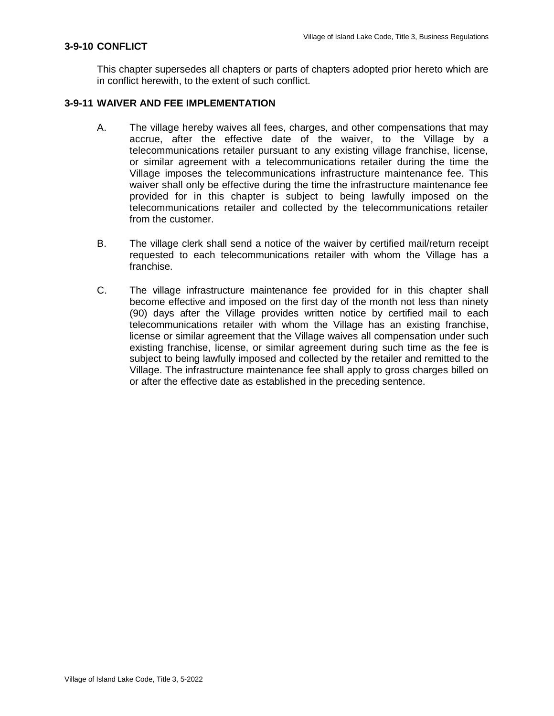### **3-9-10 CONFLICT**

This chapter supersedes all chapters or parts of chapters adopted prior hereto which are in conflict herewith, to the extent of such conflict.

### **3-9-11 WAIVER AND FEE IMPLEMENTATION**

- A. The village hereby waives all fees, charges, and other compensations that may accrue, after the effective date of the waiver, to the Village by a telecommunications retailer pursuant to any existing village franchise, license, or similar agreement with a telecommunications retailer during the time the Village imposes the telecommunications infrastructure maintenance fee. This waiver shall only be effective during the time the infrastructure maintenance fee provided for in this chapter is subject to being lawfully imposed on the telecommunications retailer and collected by the telecommunications retailer from the customer.
- B. The village clerk shall send a notice of the waiver by certified mail/return receipt requested to each telecommunications retailer with whom the Village has a franchise.
- C. The village infrastructure maintenance fee provided for in this chapter shall become effective and imposed on the first day of the month not less than ninety (90) days after the Village provides written notice by certified mail to each telecommunications retailer with whom the Village has an existing franchise, license or similar agreement that the Village waives all compensation under such existing franchise, license, or similar agreement during such time as the fee is subject to being lawfully imposed and collected by the retailer and remitted to the Village. The infrastructure maintenance fee shall apply to gross charges billed on or after the effective date as established in the preceding sentence.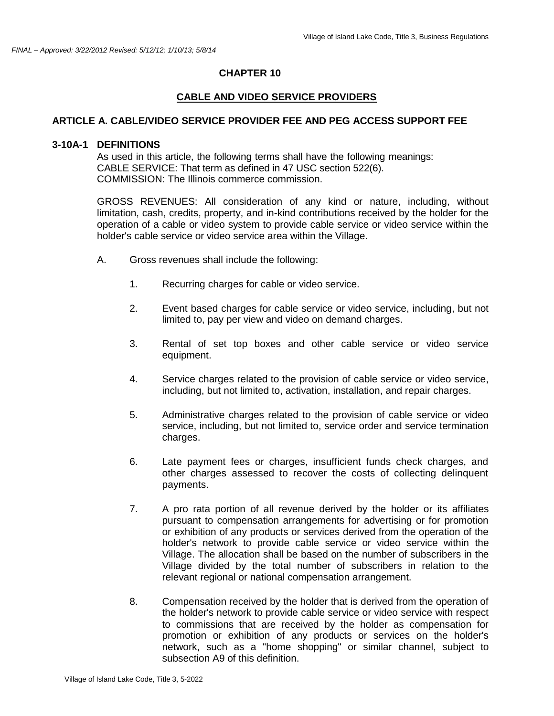#### **CHAPTER 10**

## **CABLE AND VIDEO SERVICE PROVIDERS**

### **ARTICLE A. CABLE/VIDEO SERVICE PROVIDER FEE AND PEG ACCESS SUPPORT FEE**

#### **3-10A-1 DEFINITIONS**

As used in this article, the following terms shall have the following meanings: CABLE SERVICE: That term as defined in 47 USC section 522(6). COMMISSION: The Illinois commerce commission.

GROSS REVENUES: All consideration of any kind or nature, including, without limitation, cash, credits, property, and in-kind contributions received by the holder for the operation of a cable or video system to provide cable service or video service within the holder's cable service or video service area within the Village.

- A. Gross revenues shall include the following:
	- 1. Recurring charges for cable or video service.
	- 2. Event based charges for cable service or video service, including, but not limited to, pay per view and video on demand charges.
	- 3. Rental of set top boxes and other cable service or video service equipment.
	- 4. Service charges related to the provision of cable service or video service, including, but not limited to, activation, installation, and repair charges.
	- 5. Administrative charges related to the provision of cable service or video service, including, but not limited to, service order and service termination charges.
	- 6. Late payment fees or charges, insufficient funds check charges, and other charges assessed to recover the costs of collecting delinquent payments.
	- 7. A pro rata portion of all revenue derived by the holder or its affiliates pursuant to compensation arrangements for advertising or for promotion or exhibition of any products or services derived from the operation of the holder's network to provide cable service or video service within the Village. The allocation shall be based on the number of subscribers in the Village divided by the total number of subscribers in relation to the relevant regional or national compensation arrangement.
	- 8. Compensation received by the holder that is derived from the operation of the holder's network to provide cable service or video service with respect to commissions that are received by the holder as compensation for promotion or exhibition of any products or services on the holder's network, such as a "home shopping" or similar channel, subject to subsection A9 of this definition.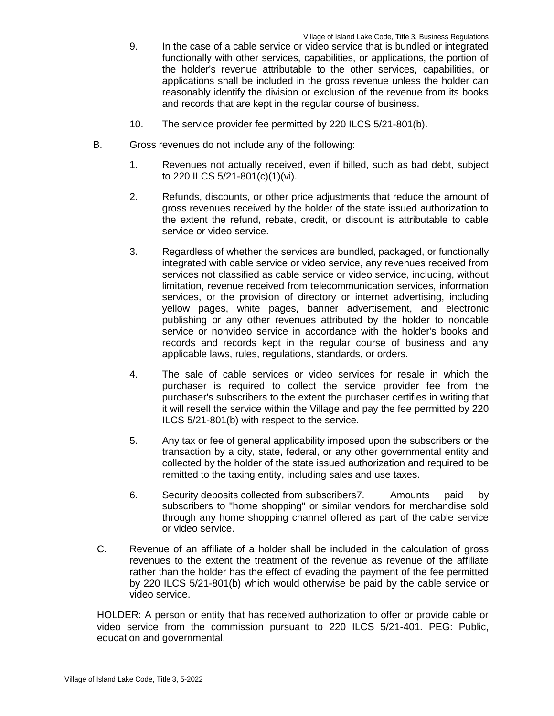- 9. In the case of a cable service or video service that is bundled or integrated functionally with other services, capabilities, or applications, the portion of the holder's revenue attributable to the other services, capabilities, or applications shall be included in the gross revenue unless the holder can reasonably identify the division or exclusion of the revenue from its books and records that are kept in the regular course of business.
- 10. The service provider fee permitted by 220 ILCS 5/21-801(b).
- B. Gross revenues do not include any of the following:
	- 1. Revenues not actually received, even if billed, such as bad debt, subject to 220 ILCS 5/21-801(c)(1)(vi).
	- 2. Refunds, discounts, or other price adjustments that reduce the amount of gross revenues received by the holder of the state issued authorization to the extent the refund, rebate, credit, or discount is attributable to cable service or video service.
	- 3. Regardless of whether the services are bundled, packaged, or functionally integrated with cable service or video service, any revenues received from services not classified as cable service or video service, including, without limitation, revenue received from telecommunication services, information services, or the provision of directory or internet advertising, including yellow pages, white pages, banner advertisement, and electronic publishing or any other revenues attributed by the holder to noncable service or nonvideo service in accordance with the holder's books and records and records kept in the regular course of business and any applicable laws, rules, regulations, standards, or orders.
	- 4. The sale of cable services or video services for resale in which the purchaser is required to collect the service provider fee from the purchaser's subscribers to the extent the purchaser certifies in writing that it will resell the service within the Village and pay the fee permitted by 220 ILCS 5/21-801(b) with respect to the service.
	- 5. Any tax or fee of general applicability imposed upon the subscribers or the transaction by a city, state, federal, or any other governmental entity and collected by the holder of the state issued authorization and required to be remitted to the taxing entity, including sales and use taxes.
	- 6. Security deposits collected from subscribers7. Amounts paid by subscribers to "home shopping" or similar vendors for merchandise sold through any home shopping channel offered as part of the cable service or video service.
- C. Revenue of an affiliate of a holder shall be included in the calculation of gross revenues to the extent the treatment of the revenue as revenue of the affiliate rather than the holder has the effect of evading the payment of the fee permitted by 220 ILCS 5/21-801(b) which would otherwise be paid by the cable service or video service.

HOLDER: A person or entity that has received authorization to offer or provide cable or video service from the commission pursuant to 220 ILCS 5/21-401. PEG: Public, education and governmental.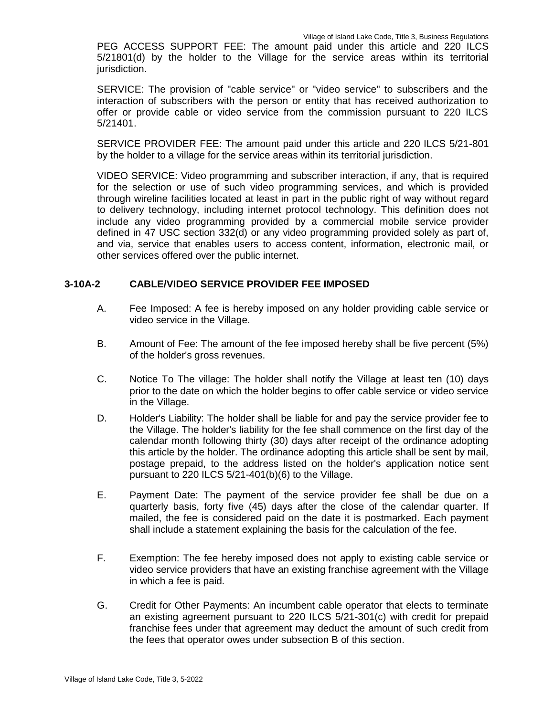PEG ACCESS SUPPORT FEE: The amount paid under this article and 220 ILCS 5/21801(d) by the holder to the Village for the service areas within its territorial jurisdiction.

SERVICE: The provision of "cable service" or "video service" to subscribers and the interaction of subscribers with the person or entity that has received authorization to offer or provide cable or video service from the commission pursuant to 220 ILCS 5/21401.

SERVICE PROVIDER FEE: The amount paid under this article and 220 ILCS 5/21-801 by the holder to a village for the service areas within its territorial jurisdiction.

VIDEO SERVICE: Video programming and subscriber interaction, if any, that is required for the selection or use of such video programming services, and which is provided through wireline facilities located at least in part in the public right of way without regard to delivery technology, including internet protocol technology. This definition does not include any video programming provided by a commercial mobile service provider defined in 47 USC section 332(d) or any video programming provided solely as part of, and via, service that enables users to access content, information, electronic mail, or other services offered over the public internet.

# **3-10A-2 CABLE/VIDEO SERVICE PROVIDER FEE IMPOSED**

- A. Fee Imposed: A fee is hereby imposed on any holder providing cable service or video service in the Village.
- B. Amount of Fee: The amount of the fee imposed hereby shall be five percent (5%) of the holder's gross revenues.
- C. Notice To The village: The holder shall notify the Village at least ten (10) days prior to the date on which the holder begins to offer cable service or video service in the Village.
- D. Holder's Liability: The holder shall be liable for and pay the service provider fee to the Village. The holder's liability for the fee shall commence on the first day of the calendar month following thirty (30) days after receipt of the ordinance adopting this article by the holder. The ordinance adopting this article shall be sent by mail, postage prepaid, to the address listed on the holder's application notice sent pursuant to 220 ILCS 5/21-401(b)(6) to the Village.
- E. Payment Date: The payment of the service provider fee shall be due on a quarterly basis, forty five (45) days after the close of the calendar quarter. If mailed, the fee is considered paid on the date it is postmarked. Each payment shall include a statement explaining the basis for the calculation of the fee.
- F. Exemption: The fee hereby imposed does not apply to existing cable service or video service providers that have an existing franchise agreement with the Village in which a fee is paid.
- G. Credit for Other Payments: An incumbent cable operator that elects to terminate an existing agreement pursuant to 220 ILCS 5/21-301(c) with credit for prepaid franchise fees under that agreement may deduct the amount of such credit from the fees that operator owes under subsection B of this section.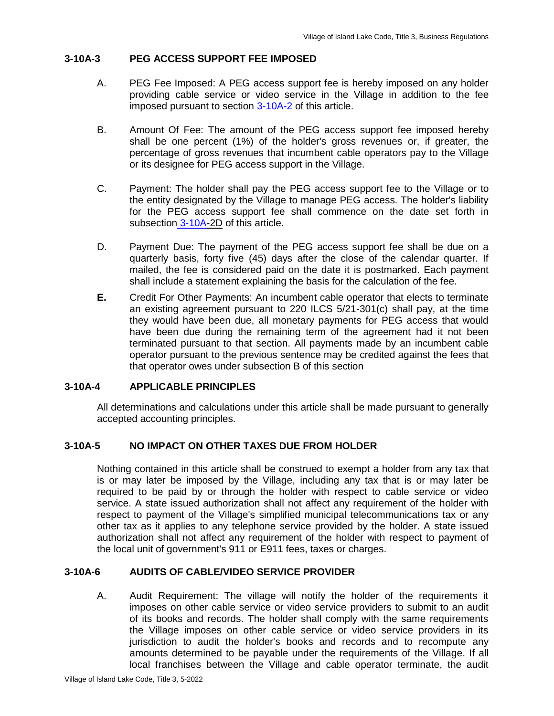# **3-10A-3 PEG ACCESS SUPPORT FEE IMPOSED**

- A. PEG Fee Imposed: A PEG access support fee is hereby imposed on any holder providing cable service or video service in the Village in addition to the fee imposed pursuant to section 3-10A-2 of this article.
- B. Amount Of Fee: The amount of the PEG access support fee imposed hereby shall be one percent (1%) of the holder's gross revenues or, if greater, the percentage of gross revenues that incumbent cable operators pay to the Village or its designee for PEG access support in the Village.
- C. Payment: The holder shall pay the PEG access support fee to the Village or to the entity designated by the Village to manage PEG access. The holder's liability for the PEG access support fee shall commence on the date set forth in subsection 3-10A-2D of this article.
- D. Payment Due: The payment of the PEG access support fee shall be due on a quarterly basis, forty five (45) days after the close of the calendar quarter. If mailed, the fee is considered paid on the date it is postmarked. Each payment shall include a statement explaining the basis for the calculation of the fee.
- **E.** Credit For Other Payments: An incumbent cable operator that elects to terminate an existing agreement pursuant to 220 ILCS 5/21-301(c) shall pay, at the time they would have been due, all monetary payments for PEG access that would have been due during the remaining term of the agreement had it not been terminated pursuant to that section. All payments made by an incumbent cable operator pursuant to the previous sentence may be credited against the fees that that operator owes under subsection B of this section

# **3-10A-4 APPLICABLE PRINCIPLES**

All determinations and calculations under this article shall be made pursuant to generally accepted accounting principles.

# **3-10A-5 NO IMPACT ON OTHER TAXES DUE FROM HOLDER**

Nothing contained in this article shall be construed to exempt a holder from any tax that is or may later be imposed by the Village, including any tax that is or may later be required to be paid by or through the holder with respect to cable service or video service. A state issued authorization shall not affect any requirement of the holder with respect to payment of the Village's simplified municipal telecommunications tax or any other tax as it applies to any telephone service provided by the holder. A state issued authorization shall not affect any requirement of the holder with respect to payment of the local unit of government's 911 or E911 fees, taxes or charges.

#### **3-10A-6 AUDITS OF CABLE/VIDEO SERVICE PROVIDER**

A. Audit Requirement: The village will notify the holder of the requirements it imposes on other cable service or video service providers to submit to an audit of its books and records. The holder shall comply with the same requirements the Village imposes on other cable service or video service providers in its jurisdiction to audit the holder's books and records and to recompute any amounts determined to be payable under the requirements of the Village. If all local franchises between the Village and cable operator terminate, the audit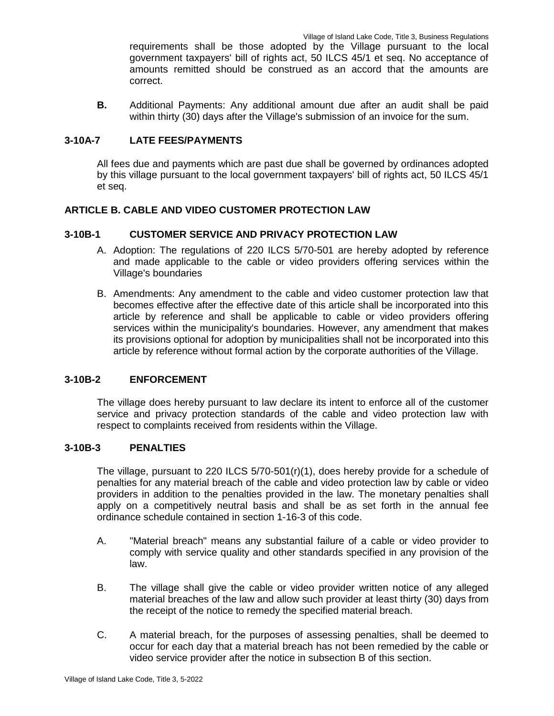requirements shall be those adopted by the Village pursuant to the local government taxpayers' bill of rights act, 50 ILCS 45/1 et seq. No acceptance of amounts remitted should be construed as an accord that the amounts are correct.

**B.** Additional Payments: Any additional amount due after an audit shall be paid within thirty (30) days after the Village's submission of an invoice for the sum.

### **3-10A-7 LATE FEES/PAYMENTS**

All fees due and payments which are past due shall be governed by ordinances adopted by this village pursuant to the local government taxpayers' bill of rights act, 50 ILCS 45/1 et seq.

# **ARTICLE B. CABLE AND VIDEO CUSTOMER PROTECTION LAW**

### **3-10B-1 CUSTOMER SERVICE AND PRIVACY PROTECTION LAW**

- A. Adoption: The regulations of 220 ILCS 5/70-501 are hereby adopted by reference and made applicable to the cable or video providers offering services within the Village's boundaries
- B. Amendments: Any amendment to the cable and video customer protection law that becomes effective after the effective date of this article shall be incorporated into this article by reference and shall be applicable to cable or video providers offering services within the municipality's boundaries. However, any amendment that makes its provisions optional for adoption by municipalities shall not be incorporated into this article by reference without formal action by the corporate authorities of the Village.

### **3-10B-2 ENFORCEMENT**

The village does hereby pursuant to law declare its intent to enforce all of the customer service and privacy protection standards of the cable and video protection law with respect to complaints received from residents within the Village.

### **3-10B-3 PENALTIES**

The village, pursuant to 220 ILCS 5/70-501(r)(1), does hereby provide for a schedule of penalties for any material breach of the cable and video protection law by cable or video providers in addition to the penalties provided in the law. The monetary penalties shall apply on a competitively neutral basis and shall be as set forth in the annual fee ordinance schedule contained in section 1-16-3 of this code.

- A. "Material breach" means any substantial failure of a cable or video provider to comply with service quality and other standards specified in any provision of the law.
- B. The village shall give the cable or video provider written notice of any alleged material breaches of the law and allow such provider at least thirty (30) days from the receipt of the notice to remedy the specified material breach.
- C. A material breach, for the purposes of assessing penalties, shall be deemed to occur for each day that a material breach has not been remedied by the cable or video service provider after the notice in subsection B of this section.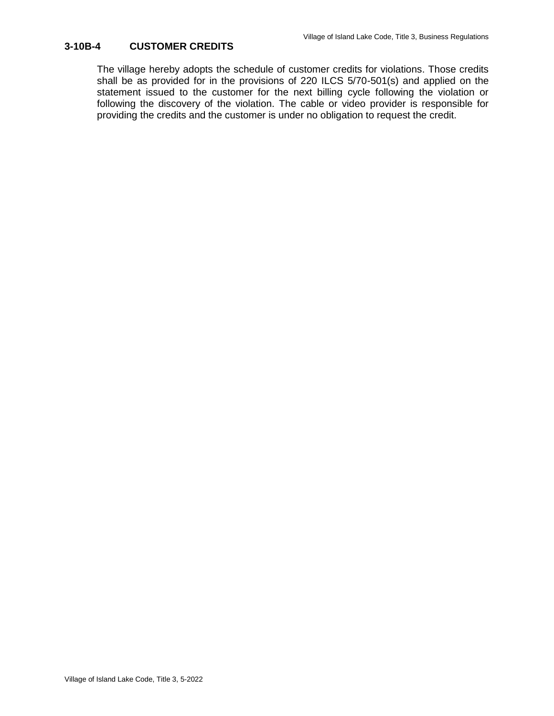# **3-10B-4 CUSTOMER CREDITS**

The village hereby adopts the schedule of customer credits for violations. Those credits shall be as provided for in the provisions of 220 ILCS 5/70-501(s) and applied on the statement issued to the customer for the next billing cycle following the violation or following the discovery of the violation. The cable or video provider is responsible for providing the credits and the customer is under no obligation to request the credit.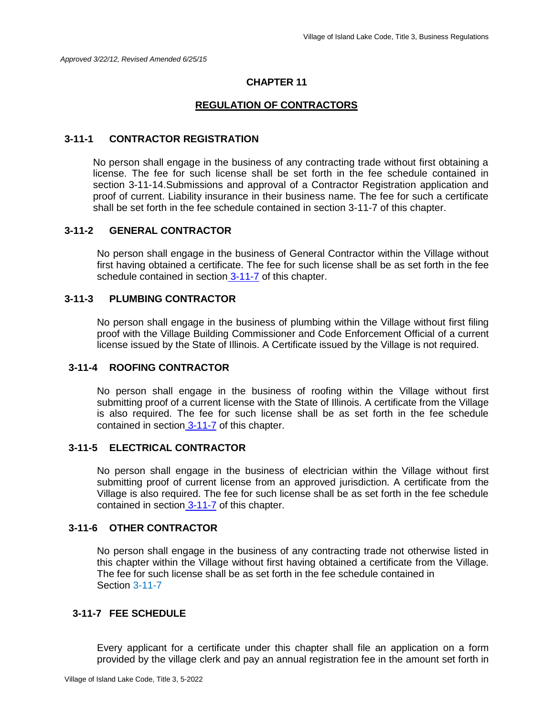## **CHAPTER 11**

#### **REGULATION OF CONTRACTORS**

#### **3-11-1 CONTRACTOR REGISTRATION**

No person shall engage in the business of any contracting trade without first obtaining a license. The fee for such license shall be set forth in the fee schedule contained in section 3-11-14.Submissions and approval of a Contractor Registration application and proof of current. Liability insurance in their business name. The fee for such a certificate shall be set forth in the fee schedule contained in section 3-11-7 of this chapter.

#### **3-11-2 GENERAL CONTRACTOR**

No person shall engage in the business of General Contractor within the Village without first having obtained a certificate. The fee for such license shall be as set forth in the fee schedule contained in section 3-11-7 of this chapter.

#### **3-11-3 PLUMBING CONTRACTOR**

No person shall engage in the business of plumbing within the Village without first filing proof with the Village Building Commissioner and Code Enforcement Official of a current license issued by the State of Illinois. A Certificate issued by the Village is not required.

#### **3-11-4 ROOFING CONTRACTOR**

No person shall engage in the business of roofing within the Village without first submitting proof of a current license with the State of Illinois. A certificate from the Village is also required. The fee for such license shall be as set forth in the fee schedule contained in section 3-11-7 of this chapter.

## **3-11-5 ELECTRICAL CONTRACTOR**

No person shall engage in the business of electrician within the Village without first submitting proof of current license from an approved jurisdiction. A certificate from the Village is also required. The fee for such license shall be as set forth in the fee schedule contained in section 3-11-7 of this chapter.

#### **3-11-6 OTHER CONTRACTOR**

No person shall engage in the business of any contracting trade not otherwise listed in this chapter within the Village without first having obtained a certificate from the Village. The fee for such license shall be as set forth in the fee schedule contained in Section 3-11-7

### **3-11-7 FEE SCHEDULE**

Every applicant for a certificate under this chapter shall file an application on a form provided by the village clerk and pay an annual registration fee in the amount set forth in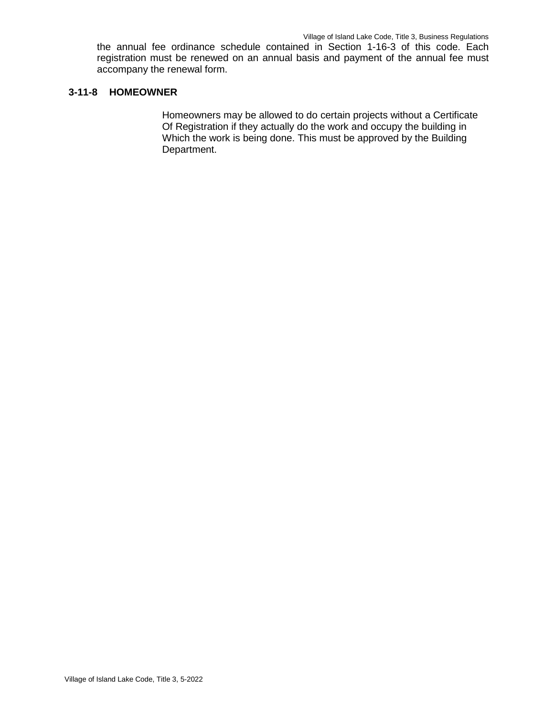the annual fee ordinance schedule contained in Section 1-16-3 of this code. Each registration must be renewed on an annual basis and payment of the annual fee must accompany the renewal form.

## **3-11-8 HOMEOWNER**

Homeowners may be allowed to do certain projects without a Certificate Of Registration if they actually do the work and occupy the building in Which the work is being done. This must be approved by the Building Department.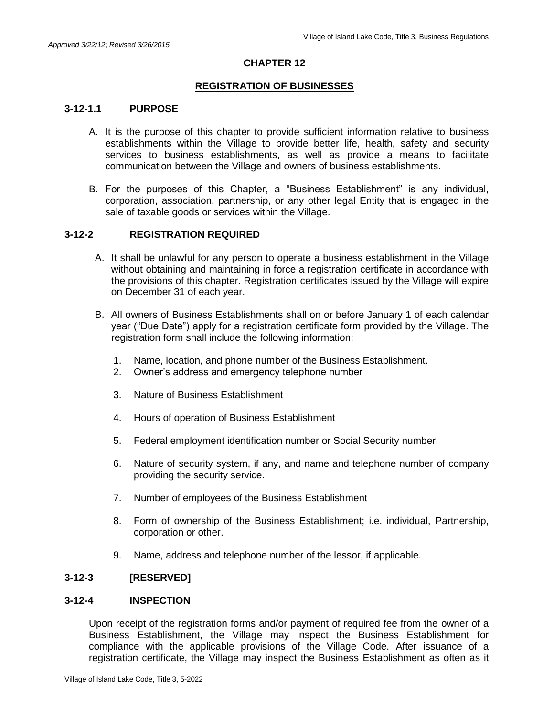# **CHAPTER 12**

### **REGISTRATION OF BUSINESSES**

### **3-12-1.1 PURPOSE**

- A. It is the purpose of this chapter to provide sufficient information relative to business establishments within the Village to provide better life, health, safety and security services to business establishments, as well as provide a means to facilitate communication between the Village and owners of business establishments.
- B. For the purposes of this Chapter, a "Business Establishment" is any individual, corporation, association, partnership, or any other legal Entity that is engaged in the sale of taxable goods or services within the Village.

#### **3-12-2 REGISTRATION REQUIRED**

- A. It shall be unlawful for any person to operate a business establishment in the Village without obtaining and maintaining in force a registration certificate in accordance with the provisions of this chapter. Registration certificates issued by the Village will expire on December 31 of each year.
- B. All owners of Business Establishments shall on or before January 1 of each calendar year ("Due Date") apply for a registration certificate form provided by the Village. The registration form shall include the following information:
	- 1. Name, location, and phone number of the Business Establishment.
	- 2. Owner's address and emergency telephone number
	- 3. Nature of Business Establishment
	- 4. Hours of operation of Business Establishment
	- 5. Federal employment identification number or Social Security number.
	- 6. Nature of security system, if any, and name and telephone number of company providing the security service.
	- 7. Number of employees of the Business Establishment
	- 8. Form of ownership of the Business Establishment; i.e. individual, Partnership, corporation or other.
	- 9. Name, address and telephone number of the lessor, if applicable.

## **3-12-3 [RESERVED]**

#### **3-12-4 INSPECTION**

Upon receipt of the registration forms and/or payment of required fee from the owner of a Business Establishment, the Village may inspect the Business Establishment for compliance with the applicable provisions of the Village Code. After issuance of a registration certificate, the Village may inspect the Business Establishment as often as it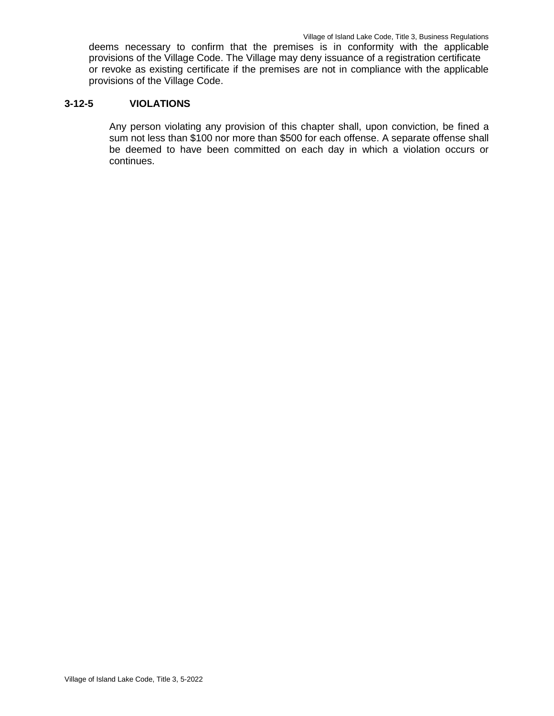deems necessary to confirm that the premises is in conformity with the applicable provisions of the Village Code. The Village may deny issuance of a registration certificate or revoke as existing certificate if the premises are not in compliance with the applicable provisions of the Village Code.

### **3-12-5 VIOLATIONS**

Any person violating any provision of this chapter shall, upon conviction, be fined a sum not less than \$100 nor more than \$500 for each offense. A separate offense shall be deemed to have been committed on each day in which a violation occurs or continues.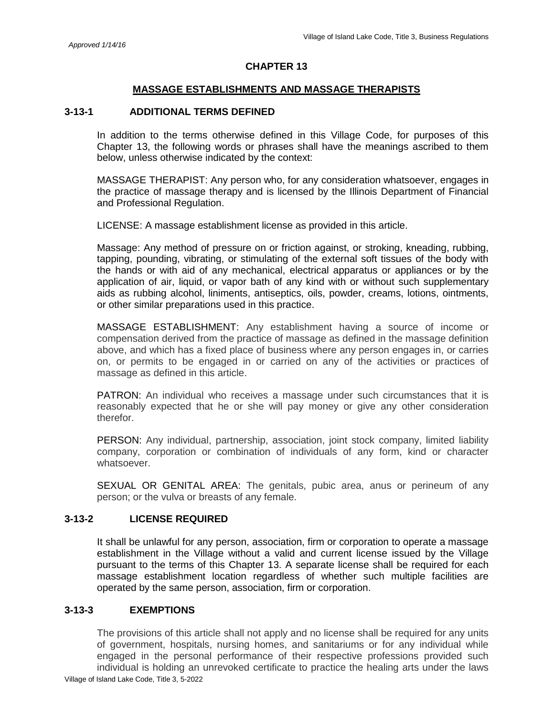#### **CHAPTER 13**

### **MASSAGE ESTABLISHMENTS AND MASSAGE THERAPISTS**

### **3-13-1 ADDITIONAL TERMS DEFINED**

In addition to the terms otherwise defined in this Village Code, for purposes of this Chapter 13, the following words or phrases shall have the meanings ascribed to them below, unless otherwise indicated by the context:

MASSAGE THERAPIST: Any person who, for any consideration whatsoever, engages in the practice of massage therapy and is licensed by the Illinois Department of Financial and Professional Regulation.

LICENSE: A massage establishment license as provided in this article.

Massage: Any method of pressure on or friction against, or stroking, kneading, rubbing, tapping, pounding, vibrating, or stimulating of the external soft tissues of the body with the hands or with aid of any mechanical, electrical apparatus or appliances or by the application of air, liquid, or vapor bath of any kind with or without such supplementary aids as rubbing alcohol, liniments, antiseptics, oils, powder, creams, lotions, ointments, or other similar preparations used in this practice.

MASSAGE ESTABLISHMENT: Any establishment having a source of income or compensation derived from the practice of massage as defined in the massage definition above, and which has a fixed place of business where any person engages in, or carries on, or permits to be engaged in or carried on any of the activities or practices of massage as defined in this article.

PATRON: An individual who receives a massage under such circumstances that it is reasonably expected that he or she will pay money or give any other consideration therefor.

PERSON: Any individual, partnership, association, joint stock company, limited liability company, corporation or combination of individuals of any form, kind or character whatsoever.

SEXUAL OR GENITAL AREA: The genitals, pubic area, anus or perineum of any person; or the vulva or breasts of any female.

#### **3-13-2 LICENSE REQUIRED**

It shall be unlawful for any person, association, firm or corporation to operate a massage establishment in the Village without a valid and current license issued by the Village pursuant to the terms of this Chapter 13. A separate license shall be required for each massage establishment location regardless of whether such multiple facilities are operated by the same person, association, firm or corporation.

#### **3-13-3 EXEMPTIONS**

The provisions of this article shall not apply and no license shall be required for any units of government, hospitals, nursing homes, and sanitariums or for any individual while engaged in the personal performance of their respective professions provided such individual is holding an unrevoked certificate to practice the healing arts under the laws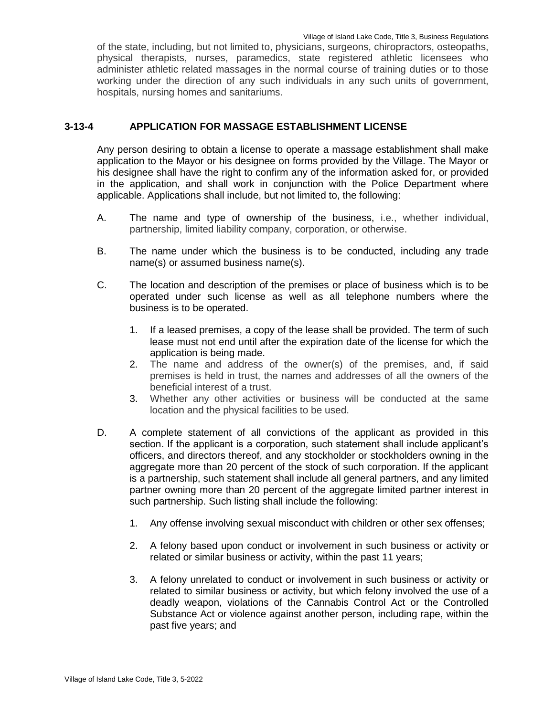of the state, including, but not limited to, physicians, surgeons, chiropractors, osteopaths, physical therapists, nurses, paramedics, state registered athletic licensees who administer athletic related massages in the normal course of training duties or to those working under the direction of any such individuals in any such units of government, hospitals, nursing homes and sanitariums.

### **3-13-4 APPLICATION FOR MASSAGE ESTABLISHMENT LICENSE**

Any person desiring to obtain a license to operate a massage establishment shall make application to the Mayor or his designee on forms provided by the Village. The Mayor or his designee shall have the right to confirm any of the information asked for, or provided in the application, and shall work in conjunction with the Police Department where applicable. Applications shall include, but not limited to, the following:

- A. The name and type of ownership of the business, i.e., whether individual, partnership, limited liability company, corporation, or otherwise.
- B. The name under which the business is to be conducted, including any trade name(s) or assumed business name(s).
- C. The location and description of the premises or place of business which is to be operated under such license as well as all telephone numbers where the business is to be operated.
	- 1. If a leased premises, a copy of the lease shall be provided. The term of such lease must not end until after the expiration date of the license for which the application is being made.
	- 2. The name and address of the owner(s) of the premises, and, if said premises is held in trust, the names and addresses of all the owners of the beneficial interest of a trust.
	- 3. Whether any other activities or business will be conducted at the same location and the physical facilities to be used.
- D. A complete statement of all convictions of the applicant as provided in this section. If the applicant is a corporation, such statement shall include applicant's officers, and directors thereof, and any stockholder or stockholders owning in the aggregate more than 20 percent of the stock of such corporation. If the applicant is a partnership, such statement shall include all general partners, and any limited partner owning more than 20 percent of the aggregate limited partner interest in such partnership. Such listing shall include the following:
	- 1. Any offense involving sexual misconduct with children or other sex offenses;
	- 2. A felony based upon conduct or involvement in such business or activity or related or similar business or activity, within the past 11 years;
	- 3. A felony unrelated to conduct or involvement in such business or activity or related to similar business or activity, but which felony involved the use of a deadly weapon, violations of the Cannabis Control Act or the Controlled Substance Act or violence against another person, including rape, within the past five years; and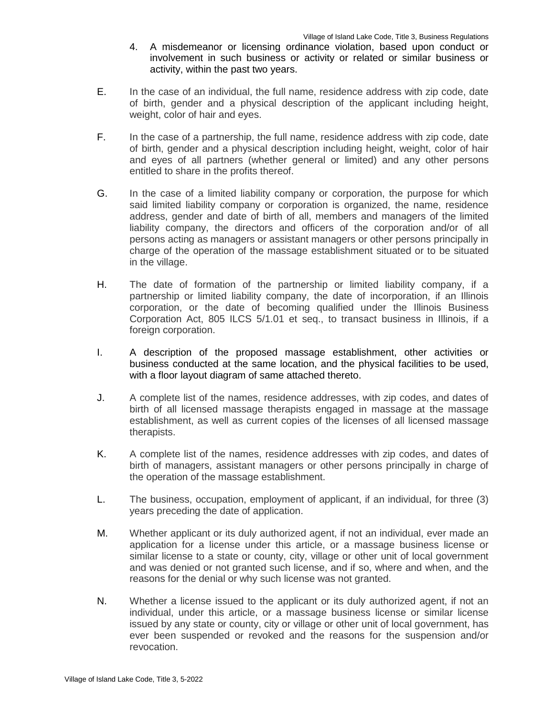- 4. A misdemeanor or licensing ordinance violation, based upon conduct or involvement in such business or activity or related or similar business or activity, within the past two years.
- E. In the case of an individual, the full name, residence address with zip code, date of birth, gender and a physical description of the applicant including height, weight, color of hair and eyes.
- F. In the case of a partnership, the full name, residence address with zip code, date of birth, gender and a physical description including height, weight, color of hair and eyes of all partners (whether general or limited) and any other persons entitled to share in the profits thereof.
- G. In the case of a limited liability company or corporation, the purpose for which said limited liability company or corporation is organized, the name, residence address, gender and date of birth of all, members and managers of the limited liability company, the directors and officers of the corporation and/or of all persons acting as managers or assistant managers or other persons principally in charge of the operation of the massage establishment situated or to be situated in the village.
- H. The date of formation of the partnership or limited liability company, if a partnership or limited liability company, the date of incorporation, if an Illinois corporation, or the date of becoming qualified under the Illinois Business Corporation Act, 805 ILCS 5/1.01 et seq., to transact business in Illinois, if a foreign corporation.
- I. A description of the proposed massage establishment, other activities or business conducted at the same location, and the physical facilities to be used, with a floor layout diagram of same attached thereto.
- J. A complete list of the names, residence addresses, with zip codes, and dates of birth of all licensed massage therapists engaged in massage at the massage establishment, as well as current copies of the licenses of all licensed massage therapists.
- K. A complete list of the names, residence addresses with zip codes, and dates of birth of managers, assistant managers or other persons principally in charge of the operation of the massage establishment.
- L. The business, occupation, employment of applicant, if an individual, for three (3) years preceding the date of application.
- M. Whether applicant or its duly authorized agent, if not an individual, ever made an application for a license under this article, or a massage business license or similar license to a state or county, city, village or other unit of local government and was denied or not granted such license, and if so, where and when, and the reasons for the denial or why such license was not granted.
- N. Whether a license issued to the applicant or its duly authorized agent, if not an individual, under this article, or a massage business license or similar license issued by any state or county, city or village or other unit of local government, has ever been suspended or revoked and the reasons for the suspension and/or revocation.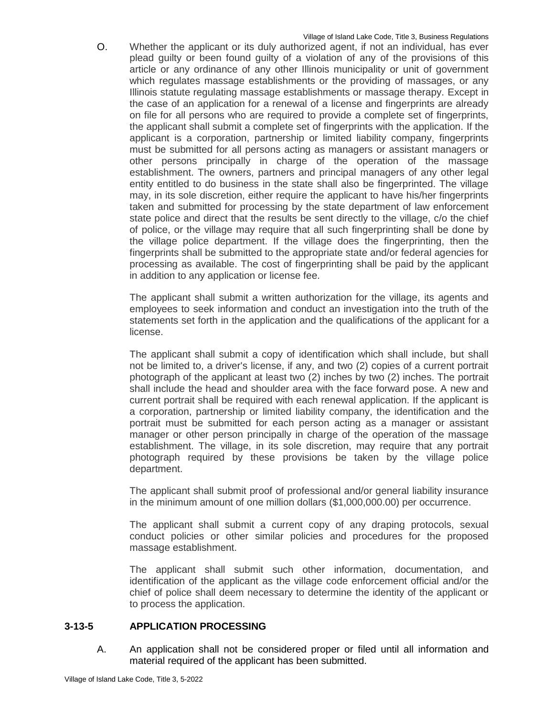O. Whether the applicant or its duly authorized agent, if not an individual, has ever plead guilty or been found guilty of a violation of any of the provisions of this article or any ordinance of any other Illinois municipality or unit of government which regulates massage establishments or the providing of massages, or any Illinois statute regulating massage establishments or massage therapy. Except in the case of an application for a renewal of a license and fingerprints are already on file for all persons who are required to provide a complete set of fingerprints, the applicant shall submit a complete set of fingerprints with the application. If the applicant is a corporation, partnership or limited liability company, fingerprints must be submitted for all persons acting as managers or assistant managers or other persons principally in charge of the operation of the massage establishment. The owners, partners and principal managers of any other legal entity entitled to do business in the state shall also be fingerprinted. The village may, in its sole discretion, either require the applicant to have his/her fingerprints taken and submitted for processing by the state department of law enforcement state police and direct that the results be sent directly to the village, c/o the chief of police, or the village may require that all such fingerprinting shall be done by the village police department. If the village does the fingerprinting, then the fingerprints shall be submitted to the appropriate state and/or federal agencies for processing as available. The cost of fingerprinting shall be paid by the applicant in addition to any application or license fee.

The applicant shall submit a written authorization for the village, its agents and employees to seek information and conduct an investigation into the truth of the statements set forth in the application and the qualifications of the applicant for a license.

The applicant shall submit a copy of identification which shall include, but shall not be limited to, a driver's license, if any, and two (2) copies of a current portrait photograph of the applicant at least two (2) inches by two (2) inches. The portrait shall include the head and shoulder area with the face forward pose. A new and current portrait shall be required with each renewal application. If the applicant is a corporation, partnership or limited liability company, the identification and the portrait must be submitted for each person acting as a manager or assistant manager or other person principally in charge of the operation of the massage establishment. The village, in its sole discretion, may require that any portrait photograph required by these provisions be taken by the village police department.

The applicant shall submit proof of professional and/or general liability insurance in the minimum amount of one million dollars (\$1,000,000.00) per occurrence.

The applicant shall submit a current copy of any draping protocols, sexual conduct policies or other similar policies and procedures for the proposed massage establishment.

The applicant shall submit such other information, documentation, and identification of the applicant as the village code enforcement official and/or the chief of police shall deem necessary to determine the identity of the applicant or to process the application.

# **3-13-5 APPLICATION PROCESSING**

A. An application shall not be considered proper or filed until all information and material required of the applicant has been submitted.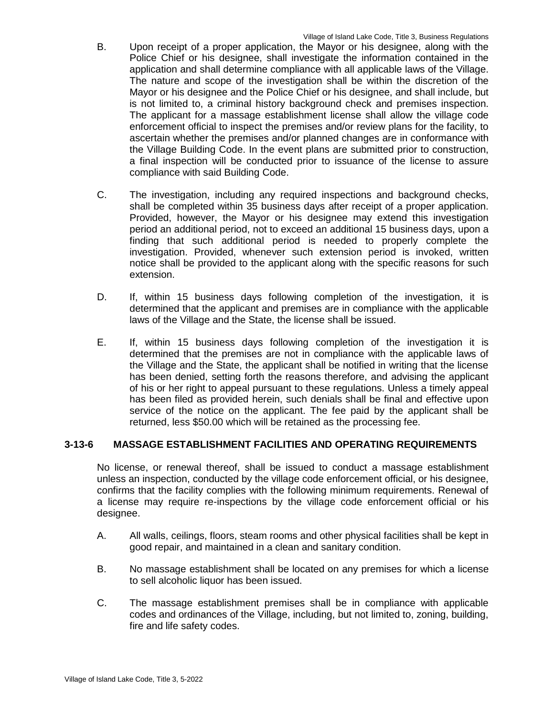- B. Upon receipt of a proper application, the Mayor or his designee, along with the Police Chief or his designee, shall investigate the information contained in the application and shall determine compliance with all applicable laws of the Village. The nature and scope of the investigation shall be within the discretion of the Mayor or his designee and the Police Chief or his designee, and shall include, but is not limited to, a criminal history background check and premises inspection. The applicant for a massage establishment license shall allow the village code enforcement official to inspect the premises and/or review plans for the facility, to ascertain whether the premises and/or planned changes are in conformance with the Village Building Code. In the event plans are submitted prior to construction, a final inspection will be conducted prior to issuance of the license to assure compliance with said Building Code.
- C. The investigation, including any required inspections and background checks, shall be completed within 35 business days after receipt of a proper application. Provided, however, the Mayor or his designee may extend this investigation period an additional period, not to exceed an additional 15 business days, upon a finding that such additional period is needed to properly complete the investigation. Provided, whenever such extension period is invoked, written notice shall be provided to the applicant along with the specific reasons for such extension.
- D. If, within 15 business days following completion of the investigation, it is determined that the applicant and premises are in compliance with the applicable laws of the Village and the State, the license shall be issued.
- E. If, within 15 business days following completion of the investigation it is determined that the premises are not in compliance with the applicable laws of the Village and the State, the applicant shall be notified in writing that the license has been denied, setting forth the reasons therefore, and advising the applicant of his or her right to appeal pursuant to these regulations. Unless a timely appeal has been filed as provided herein, such denials shall be final and effective upon service of the notice on the applicant. The fee paid by the applicant shall be returned, less \$50.00 which will be retained as the processing fee.

# **3-13-6 MASSAGE ESTABLISHMENT FACILITIES AND OPERATING REQUIREMENTS**

No license, or renewal thereof, shall be issued to conduct a massage establishment unless an inspection, conducted by the village code enforcement official, or his designee, confirms that the facility complies with the following minimum requirements. Renewal of a license may require re-inspections by the village code enforcement official or his designee.

- A. All walls, ceilings, floors, steam rooms and other physical facilities shall be kept in good repair, and maintained in a clean and sanitary condition.
- B. No massage establishment shall be located on any premises for which a license to sell alcoholic liquor has been issued.
- C. The massage establishment premises shall be in compliance with applicable codes and ordinances of the Village, including, but not limited to, zoning, building, fire and life safety codes.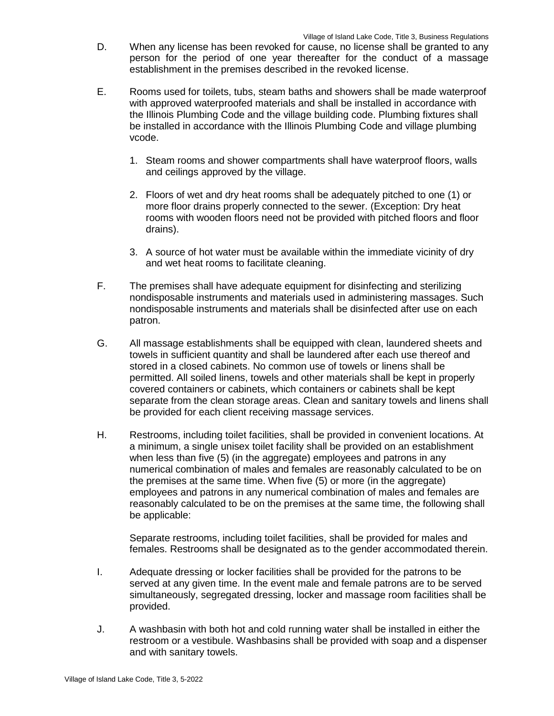- D. When any license has been revoked for cause, no license shall be granted to any person for the period of one year thereafter for the conduct of a massage establishment in the premises described in the revoked license.
- E. Rooms used for toilets, tubs, steam baths and showers shall be made waterproof with approved waterproofed materials and shall be installed in accordance with the Illinois Plumbing Code and the village building code. Plumbing fixtures shall be installed in accordance with the Illinois Plumbing Code and village plumbing vcode.
	- 1. Steam rooms and shower compartments shall have waterproof floors, walls and ceilings approved by the village.
	- 2. Floors of wet and dry heat rooms shall be adequately pitched to one (1) or more floor drains properly connected to the sewer. (Exception: Dry heat rooms with wooden floors need not be provided with pitched floors and floor drains).
	- 3. A source of hot water must be available within the immediate vicinity of dry and wet heat rooms to facilitate cleaning.
- F. The premises shall have adequate equipment for disinfecting and sterilizing nondisposable instruments and materials used in administering massages. Such nondisposable instruments and materials shall be disinfected after use on each patron.
- G. All massage establishments shall be equipped with clean, laundered sheets and towels in sufficient quantity and shall be laundered after each use thereof and stored in a closed cabinets. No common use of towels or linens shall be permitted. All soiled linens, towels and other materials shall be kept in properly covered containers or cabinets, which containers or cabinets shall be kept separate from the clean storage areas. Clean and sanitary towels and linens shall be provided for each client receiving massage services.
- H. Restrooms, including toilet facilities, shall be provided in convenient locations. At a minimum, a single unisex toilet facility shall be provided on an establishment when less than five (5) (in the aggregate) employees and patrons in any numerical combination of males and females are reasonably calculated to be on the premises at the same time. When five (5) or more (in the aggregate) employees and patrons in any numerical combination of males and females are reasonably calculated to be on the premises at the same time, the following shall be applicable:

Separate restrooms, including toilet facilities, shall be provided for males and females. Restrooms shall be designated as to the gender accommodated therein.

- I. Adequate dressing or locker facilities shall be provided for the patrons to be served at any given time. In the event male and female patrons are to be served simultaneously, segregated dressing, locker and massage room facilities shall be provided.
- J. A washbasin with both hot and cold running water shall be installed in either the restroom or a vestibule. Washbasins shall be provided with soap and a dispenser and with sanitary towels.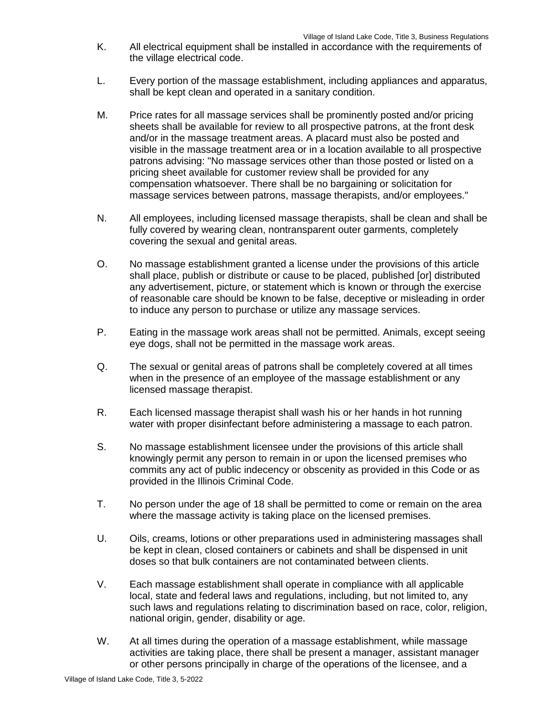- K. All electrical equipment shall be installed in accordance with the requirements of the village electrical code.
- L. Every portion of the massage establishment, including appliances and apparatus, shall be kept clean and operated in a sanitary condition.
- M. Price rates for all massage services shall be prominently posted and/or pricing sheets shall be available for review to all prospective patrons, at the front desk and/or in the massage treatment areas. A placard must also be posted and visible in the massage treatment area or in a location available to all prospective patrons advising: "No massage services other than those posted or listed on a pricing sheet available for customer review shall be provided for any compensation whatsoever. There shall be no bargaining or solicitation for massage services between patrons, massage therapists, and/or employees."
- N. All employees, including licensed massage therapists, shall be clean and shall be fully covered by wearing clean, nontransparent outer garments, completely covering the sexual and genital areas.
- O. No massage establishment granted a license under the provisions of this article shall place, publish or distribute or cause to be placed, published [or] distributed any advertisement, picture, or statement which is known or through the exercise of reasonable care should be known to be false, deceptive or misleading in order to induce any person to purchase or utilize any massage services.
- P. Eating in the massage work areas shall not be permitted. Animals, except seeing eye dogs, shall not be permitted in the massage work areas.
- Q. The sexual or genital areas of patrons shall be completely covered at all times when in the presence of an employee of the massage establishment or any licensed massage therapist.
- R. Each licensed massage therapist shall wash his or her hands in hot running water with proper disinfectant before administering a massage to each patron.
- S. No massage establishment licensee under the provisions of this article shall knowingly permit any person to remain in or upon the licensed premises who commits any act of public indecency or obscenity as provided in this Code or as provided in the Illinois Criminal Code.
- T. No person under the age of 18 shall be permitted to come or remain on the area where the massage activity is taking place on the licensed premises.
- U. Oils, creams, lotions or other preparations used in administering massages shall be kept in clean, closed containers or cabinets and shall be dispensed in unit doses so that bulk containers are not contaminated between clients.
- V. Each massage establishment shall operate in compliance with all applicable local, state and federal laws and regulations, including, but not limited to, any such laws and regulations relating to discrimination based on race, color, religion, national origin, gender, disability or age.
- W. At all times during the operation of a massage establishment, while massage activities are taking place, there shall be present a manager, assistant manager or other persons principally in charge of the operations of the licensee, and a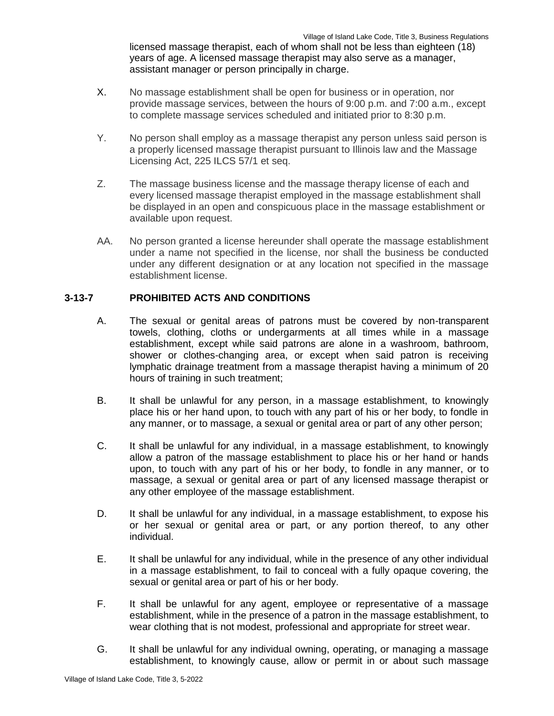licensed massage therapist, each of whom shall not be less than eighteen (18) years of age. A licensed massage therapist may also serve as a manager, assistant manager or person principally in charge.

- X. No massage establishment shall be open for business or in operation, nor provide massage services, between the hours of 9:00 p.m. and 7:00 a.m., except to complete massage services scheduled and initiated prior to 8:30 p.m.
- Y. No person shall employ as a massage therapist any person unless said person is a properly licensed massage therapist pursuant to Illinois law and the Massage Licensing Act, 225 ILCS 57/1 et seq.
- Z. The massage business license and the massage therapy license of each and every licensed massage therapist employed in the massage establishment shall be displayed in an open and conspicuous place in the massage establishment or available upon request.
- AA. No person granted a license hereunder shall operate the massage establishment under a name not specified in the license, nor shall the business be conducted under any different designation or at any location not specified in the massage establishment license.

# **3-13-7 PROHIBITED ACTS AND CONDITIONS**

- A. The sexual or genital areas of patrons must be covered by non-transparent towels, clothing, cloths or undergarments at all times while in a massage establishment, except while said patrons are alone in a washroom, bathroom, shower or clothes-changing area, or except when said patron is receiving lymphatic drainage treatment from a massage therapist having a minimum of 20 hours of training in such treatment;
- B. It shall be unlawful for any person, in a massage establishment, to knowingly place his or her hand upon, to touch with any part of his or her body, to fondle in any manner, or to massage, a sexual or genital area or part of any other person;
- C. It shall be unlawful for any individual, in a massage establishment, to knowingly allow a patron of the massage establishment to place his or her hand or hands upon, to touch with any part of his or her body, to fondle in any manner, or to massage, a sexual or genital area or part of any licensed massage therapist or any other employee of the massage establishment.
- D. It shall be unlawful for any individual, in a massage establishment, to expose his or her sexual or genital area or part, or any portion thereof, to any other individual.
- E. It shall be unlawful for any individual, while in the presence of any other individual in a massage establishment, to fail to conceal with a fully opaque covering, the sexual or genital area or part of his or her body.
- F. It shall be unlawful for any agent, employee or representative of a massage establishment, while in the presence of a patron in the massage establishment, to wear clothing that is not modest, professional and appropriate for street wear.
- G. It shall be unlawful for any individual owning, operating, or managing a massage establishment, to knowingly cause, allow or permit in or about such massage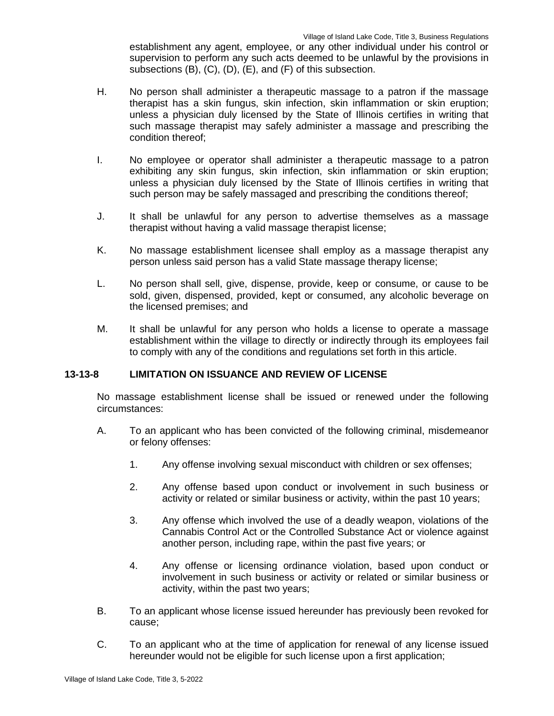establishment any agent, employee, or any other individual under his control or supervision to perform any such acts deemed to be unlawful by the provisions in subsections (B), (C), (D), (E), and (F) of this subsection.

- H. No person shall administer a therapeutic massage to a patron if the massage therapist has a skin fungus, skin infection, skin inflammation or skin eruption; unless a physician duly licensed by the State of Illinois certifies in writing that such massage therapist may safely administer a massage and prescribing the condition thereof;
- I. No employee or operator shall administer a therapeutic massage to a patron exhibiting any skin fungus, skin infection, skin inflammation or skin eruption; unless a physician duly licensed by the State of Illinois certifies in writing that such person may be safely massaged and prescribing the conditions thereof;
- J. It shall be unlawful for any person to advertise themselves as a massage therapist without having a valid massage therapist license;
- K. No massage establishment licensee shall employ as a massage therapist any person unless said person has a valid State massage therapy license;
- L. No person shall sell, give, dispense, provide, keep or consume, or cause to be sold, given, dispensed, provided, kept or consumed, any alcoholic beverage on the licensed premises; and
- M. It shall be unlawful for any person who holds a license to operate a massage establishment within the village to directly or indirectly through its employees fail to comply with any of the conditions and regulations set forth in this article.

# **13-13-8 LIMITATION ON ISSUANCE AND REVIEW OF LICENSE**

No massage establishment license shall be issued or renewed under the following circumstances:

- A. To an applicant who has been convicted of the following criminal, misdemeanor or felony offenses:
	- 1. Any offense involving sexual misconduct with children or sex offenses;
	- 2. Any offense based upon conduct or involvement in such business or activity or related or similar business or activity, within the past 10 years;
	- 3. Any offense which involved the use of a deadly weapon, violations of the Cannabis Control Act or the Controlled Substance Act or violence against another person, including rape, within the past five years; or
	- 4. Any offense or licensing ordinance violation, based upon conduct or involvement in such business or activity or related or similar business or activity, within the past two years;
- B. To an applicant whose license issued hereunder has previously been revoked for cause;
- C. To an applicant who at the time of application for renewal of any license issued hereunder would not be eligible for such license upon a first application;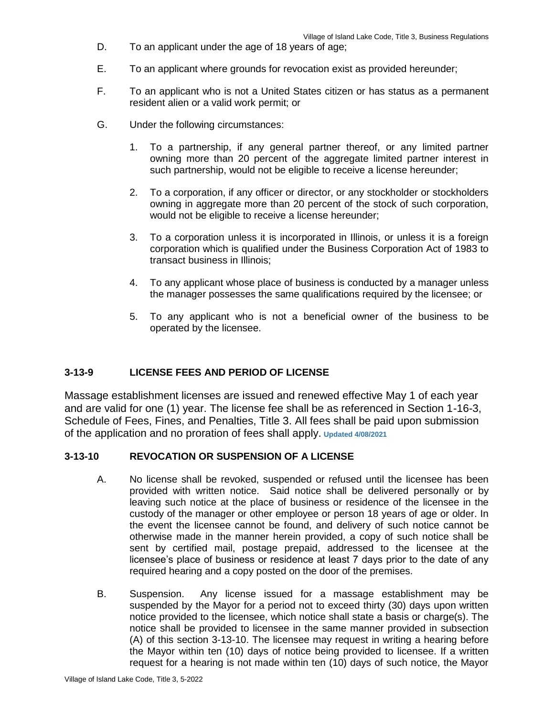- D. To an applicant under the age of 18 years of age;
- E. To an applicant where grounds for revocation exist as provided hereunder;
- F. To an applicant who is not a United States citizen or has status as a permanent resident alien or a valid work permit; or
- G. Under the following circumstances:
	- 1. To a partnership, if any general partner thereof, or any limited partner owning more than 20 percent of the aggregate limited partner interest in such partnership, would not be eligible to receive a license hereunder;
	- 2. To a corporation, if any officer or director, or any stockholder or stockholders owning in aggregate more than 20 percent of the stock of such corporation, would not be eligible to receive a license hereunder;
	- 3. To a corporation unless it is incorporated in Illinois, or unless it is a foreign corporation which is qualified under the Business Corporation Act of 1983 to transact business in Illinois;
	- 4. To any applicant whose place of business is conducted by a manager unless the manager possesses the same qualifications required by the licensee; or
	- 5. To any applicant who is not a beneficial owner of the business to be operated by the licensee.

# **3-13-9 LICENSE FEES AND PERIOD OF LICENSE**

Massage establishment licenses are issued and renewed effective May 1 of each year and are valid for one (1) year. The license fee shall be as referenced in Section 1-16-3, Schedule of Fees, Fines, and Penalties, Title 3. All fees shall be paid upon submission of the application and no proration of fees shall apply. **Updated 4/08/2021**

# **3-13-10 REVOCATION OR SUSPENSION OF A LICENSE**

- A. No license shall be revoked, suspended or refused until the licensee has been provided with written notice. Said notice shall be delivered personally or by leaving such notice at the place of business or residence of the licensee in the custody of the manager or other employee or person 18 years of age or older. In the event the licensee cannot be found, and delivery of such notice cannot be otherwise made in the manner herein provided, a copy of such notice shall be sent by certified mail, postage prepaid, addressed to the licensee at the licensee's place of business or residence at least 7 days prior to the date of any required hearing and a copy posted on the door of the premises.
- B. Suspension. Any license issued for a massage establishment may be suspended by the Mayor for a period not to exceed thirty (30) days upon written notice provided to the licensee, which notice shall state a basis or charge(s). The notice shall be provided to licensee in the same manner provided in subsection (A) of this section 3-13-10. The licensee may request in writing a hearing before the Mayor within ten (10) days of notice being provided to licensee. If a written request for a hearing is not made within ten (10) days of such notice, the Mayor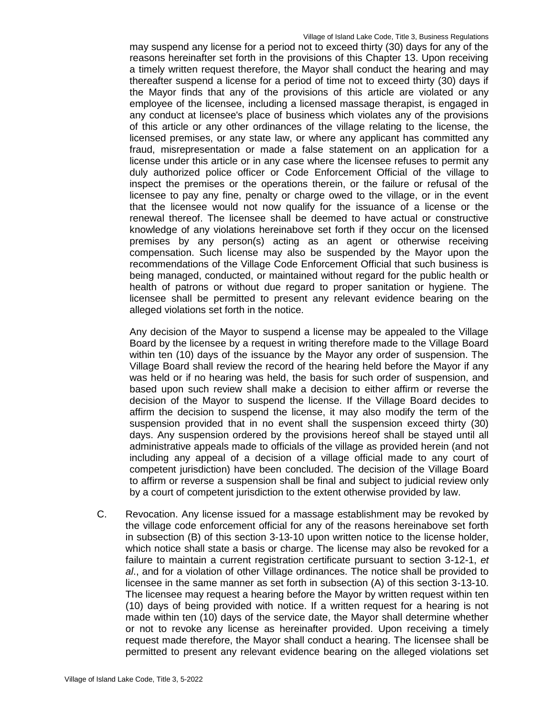may suspend any license for a period not to exceed thirty (30) days for any of the reasons hereinafter set forth in the provisions of this Chapter 13. Upon receiving a timely written request therefore, the Mayor shall conduct the hearing and may thereafter suspend a license for a period of time not to exceed thirty (30) days if the Mayor finds that any of the provisions of this article are violated or any employee of the licensee, including a licensed massage therapist, is engaged in any conduct at licensee's place of business which violates any of the provisions of this article or any other ordinances of the village relating to the license, the licensed premises, or any state law, or where any applicant has committed any fraud, misrepresentation or made a false statement on an application for a license under this article or in any case where the licensee refuses to permit any duly authorized police officer or Code Enforcement Official of the village to inspect the premises or the operations therein, or the failure or refusal of the licensee to pay any fine, penalty or charge owed to the village, or in the event that the licensee would not now qualify for the issuance of a license or the renewal thereof. The licensee shall be deemed to have actual or constructive knowledge of any violations hereinabove set forth if they occur on the licensed premises by any person(s) acting as an agent or otherwise receiving compensation. Such license may also be suspended by the Mayor upon the recommendations of the Village Code Enforcement Official that such business is being managed, conducted, or maintained without regard for the public health or health of patrons or without due regard to proper sanitation or hygiene. The licensee shall be permitted to present any relevant evidence bearing on the alleged violations set forth in the notice.

Any decision of the Mayor to suspend a license may be appealed to the Village Board by the licensee by a request in writing therefore made to the Village Board within ten (10) days of the issuance by the Mayor any order of suspension. The Village Board shall review the record of the hearing held before the Mayor if any was held or if no hearing was held, the basis for such order of suspension, and based upon such review shall make a decision to either affirm or reverse the decision of the Mayor to suspend the license. If the Village Board decides to affirm the decision to suspend the license, it may also modify the term of the suspension provided that in no event shall the suspension exceed thirty (30) days. Any suspension ordered by the provisions hereof shall be stayed until all administrative appeals made to officials of the village as provided herein (and not including any appeal of a decision of a village official made to any court of competent jurisdiction) have been concluded. The decision of the Village Board to affirm or reverse a suspension shall be final and subject to judicial review only by a court of competent jurisdiction to the extent otherwise provided by law.

C. Revocation. Any license issued for a massage establishment may be revoked by the village code enforcement official for any of the reasons hereinabove set forth in subsection (B) of this section 3-13-10 upon written notice to the license holder, which notice shall state a basis or charge. The license may also be revoked for a failure to maintain a current registration certificate pursuant to section 3-12-1, *et al*., and for a violation of other Village ordinances. The notice shall be provided to licensee in the same manner as set forth in subsection (A) of this section 3-13-10. The licensee may request a hearing before the Mayor by written request within ten (10) days of being provided with notice. If a written request for a hearing is not made within ten (10) days of the service date, the Mayor shall determine whether or not to revoke any license as hereinafter provided. Upon receiving a timely request made therefore, the Mayor shall conduct a hearing. The licensee shall be permitted to present any relevant evidence bearing on the alleged violations set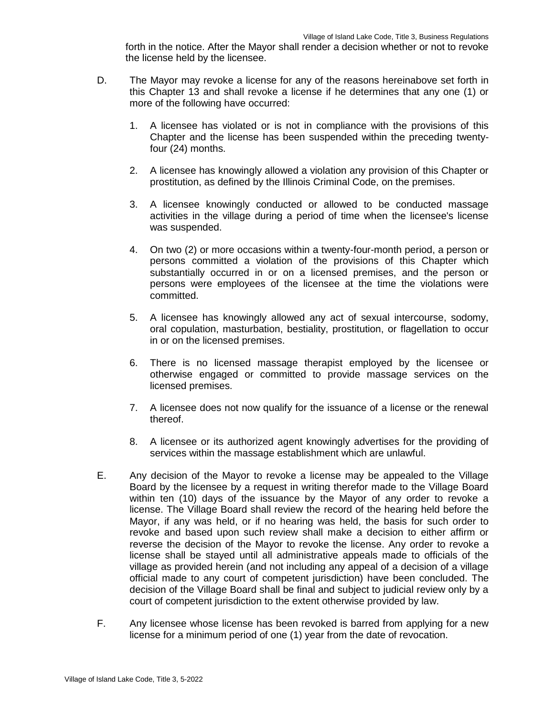forth in the notice. After the Mayor shall render a decision whether or not to revoke the license held by the licensee.

- D. The Mayor may revoke a license for any of the reasons hereinabove set forth in this Chapter 13 and shall revoke a license if he determines that any one (1) or more of the following have occurred:
	- 1. A licensee has violated or is not in compliance with the provisions of this Chapter and the license has been suspended within the preceding twentyfour (24) months.
	- 2. A licensee has knowingly allowed a violation any provision of this Chapter or prostitution, as defined by the Illinois Criminal Code, on the premises.
	- 3. A licensee knowingly conducted or allowed to be conducted massage activities in the village during a period of time when the licensee's license was suspended.
	- 4. On two (2) or more occasions within a twenty-four-month period, a person or persons committed a violation of the provisions of this Chapter which substantially occurred in or on a licensed premises, and the person or persons were employees of the licensee at the time the violations were committed.
	- 5. A licensee has knowingly allowed any act of sexual intercourse, sodomy, oral copulation, masturbation, bestiality, prostitution, or flagellation to occur in or on the licensed premises.
	- 6. There is no licensed massage therapist employed by the licensee or otherwise engaged or committed to provide massage services on the licensed premises.
	- 7. A licensee does not now qualify for the issuance of a license or the renewal thereof.
	- 8. A licensee or its authorized agent knowingly advertises for the providing of services within the massage establishment which are unlawful.
- E. Any decision of the Mayor to revoke a license may be appealed to the Village Board by the licensee by a request in writing therefor made to the Village Board within ten (10) days of the issuance by the Mayor of any order to revoke a license. The Village Board shall review the record of the hearing held before the Mayor, if any was held, or if no hearing was held, the basis for such order to revoke and based upon such review shall make a decision to either affirm or reverse the decision of the Mayor to revoke the license. Any order to revoke a license shall be stayed until all administrative appeals made to officials of the village as provided herein (and not including any appeal of a decision of a village official made to any court of competent jurisdiction) have been concluded. The decision of the Village Board shall be final and subject to judicial review only by a court of competent jurisdiction to the extent otherwise provided by law.
- F. Any licensee whose license has been revoked is barred from applying for a new license for a minimum period of one (1) year from the date of revocation.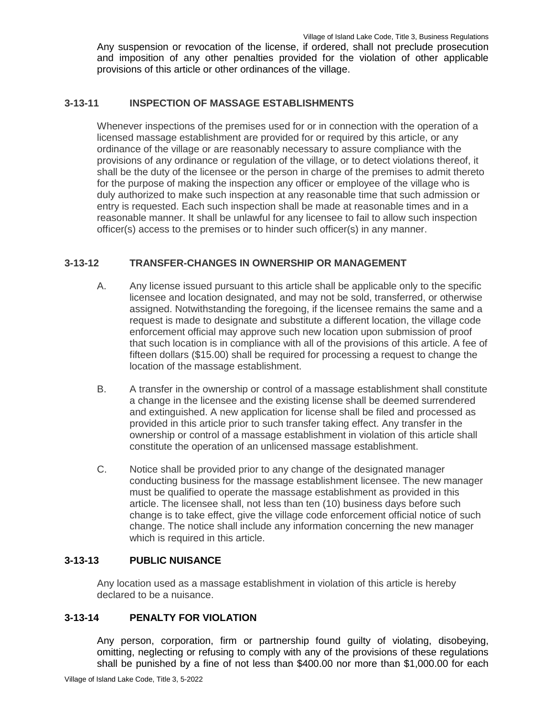Any suspension or revocation of the license, if ordered, shall not preclude prosecution and imposition of any other penalties provided for the violation of other applicable provisions of this article or other ordinances of the village.

### **3-13-11 INSPECTION OF MASSAGE ESTABLISHMENTS**

Whenever inspections of the premises used for or in connection with the operation of a licensed massage establishment are provided for or required by this article, or any ordinance of the village or are reasonably necessary to assure compliance with the provisions of any ordinance or regulation of the village, or to detect violations thereof, it shall be the duty of the licensee or the person in charge of the premises to admit thereto for the purpose of making the inspection any officer or employee of the village who is duly authorized to make such inspection at any reasonable time that such admission or entry is requested. Each such inspection shall be made at reasonable times and in a reasonable manner. It shall be unlawful for any licensee to fail to allow such inspection officer(s) access to the premises or to hinder such officer(s) in any manner.

# **3-13-12 TRANSFER-CHANGES IN OWNERSHIP OR MANAGEMENT**

- A. Any license issued pursuant to this article shall be applicable only to the specific licensee and location designated, and may not be sold, transferred, or otherwise assigned. Notwithstanding the foregoing, if the licensee remains the same and a request is made to designate and substitute a different location, the village code enforcement official may approve such new location upon submission of proof that such location is in compliance with all of the provisions of this article. A fee of fifteen dollars (\$15.00) shall be required for processing a request to change the location of the massage establishment.
- B. A transfer in the ownership or control of a massage establishment shall constitute a change in the licensee and the existing license shall be deemed surrendered and extinguished. A new application for license shall be filed and processed as provided in this article prior to such transfer taking effect. Any transfer in the ownership or control of a massage establishment in violation of this article shall constitute the operation of an unlicensed massage establishment.
- C. Notice shall be provided prior to any change of the designated manager conducting business for the massage establishment licensee. The new manager must be qualified to operate the massage establishment as provided in this article. The licensee shall, not less than ten (10) business days before such change is to take effect, give the village code enforcement official notice of such change. The notice shall include any information concerning the new manager which is required in this article.

# **3-13-13 PUBLIC NUISANCE**

Any location used as a massage establishment in violation of this article is hereby declared to be a nuisance.

# **3-13-14 PENALTY FOR VIOLATION**

Any person, corporation, firm or partnership found guilty of violating, disobeying, omitting, neglecting or refusing to comply with any of the provisions of these regulations shall be punished by a fine of not less than \$400.00 nor more than \$1,000.00 for each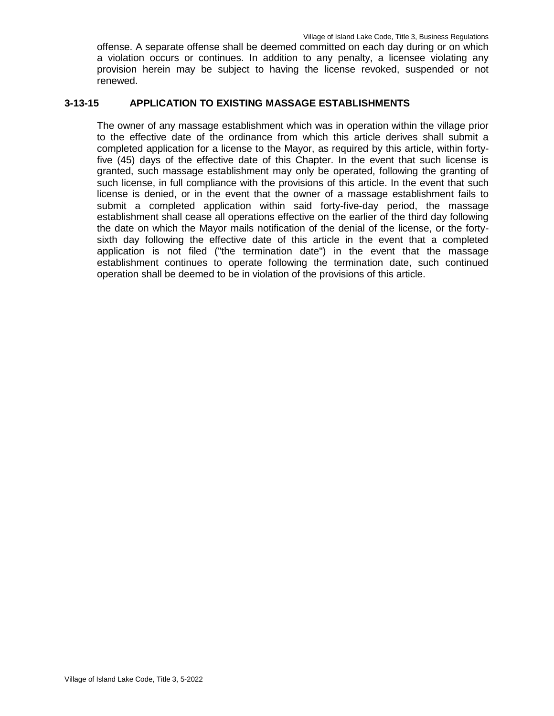offense. A separate offense shall be deemed committed on each day during or on which a violation occurs or continues. In addition to any penalty, a licensee violating any provision herein may be subject to having the license revoked, suspended or not renewed.

#### **3-13-15 APPLICATION TO EXISTING MASSAGE ESTABLISHMENTS**

The owner of any massage establishment which was in operation within the village prior to the effective date of the ordinance from which this article derives shall submit a completed application for a license to the Mayor, as required by this article, within fortyfive (45) days of the effective date of this Chapter. In the event that such license is granted, such massage establishment may only be operated, following the granting of such license, in full compliance with the provisions of this article. In the event that such license is denied, or in the event that the owner of a massage establishment fails to submit a completed application within said forty-five-day period, the massage establishment shall cease all operations effective on the earlier of the third day following the date on which the Mayor mails notification of the denial of the license, or the fortysixth day following the effective date of this article in the event that a completed application is not filed ("the termination date") in the event that the massage establishment continues to operate following the termination date, such continued operation shall be deemed to be in violation of the provisions of this article.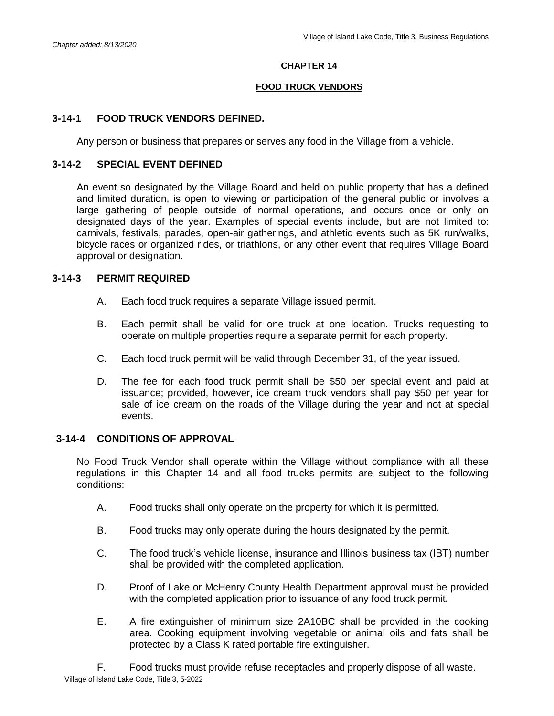#### **CHAPTER 14**

#### **FOOD TRUCK VENDORS**

### **3-14-1 FOOD TRUCK VENDORS DEFINED.**

Any person or business that prepares or serves any food in the Village from a vehicle.

### **3-14-2 SPECIAL EVENT DEFINED**

An event so designated by the Village Board and held on public property that has a defined and limited duration, is open to viewing or participation of the general public or involves a large gathering of people outside of normal operations, and occurs once or only on designated days of the year. Examples of special events include, but are not limited to: carnivals, festivals, parades, open-air gatherings, and athletic events such as 5K run/walks, bicycle races or organized rides, or triathlons, or any other event that requires Village Board approval or designation.

### **3-14-3 PERMIT REQUIRED**

- A. Each food truck requires a separate Village issued permit.
- B. Each permit shall be valid for one truck at one location. Trucks requesting to operate on multiple properties require a separate permit for each property.
- C. Each food truck permit will be valid through December 31, of the year issued.
- D. The fee for each food truck permit shall be \$50 per special event and paid at issuance; provided, however, ice cream truck vendors shall pay \$50 per year for sale of ice cream on the roads of the Village during the year and not at special events.

### **3-14-4 CONDITIONS OF APPROVAL**

No Food Truck Vendor shall operate within the Village without compliance with all these regulations in this Chapter 14 and all food trucks permits are subject to the following conditions:

- A. Food trucks shall only operate on the property for which it is permitted.
- B. Food trucks may only operate during the hours designated by the permit.
- C. The food truck's vehicle license, insurance and Illinois business tax (IBT) number shall be provided with the completed application.
- D. Proof of Lake or McHenry County Health Department approval must be provided with the completed application prior to issuance of any food truck permit.
- E. A fire extinguisher of minimum size 2A10BC shall be provided in the cooking area. Cooking equipment involving vegetable or animal oils and fats shall be protected by a Class K rated portable fire extinguisher.